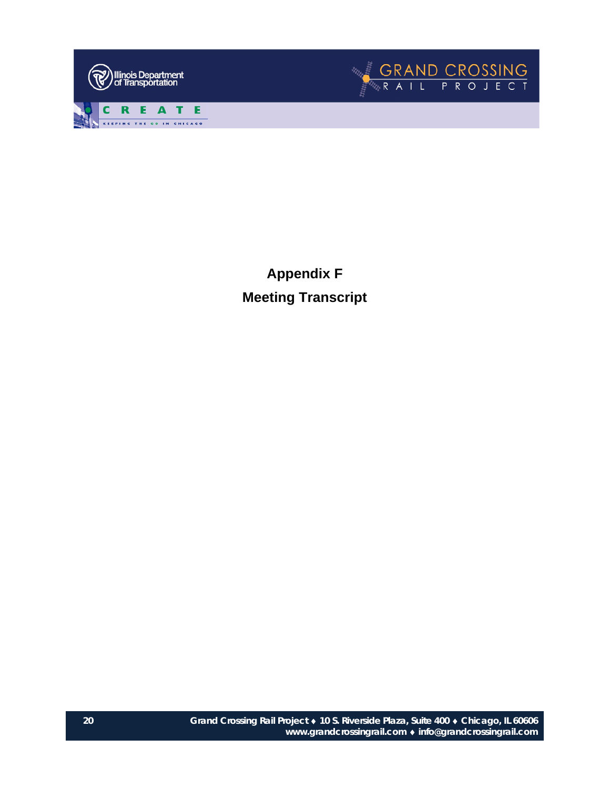



**Appendix F Meeting Transcript**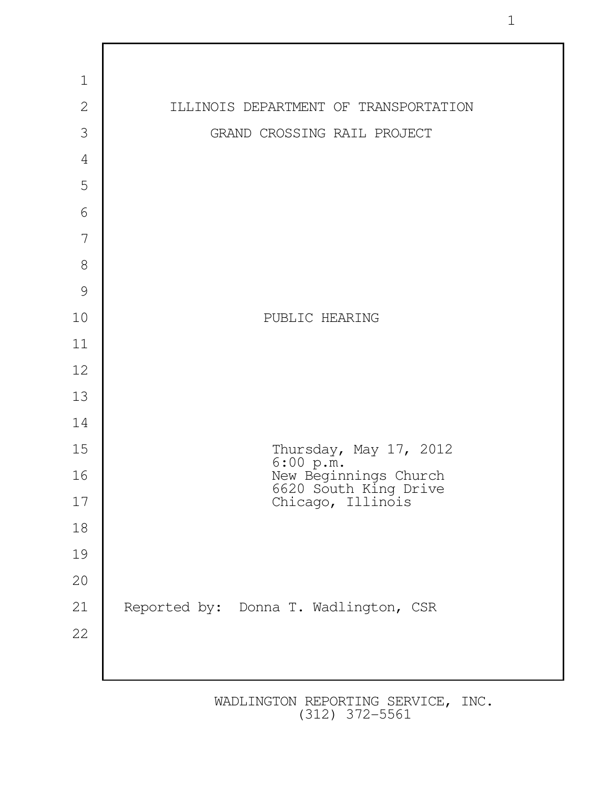

1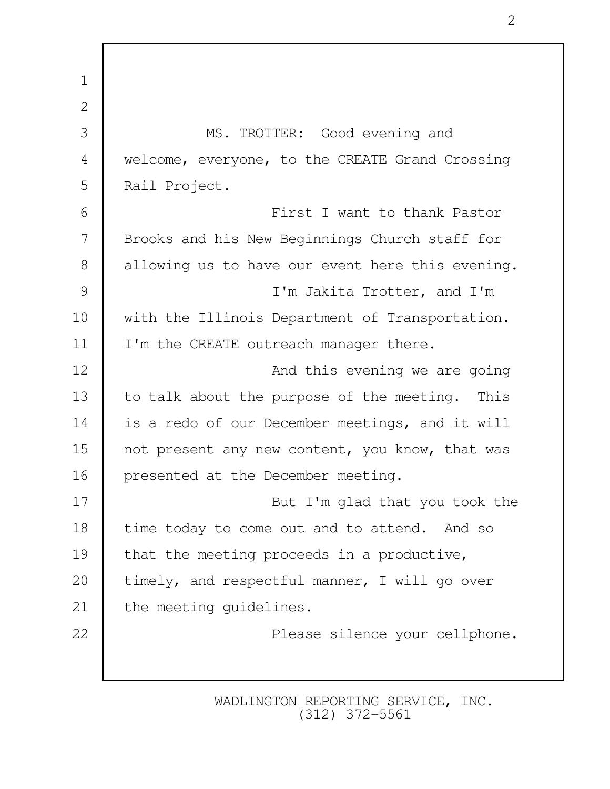1 2 3 MS. TROTTER: Good evening and 4 welcome, everyone, to the CREATE Grand Crossing 5 Rail Project. 6 First I want to thank Pastor 7 Brooks and his New Beginnings Church staff for 8 allowing us to have our event here this evening. 9 I'm Jakita Trotter, and I'm 10 | with the Illinois Department of Transportation. 11 | I'm the CREATE outreach manager there. 12 **And this evening we are going** 13 to talk about the purpose of the meeting. This 14 is a redo of our December meetings, and it will 15 not present any new content, you know, that was 16 presented at the December meeting. 17 But I'm glad that you took the 18 time today to come out and to attend. And so 19 that the meeting proceeds in a productive, 20 | timely, and respectful manner, I will go over 21 the meeting guidelines. 22 **Please silence your cellphone.**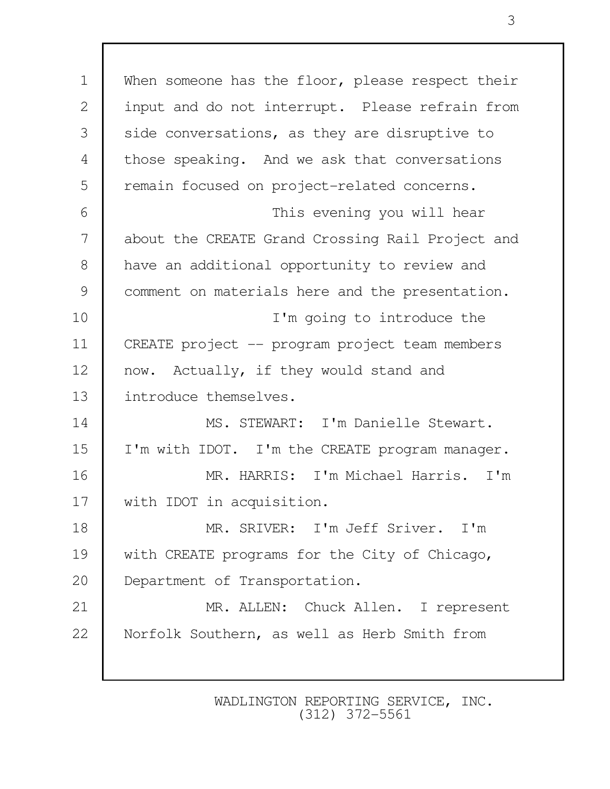1 | When someone has the floor, please respect their 2 input and do not interrupt. Please refrain from 3 side conversations, as they are disruptive to 4 those speaking. And we ask that conversations 5 | remain focused on project-related concerns. 6 This evening you will hear 7 about the CREATE Grand Crossing Rail Project and 8 have an additional opportunity to review and 9 | comment on materials here and the presentation. 10 I'm going to introduce the 11 CREATE project -- program project team members 12 now. Actually, if they would stand and 13 introduce themselves. 14 MS. STEWART: I'm Danielle Stewart. 15 | I'm with IDOT. I'm the CREATE program manager. 16 MR. HARRIS: I'm Michael Harris. I'm 17 | with IDOT in acquisition. 18 MR. SRIVER: I'm Jeff Sriver. I'm 19 with CREATE programs for the City of Chicago, 20 Department of Transportation. 21 MR. ALLEN: Chuck Allen. I represent 22 | Norfolk Southern, as well as Herb Smith from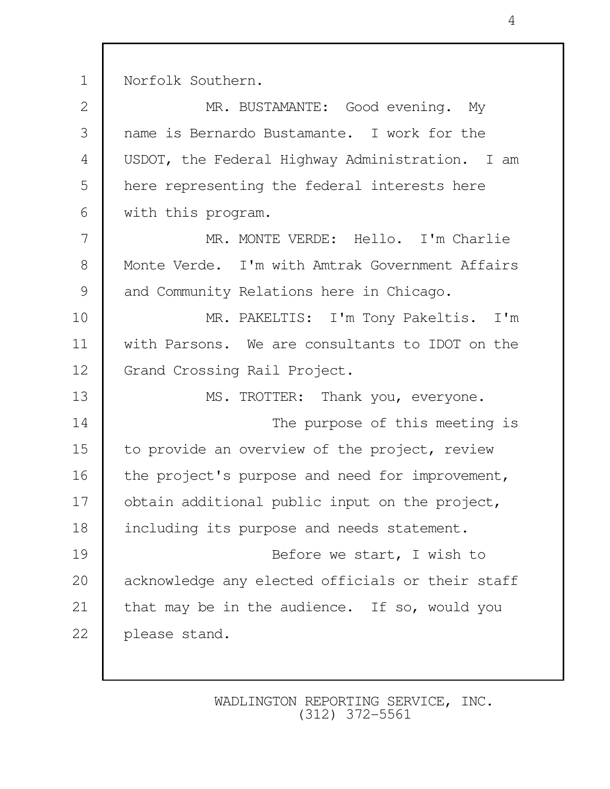1 Norfolk Southern.

| MR. BUSTAMANTE: Good evening. My                 |
|--------------------------------------------------|
| name is Bernardo Bustamante. I work for the      |
| USDOT, the Federal Highway Administration. I am  |
| here representing the federal interests here     |
| with this program.                               |
| MR. MONTE VERDE: Hello. I'm Charlie              |
| Monte Verde. I'm with Amtrak Government Affairs  |
| and Community Relations here in Chicago.         |
| MR. PAKELTIS: I'm Tony Pakeltis. I'm             |
| with Parsons. We are consultants to IDOT on the  |
| Grand Crossing Rail Project.                     |
| MS. TROTTER: Thank you, everyone.                |
| The purpose of this meeting is                   |
| to provide an overview of the project, review    |
| the project's purpose and need for improvement,  |
| obtain additional public input on the project,   |
| including its purpose and needs statement.       |
| Before we start, I wish to                       |
| acknowledge any elected officials or their staff |
| that may be in the audience. If so, would you    |
| please stand.                                    |
|                                                  |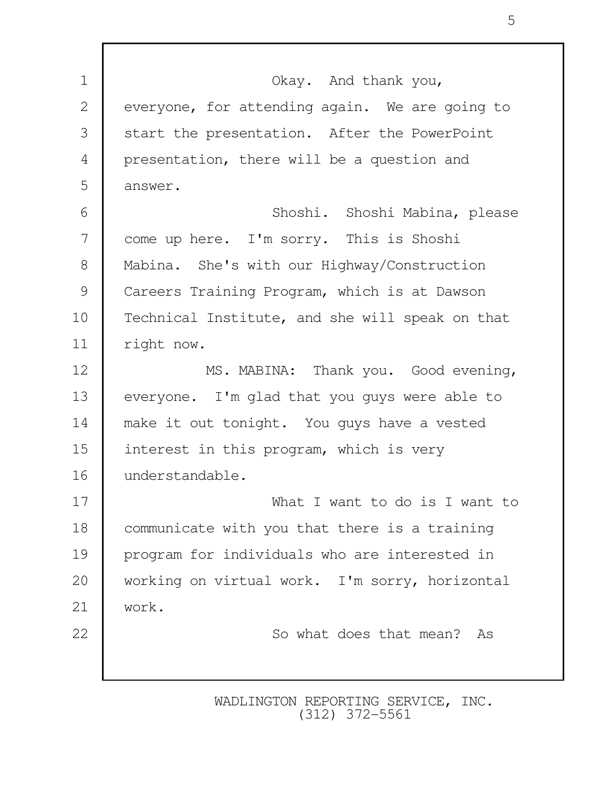| $\mathbf 1$    | Okay. And thank you,                            |
|----------------|-------------------------------------------------|
| $\mathbf{2}$   | everyone, for attending again. We are going to  |
| 3              | start the presentation. After the PowerPoint    |
| $\overline{4}$ | presentation, there will be a question and      |
| 5              | answer.                                         |
| 6              | Shoshi. Shoshi Mabina, please                   |
| 7              | come up here. I'm sorry. This is Shoshi         |
| 8              | Mabina. She's with our Highway/Construction     |
| 9              | Careers Training Program, which is at Dawson    |
| 10             | Technical Institute, and she will speak on that |
| 11             | right now.                                      |
| 12             | MS. MABINA: Thank you. Good evening,            |
| 13             | everyone. I'm glad that you guys were able to   |
| 14             | make it out tonight. You guys have a vested     |
| 15             | interest in this program, which is very         |
| 16             | understandable.                                 |
| 17             | What I want to do is I want to                  |
| 18             | communicate with you that there is a training   |
| 19             | program for individuals who are interested in   |
| 20             | working on virtual work. I'm sorry, horizontal  |
| 21             | work.                                           |
| 22             | So what does that mean? As                      |
|                |                                                 |
|                |                                                 |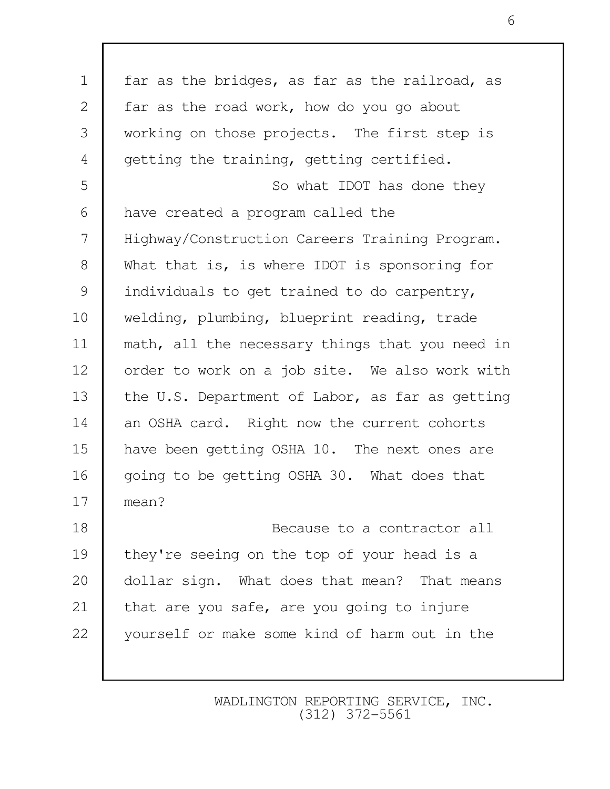| $\mathbf 1$  | far as the bridges, as far as the railroad, as  |
|--------------|-------------------------------------------------|
| $\mathbf{2}$ | far as the road work, how do you go about       |
| 3            | working on those projects. The first step is    |
| 4            | getting the training, getting certified.        |
| 5            | So what IDOT has done they                      |
| 6            | have created a program called the               |
| 7            | Highway/Construction Careers Training Program.  |
| $8\,$        | What that is, is where IDOT is sponsoring for   |
| 9            | individuals to get trained to do carpentry,     |
| 10           | welding, plumbing, blueprint reading, trade     |
| 11           | math, all the necessary things that you need in |
| 12           | order to work on a job site. We also work with  |
| 13           | the U.S. Department of Labor, as far as getting |
| 14           | an OSHA card. Right now the current cohorts     |
| 15           | have been getting OSHA 10. The next ones are    |
| 16           | going to be getting OSHA 30. What does that     |
| 17           | mean?                                           |
| 18           | Because to a contractor all                     |
| 19           | they're seeing on the top of your head is a     |
| 20           | dollar sign. What does that mean? That means    |
| 21           | that are you safe, are you going to injure      |
| 22           | yourself or make some kind of harm out in the   |
|              |                                                 |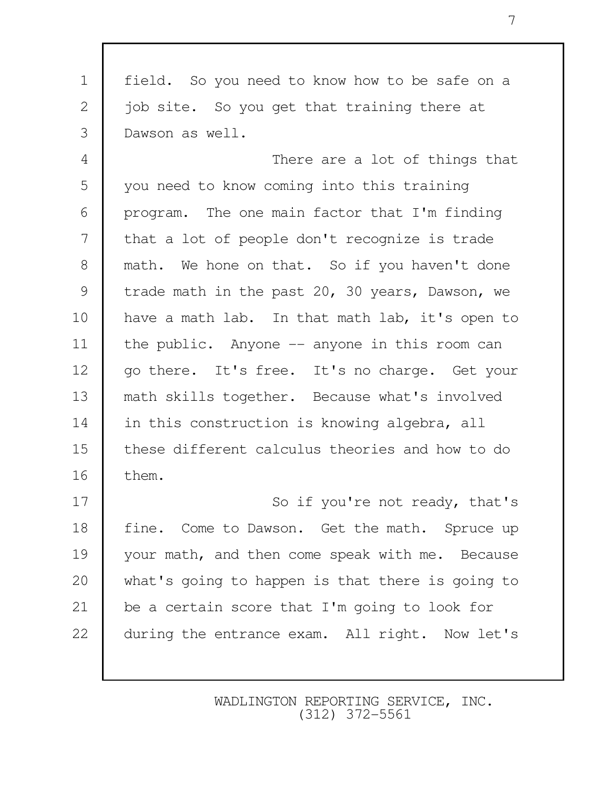1 field. So you need to know how to be safe on a 2 job site. So you get that training there at 3 Dawson as well.

 4 There are a lot of things that 5 you need to know coming into this training  $6$  | program. The one main factor that I'm finding 7 that a lot of people don't recognize is trade 8 math. We hone on that. So if you haven't done 9 trade math in the past 20, 30 years, Dawson, we 10 have a math lab. In that math lab, it's open to 11 | the public. Anyone -- anyone in this room can 12 | go there. It's free. It's no charge. Get your 13 math skills together. Because what's involved 14 in this construction is knowing algebra, all 15 these different calculus theories and how to do 16 them.

17 So if you're not ready, that's 18 fine. Come to Dawson. Get the math. Spruce up 19 your math, and then come speak with me. Because 20 what's going to happen is that there is going to 21 be a certain score that I'm going to look for 22 during the entrance exam. All right. Now let's

> WADLINGTON REPORTING SERVICE, INC. (312) 372-5561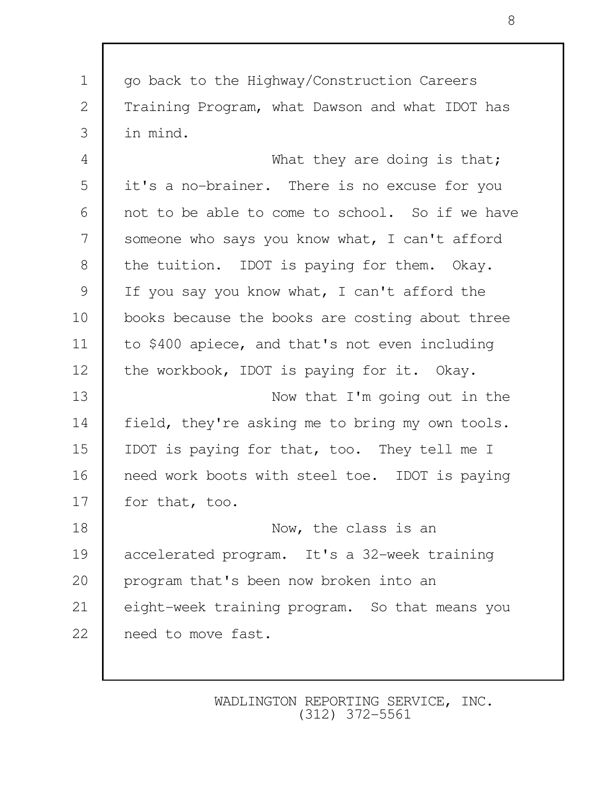1 | go back to the Highway/Construction Careers 2 Training Program, what Dawson and what IDOT has 3 in mind. 4 What they are doing is that; 5 it's a no-brainer. There is no excuse for you 6 not to be able to come to school. So if we have 7 someone who says you know what, I can't afford 8 the tuition. IDOT is paying for them. Okay. 9 | If you say you know what, I can't afford the 10 books because the books are costing about three 11 to \$400 apiece, and that's not even including 12 the workbook, IDOT is paying for it. Okay. 13 Now that I'm going out in the 14 field, they're asking me to bring my own tools. 15 IDOT is paying for that, too. They tell me I 16 need work boots with steel toe. IDOT is paying 17 for that, too. 18 Now, the class is an 19 accelerated program. It's a 32-week training 20 program that's been now broken into an 21 eight-week training program. So that means you 22 need to move fast.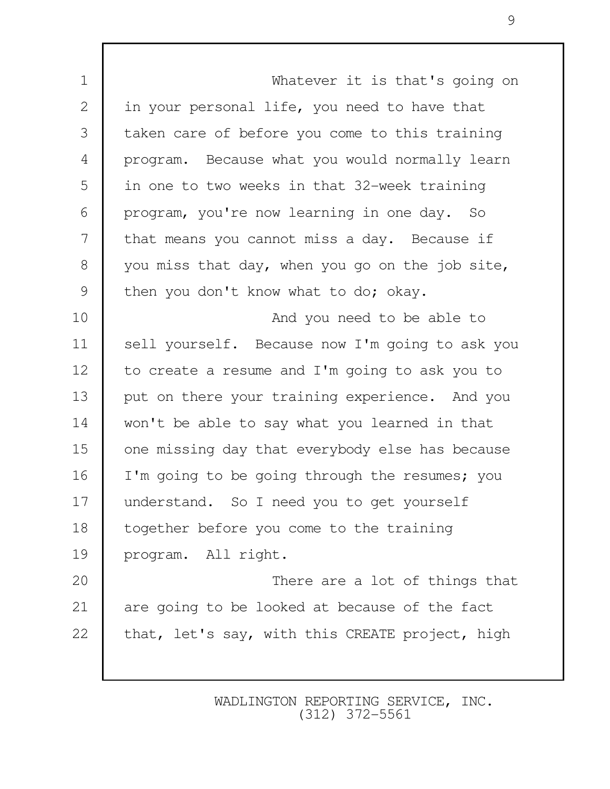1 Whatever it is that's going on 2 in your personal life, you need to have that 3 taken care of before you come to this training 4 program. Because what you would normally learn 5 in one to two weeks in that 32-week training 6 program, you're now learning in one day. So 7 that means you cannot miss a day. Because if 8 you miss that day, when you go on the job site, 9 then you don't know what to do; okay. 10 **And you need to be able to** 11 | sell yourself. Because now I'm going to ask you 12 to create a resume and I'm going to ask you to 13 put on there your training experience. And you 14 won't be able to say what you learned in that 15 one missing day that everybody else has because 16 I'm going to be going through the resumes; you 17 understand. So I need you to get yourself 18 together before you come to the training 19 program. All right. 20 There are a lot of things that 21 are going to be looked at because of the fact 22  $\blacksquare$  that, let's say, with this CREATE project, high

> WADLINGTON REPORTING SERVICE, INC. (312) 372-5561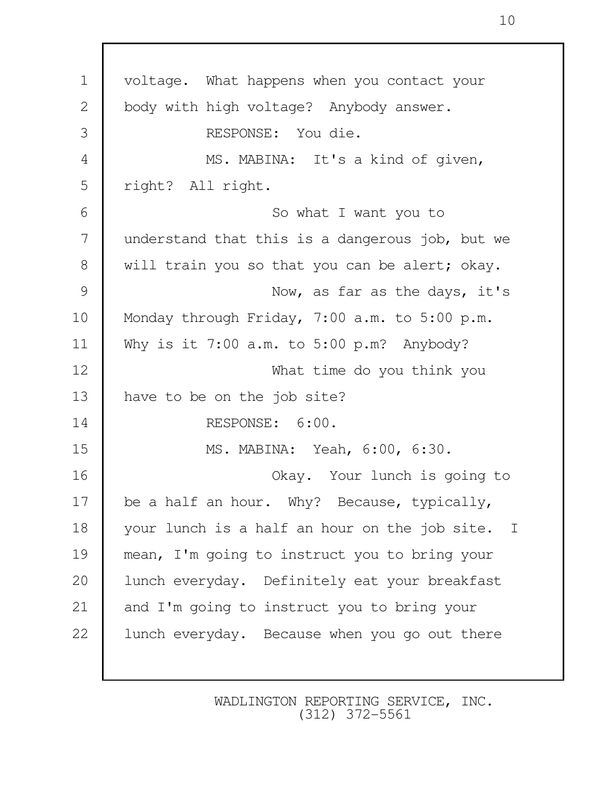1 voltage. What happens when you contact your 2 body with high voltage? Anybody answer. 3 RESPONSE: You die. 4 MS. MABINA: It's a kind of given, 5 | right? All right. 6 So what I want you to 7 understand that this is a dangerous job, but we 8 will train you so that you can be alert; okay. 9 Now, as far as the days, it's 10 Monday through Friday, 7:00 a.m. to 5:00 p.m. 11 Why is it 7:00 a.m. to 5:00 p.m? Anybody? 12 What time do you think you 13 have to be on the job site? 14 RESPONSE: 6:00. 15 MS. MABINA: Yeah, 6:00, 6:30. 16 Okay. Your lunch is going to 17 be a half an hour. Why? Because, typically, 18 your lunch is a half an hour on the job site. I 19 mean, I'm going to instruct you to bring your 20 | lunch everyday. Definitely eat your breakfast 21 and I'm going to instruct you to bring your 22 | lunch everyday. Because when you go out there

> WADLINGTON REPORTING SERVICE, INC. (312) 372-5561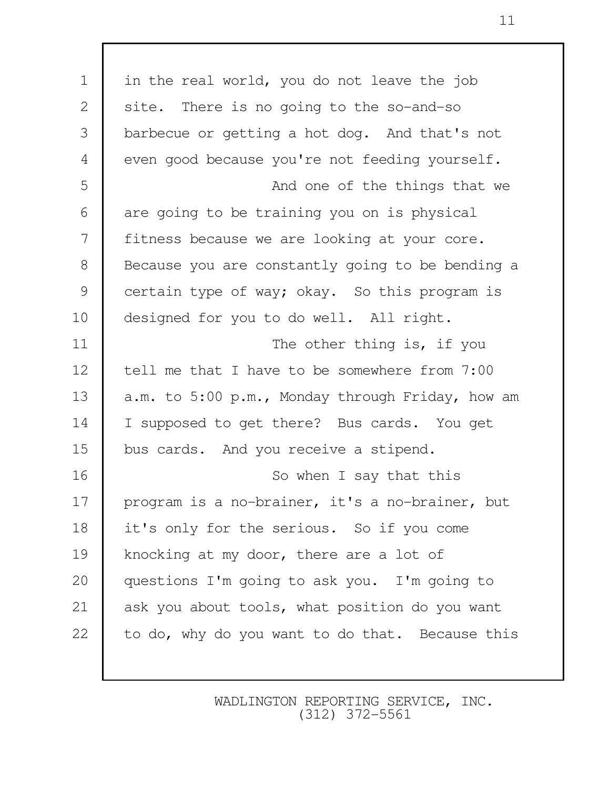| $\mathbf 1$    | in the real world, you do not leave the job      |
|----------------|--------------------------------------------------|
| 2              | site. There is no going to the so-and-so         |
| 3              | barbecue or getting a hot dog. And that's not    |
| $\overline{4}$ | even good because you're not feeding yourself.   |
| 5              | And one of the things that we                    |
| 6              | are going to be training you on is physical      |
| 7              | fitness because we are looking at your core.     |
| $\,8\,$        | Because you are constantly going to be bending a |
| 9              | certain type of way; okay. So this program is    |
| 10             | designed for you to do well. All right.          |
| 11             | The other thing is, if you                       |
| 12             | tell me that I have to be somewhere from 7:00    |
| 13             | a.m. to 5:00 p.m., Monday through Friday, how am |
| 14             | I supposed to get there? Bus cards. You get      |
| 15             | bus cards. And you receive a stipend.            |
| 16             | So when I say that this                          |
| 17             | program is a no-brainer, it's a no-brainer, but  |
| 18             | it's only for the serious. So if you come        |
| 19             | knocking at my door, there are a lot of          |
| 20             | questions I'm going to ask you. I'm going to     |
| 21             | ask you about tools, what position do you want   |
| 22             | to do, why do you want to do that. Because this  |
|                |                                                  |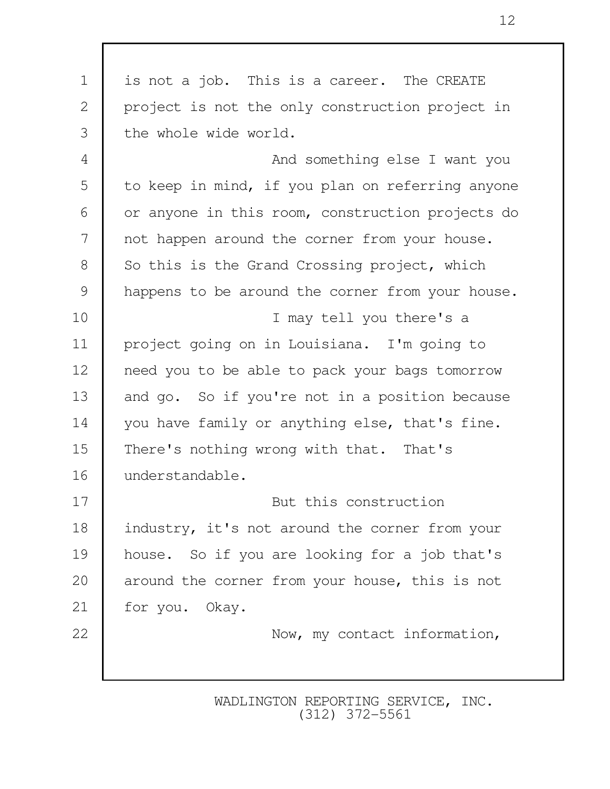| $\mathbf 1$    | is not a job. This is a career. The CREATE       |
|----------------|--------------------------------------------------|
| $\mathbf{2}$   | project is not the only construction project in  |
| 3              | the whole wide world.                            |
| $\overline{4}$ | And something else I want you                    |
| 5              | to keep in mind, if you plan on referring anyone |
| 6              | or anyone in this room, construction projects do |
| 7              | not happen around the corner from your house.    |
| $8\,$          | So this is the Grand Crossing project, which     |
| 9              | happens to be around the corner from your house. |
| 10             | I may tell you there's a                         |
| 11             | project going on in Louisiana. I'm going to      |
| 12             | need you to be able to pack your bags tomorrow   |
| 13             | and go. So if you're not in a position because   |
| 14             | you have family or anything else, that's fine.   |
| 15             | There's nothing wrong with that. That's          |
| 16             | understandable.                                  |
| 17             | But this construction                            |
| 18             | industry, it's not around the corner from your   |
| 19             | house. So if you are looking for a job that's    |
| 20             | around the corner from your house, this is not   |
| 21             | for you. Okay.                                   |
| 22             | Now, my contact information,                     |
|                |                                                  |
|                |                                                  |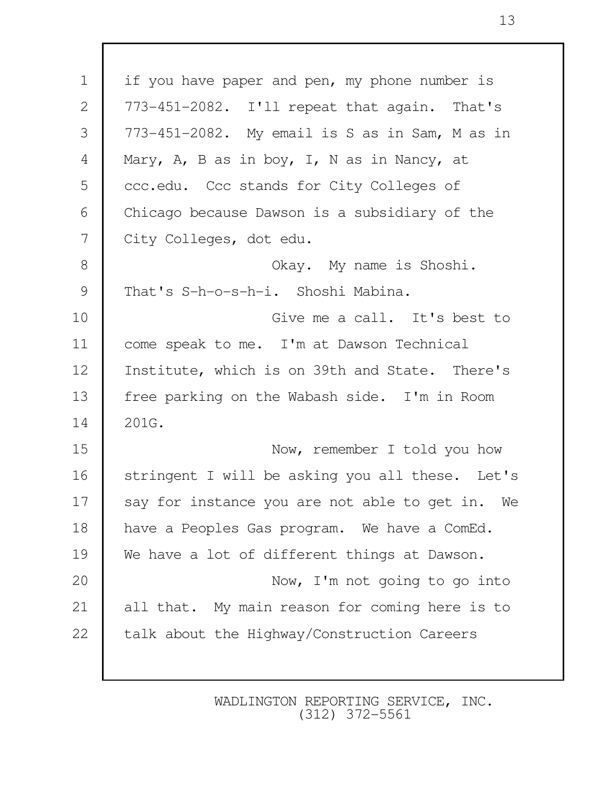| $\mathbf 1$    | if you have paper and pen, my phone number is   |
|----------------|-------------------------------------------------|
| $\mathbf{2}$   | 773-451-2082. I'll repeat that again. That's    |
| 3              | 773-451-2082. My email is S as in Sam, M as in  |
| $\overline{4}$ | Mary, A, B as in boy, I, N as in Nancy, at      |
| 5              | ccc.edu. Ccc stands for City Colleges of        |
| 6              | Chicago because Dawson is a subsidiary of the   |
| 7              | City Colleges, dot edu.                         |
| $8\,$          | Okay. My name is Shoshi.                        |
| 9              | That's S-h-o-s-h-i. Shoshi Mabina.              |
| 10             | Give me a call. It's best to                    |
| 11             | come speak to me. I'm at Dawson Technical       |
| 12             | Institute, which is on 39th and State. There's  |
| 13             | free parking on the Wabash side. I'm in Room    |
| 14             | 201G.                                           |
| 15             | Now, remember I told you how                    |
| 16             | stringent I will be asking you all these. Let's |
| 17             | say for instance you are not able to get in. We |
| 18             | have a Peoples Gas program. We have a ComEd.    |
| 19             | We have a lot of different things at Dawson.    |
| 20             | Now, I'm not going to go into                   |
| 21             | all that. My main reason for coming here is to  |
| 22             | talk about the Highway/Construction Careers     |
|                |                                                 |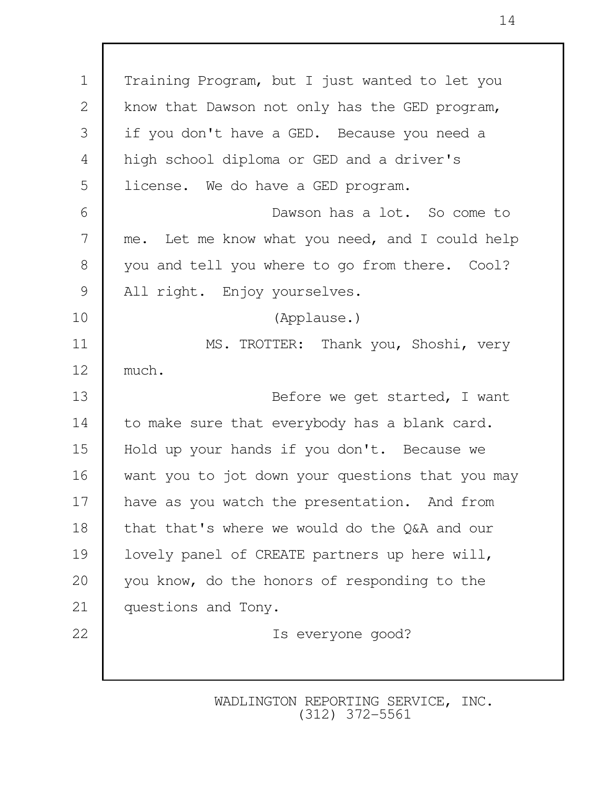1 Training Program, but I just wanted to let you 2 | know that Dawson not only has the GED program, 3 if you don't have a GED. Because you need a 4 high school diploma or GED and a driver's 5 license. We do have a GED program. 6 Dawson has a lot. So come to 7 me. Let me know what you need, and I could help 8 you and tell you where to go from there. Cool? 9 | All right. Enjoy yourselves. 10 (Applause.) 11 MS. TROTTER: Thank you, Shoshi, very 12 much. 13 Before we get started, I want 14 to make sure that everybody has a blank card. 15 Hold up your hands if you don't. Because we 16 want you to jot down your questions that you may 17 | have as you watch the presentation. And from 18 that that's where we would do the O&A and our 19 | lovely panel of CREATE partners up here will, 20 you know, do the honors of responding to the 21 questions and Tony. 22 Is everyone good?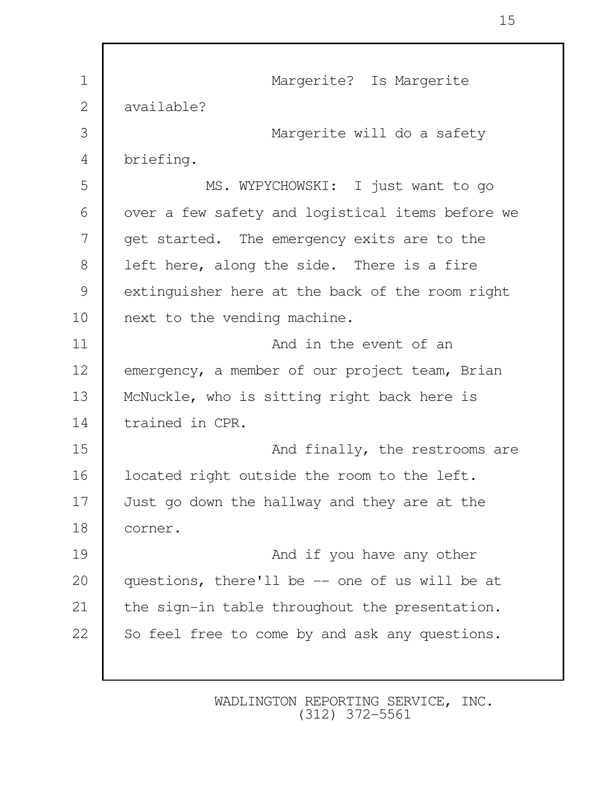1 | Margerite? Is Margerite 2 available? 3 Margerite will do a safety 4 briefing. 5 MS. WYPYCHOWSKI: I just want to go 6 | over a few safety and logistical items before we 7 get started. The emergency exits are to the 8 | left here, along the side. There is a fire 9 extinguisher here at the back of the room right 10 next to the vending machine. 11 And in the event of an 12 emergency, a member of our project team, Brian 13 | McNuckle, who is sitting right back here is 14 trained in CPR. 15 **And finally, the restrooms are** 16 | located right outside the room to the left. 17 Just go down the hallway and they are at the 18 corner. 19 **And if you have any other** 20 questions, there'll be -- one of us will be at 21 the sign-in table throughout the presentation. 22 So feel free to come by and ask any questions.

> WADLINGTON REPORTING SERVICE, INC. (312) 372-5561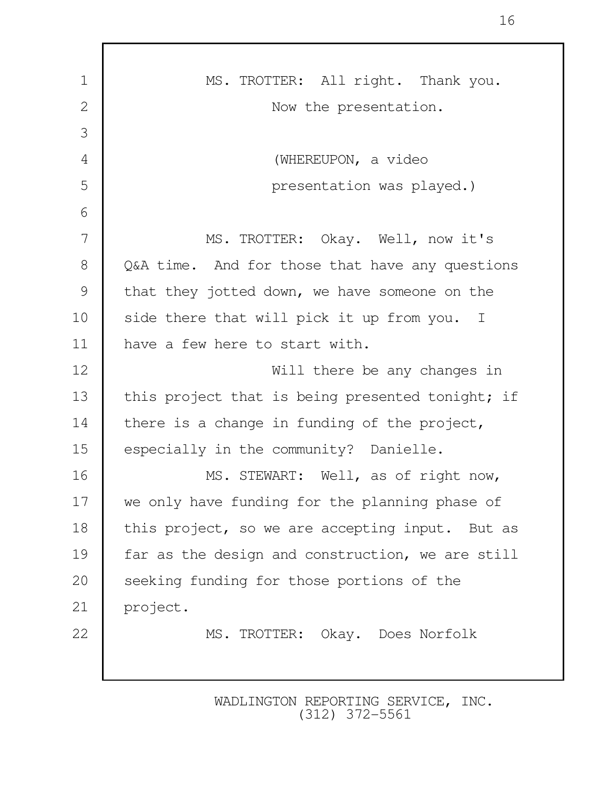| $\mathbf 1$    | MS. TROTTER: All right. Thank you.               |
|----------------|--------------------------------------------------|
| $\overline{2}$ | Now the presentation.                            |
| 3              |                                                  |
| 4              | (WHEREUPON, a video                              |
| 5              | presentation was played.)                        |
| 6              |                                                  |
| 7              | MS. TROTTER: Okay. Well, now it's                |
| 8              | Q&A time. And for those that have any questions  |
| 9              | that they jotted down, we have someone on the    |
| 10             | side there that will pick it up from you. I      |
| 11             | have a few here to start with.                   |
| 12             | Will there be any changes in                     |
| 13             | this project that is being presented tonight; if |
| 14             | there is a change in funding of the project,     |
| 15             | especially in the community? Danielle.           |
| 16             | MS. STEWART: Well, as of right now,              |
| 17             | we only have funding for the planning phase of   |
| 18             | this project, so we are accepting input. But as  |
| 19             | far as the design and construction, we are still |
| 20             | seeking funding for those portions of the        |
| 21             | project.                                         |
| 22             | MS. TROTTER: Okay. Does Norfolk                  |
|                |                                                  |
|                |                                                  |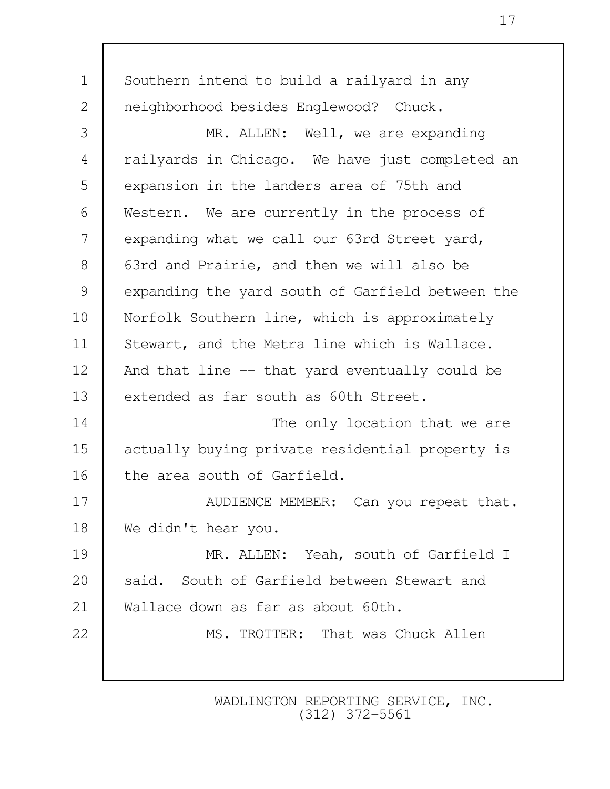| $\mathbf 1$    | Southern intend to build a railyard in any       |
|----------------|--------------------------------------------------|
| 2              | neighborhood besides Englewood? Chuck.           |
| 3              | MR. ALLEN: Well, we are expanding                |
| $\overline{4}$ | railyards in Chicago. We have just completed an  |
| 5              | expansion in the landers area of 75th and        |
| 6              | Western. We are currently in the process of      |
| 7              | expanding what we call our 63rd Street yard,     |
| 8              | 63rd and Prairie, and then we will also be       |
| $\mathcal{G}$  | expanding the yard south of Garfield between the |
| 10             | Norfolk Southern line, which is approximately    |
| 11             | Stewart, and the Metra line which is Wallace.    |
| 12             | And that line -- that yard eventually could be   |
| 13             | extended as far south as 60th Street.            |
| 14             | The only location that we are                    |
| 15             | actually buying private residential property is  |
| 16             | the area south of Garfield.                      |
| 17             | AUDIENCE MEMBER: Can you repeat that.            |
| 18             | We didn't hear you.                              |
| 19             | MR. ALLEN: Yeah, south of Garfield I             |
| 20             | said. South of Garfield between Stewart and      |
| 21             | Wallace down as far as about 60th.               |
| 22             | MS. TROTTER: That was Chuck Allen                |
|                |                                                  |
|                |                                                  |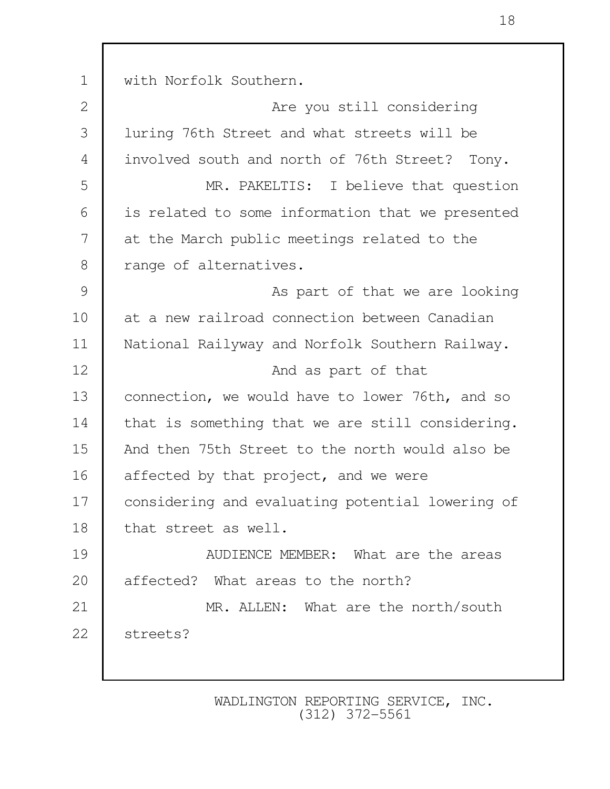1 with Norfolk Southern. 2 **Are you still considering**  3 luring 76th Street and what streets will be 4 involved south and north of 76th Street? Tony. 5 MR. PAKELTIS: I believe that question 6 is related to some information that we presented 7 at the March public meetings related to the 8 | range of alternatives. 9 As part of that we are looking 10 at a new railroad connection between Canadian 11 National Railyway and Norfolk Southern Railway. 12 **And as part of that** 13 **Connection, we would have to lower 76th, and so** 14 that is something that we are still considering. 15 And then 75th Street to the north would also be 16 affected by that project, and we were 17 considering and evaluating potential lowering of 18 that street as well. 19 **AUDIENCE MEMBER:** What are the areas 20 affected? What areas to the north? 21 MR. ALLEN: What are the north/south 22 streets?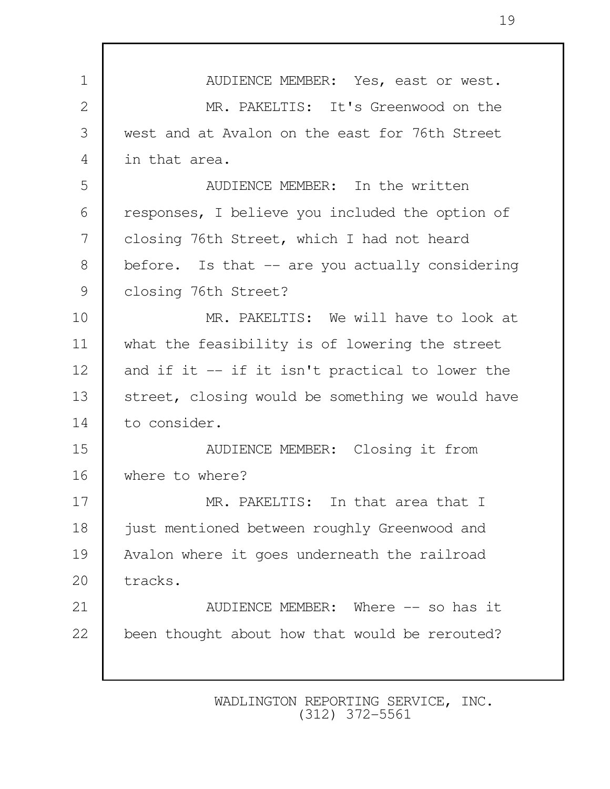1 NUDIENCE MEMBER: Yes, east or west. 2 MR. PAKELTIS: It's Greenwood on the 3 west and at Avalon on the east for 76th Street 4 in that area. 5 AUDIENCE MEMBER: In the written 6 responses, I believe you included the option of 7 closing 76th Street, which I had not heard 8 before. Is that -- are you actually considering 9 | closing 76th Street? 10 MR. PAKELTIS: We will have to look at 11 what the feasibility is of lowering the street 12 and if it -- if it isn't practical to lower the 13 Street, closing would be something we would have 14 to consider. 15 AUDIENCE MEMBER: Closing it from 16 where to where? 17 MR. PAKELTIS: In that area that I 18 just mentioned between roughly Greenwood and 19 Avalon where it goes underneath the railroad 20 tracks. 21 **AUDIENCE MEMBER:** Where -- so has it 22 been thought about how that would be rerouted?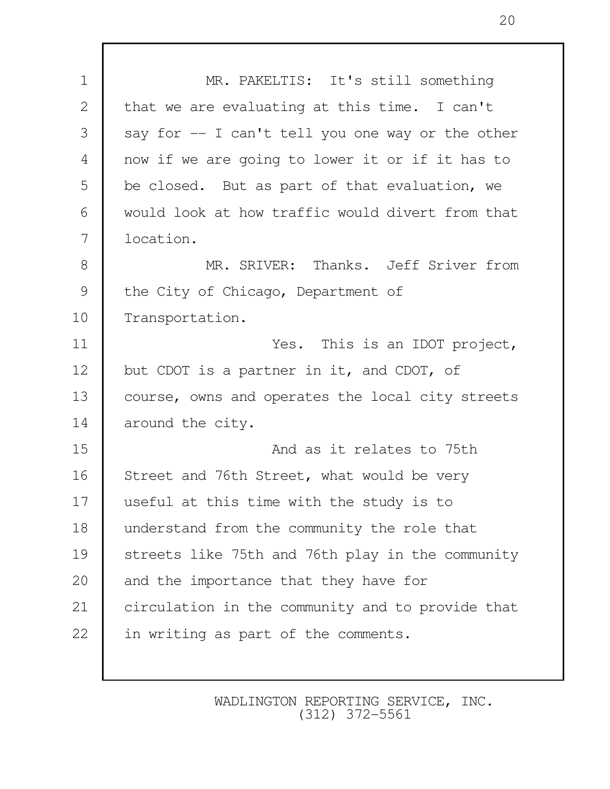| $\mathbf 1$    | MR. PAKELTIS: It's still something               |
|----------------|--------------------------------------------------|
| $\mathbf{2}$   | that we are evaluating at this time. I can't     |
| 3              | say for -- I can't tell you one way or the other |
| $\overline{4}$ | now if we are going to lower it or if it has to  |
| 5              | be closed. But as part of that evaluation, we    |
| 6              | would look at how traffic would divert from that |
| 7              | location.                                        |
| $8\,$          | MR. SRIVER: Thanks. Jeff Sriver from             |
| $\mathcal{G}$  | the City of Chicago, Department of               |
| 10             | Transportation.                                  |
| 11             | Yes. This is an IDOT project,                    |
| 12             | but CDOT is a partner in it, and CDOT, of        |
| 13             | course, owns and operates the local city streets |
| 14             | around the city.                                 |
| 15             | And as it relates to 75th                        |
| 16             | Street and 76th Street, what would be very       |
| 17             | useful at this time with the study is to         |
| 18             | understand from the community the role that      |
| 19             | streets like 75th and 76th play in the community |
| 20             | and the importance that they have for            |
| 21             | circulation in the community and to provide that |
| 22             | in writing as part of the comments.              |
|                |                                                  |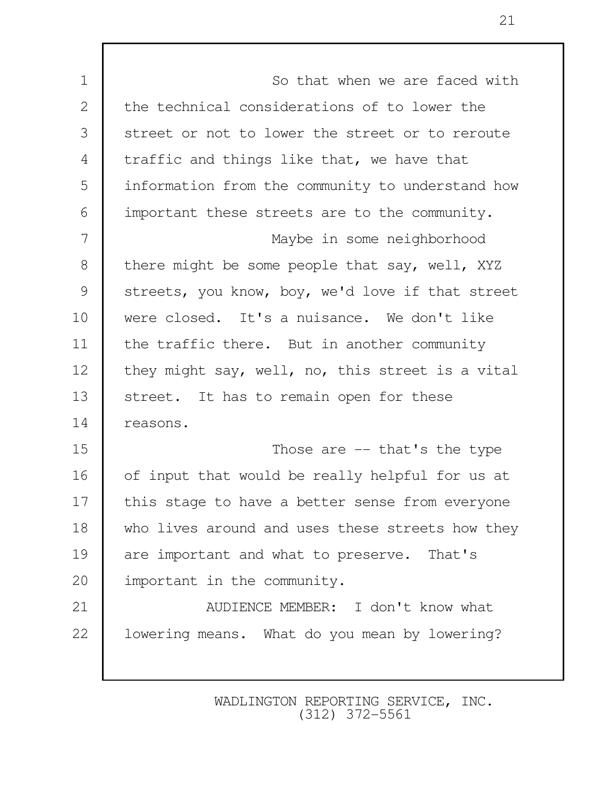1 **I** So that when we are faced with 2 the technical considerations of to lower the 3 Street or not to lower the street or to reroute 4 traffic and things like that, we have that 5 information from the community to understand how 6 important these streets are to the community. 7 Maybe in some neighborhood 8 there might be some people that say, well, XYZ 9 streets, you know, boy, we'd love if that street 10 were closed. It's a nuisance. We don't like 11 the traffic there. But in another community 12 they might say, well, no, this street is a vital 13 Street. It has to remain open for these 14 reasons. 15 Those are -- that's the type 16 of input that would be really helpful for us at 17 this stage to have a better sense from everyone 18 who lives around and uses these streets how they 19 are important and what to preserve. That's 20 important in the community. 21 | AUDIENCE MEMBER: I don't know what 22 | lowering means. What do you mean by lowering?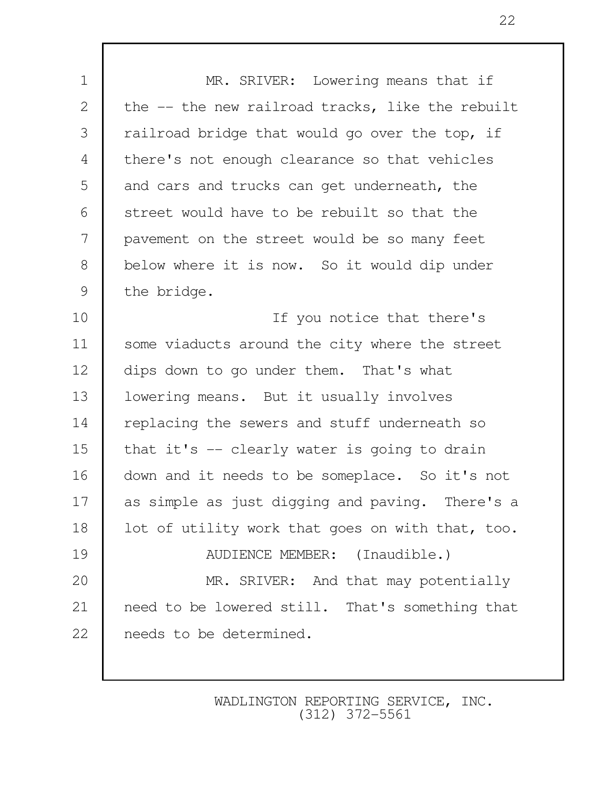1 MR. SRIVER: Lowering means that if 2 the -- the new railroad tracks, like the rebuilt 3 | railroad bridge that would go over the top, if 4 there's not enough clearance so that vehicles 5 and cars and trucks can get underneath, the 6 street would have to be rebuilt so that the 7 pavement on the street would be so many feet 8 below where it is now. So it would dip under 9 the bridge. 10 If you notice that there's 11 Some viaducts around the city where the street 12 dips down to go under them. That's what 13 | lowering means. But it usually involves 14 replacing the sewers and stuff underneath so 15 that it's  $-$  clearly water is going to drain 16 down and it needs to be someplace. So it's not 17 as simple as just digging and paving. There's a 18 | lot of utility work that goes on with that, too. 19 AUDIENCE MEMBER: (Inaudible.) 20 MR. SRIVER: And that may potentially 21 need to be lowered still. That's something that 22 needs to be determined.

> WADLINGTON REPORTING SERVICE, INC. (312) 372-5561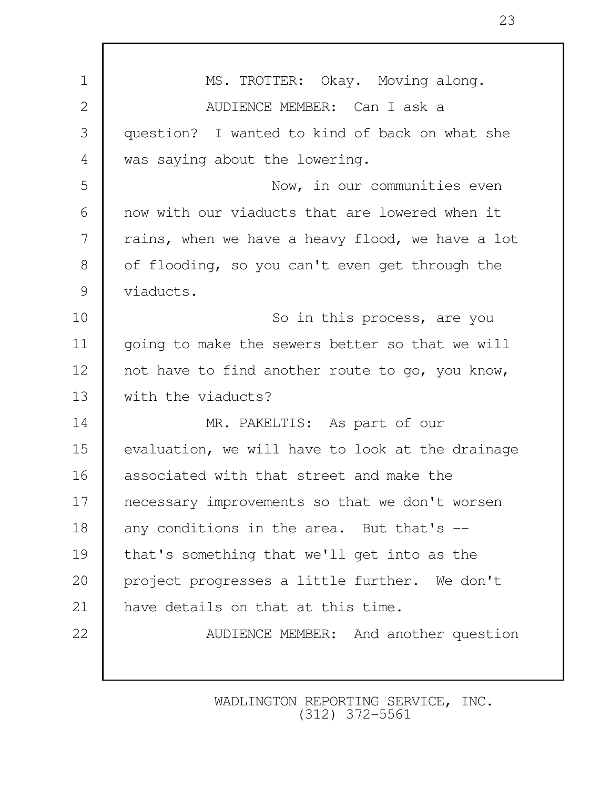| $\mathbf 1$    | MS. TROTTER: Okay. Moving along.                 |
|----------------|--------------------------------------------------|
| $\mathbf{2}$   | AUDIENCE MEMBER: Can I ask a                     |
| 3              | question? I wanted to kind of back on what she   |
| $\overline{4}$ | was saying about the lowering.                   |
| 5              | Now, in our communities even                     |
| 6              | now with our viaducts that are lowered when it   |
| 7              | rains, when we have a heavy flood, we have a lot |
| $8\,$          | of flooding, so you can't even get through the   |
| $\mathcal{G}$  | viaducts.                                        |
| 10             | So in this process, are you                      |
| 11             | going to make the sewers better so that we will  |
| 12             | not have to find another route to go, you know,  |
| 13             | with the viaducts?                               |
| 14             | MR. PAKELTIS: As part of our                     |
| 15             | evaluation, we will have to look at the drainage |
| 16             | associated with that street and make the         |
| 17             | necessary improvements so that we don't worsen   |
| 18             | any conditions in the area. But that's --        |
| 19             | that's something that we'll get into as the      |
| 20             | project progresses a little further. We don't    |
| 21             | have details on that at this time.               |
| 22             | AUDIENCE MEMBER: And another question            |
|                |                                                  |
|                |                                                  |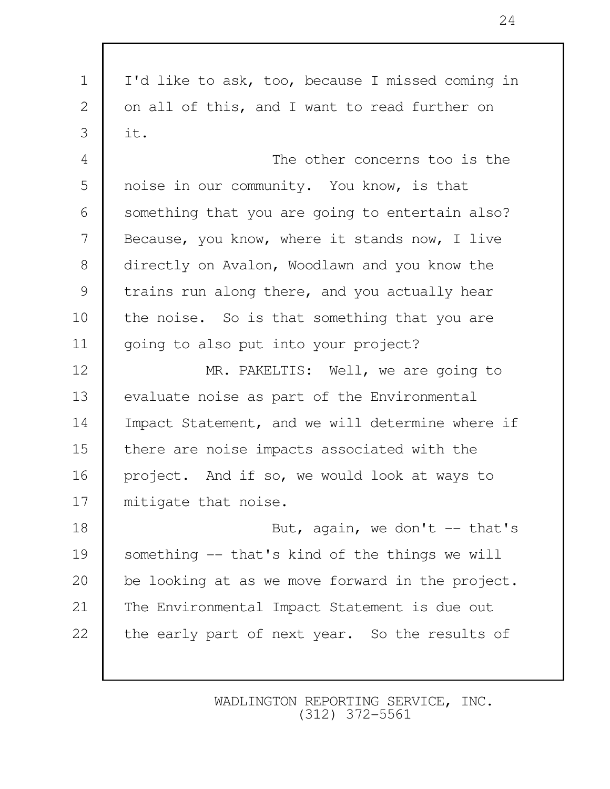1 I'd like to ask, too, because I missed coming in 2 on all of this, and I want to read further on  $3 \mid \text{it.}$  4 The other concerns too is the 5 noise in our community. You know, is that 6 | something that you are going to entertain also? 7 Because, you know, where it stands now, I live 8 directly on Avalon, Woodlawn and you know the 9 trains run along there, and you actually hear 10 the noise. So is that something that you are 11 going to also put into your project? 12 MR. PAKELTIS: Well, we are going to 13 evaluate noise as part of the Environmental 14 Impact Statement, and we will determine where if 15 there are noise impacts associated with the 16 project. And if so, we would look at ways to 17 mitigate that noise. 18 But, again, we don't -- that's 19 something -- that's kind of the things we will 20 be looking at as we move forward in the project. 21 The Environmental Impact Statement is due out 22 the early part of next year. So the results of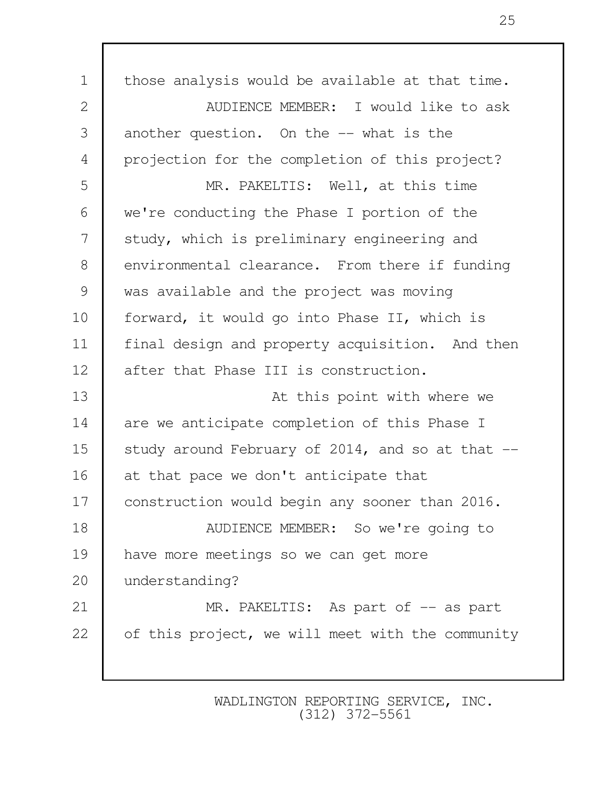| $\mathbf 1$    | those analysis would be available at that time.  |
|----------------|--------------------------------------------------|
| $\mathbf{2}$   | AUDIENCE MEMBER: I would like to ask             |
| 3              | another question. On the -- what is the          |
| $\overline{4}$ | projection for the completion of this project?   |
| 5              | MR. PAKELTIS: Well, at this time                 |
| 6              | we're conducting the Phase I portion of the      |
| 7              | study, which is preliminary engineering and      |
| $8\,$          | environmental clearance. From there if funding   |
| 9              | was available and the project was moving         |
| 10             | forward, it would go into Phase II, which is     |
| 11             | final design and property acquisition. And then  |
| 12             | after that Phase III is construction.            |
| 13             | At this point with where we                      |
| 14             | are we anticipate completion of this Phase I     |
| 15             | study around February of 2014, and so at that -- |
| 16             | at that pace we don't anticipate that            |
| 17             | construction would begin any sooner than 2016.   |
| 18             | AUDIENCE MEMBER: So we're going to               |
| 19             | have more meetings so we can get more            |
| 20             | understanding?                                   |
| 21             | MR. PAKELTIS: As part of -- as part              |
| 22             | of this project, we will meet with the community |
|                |                                                  |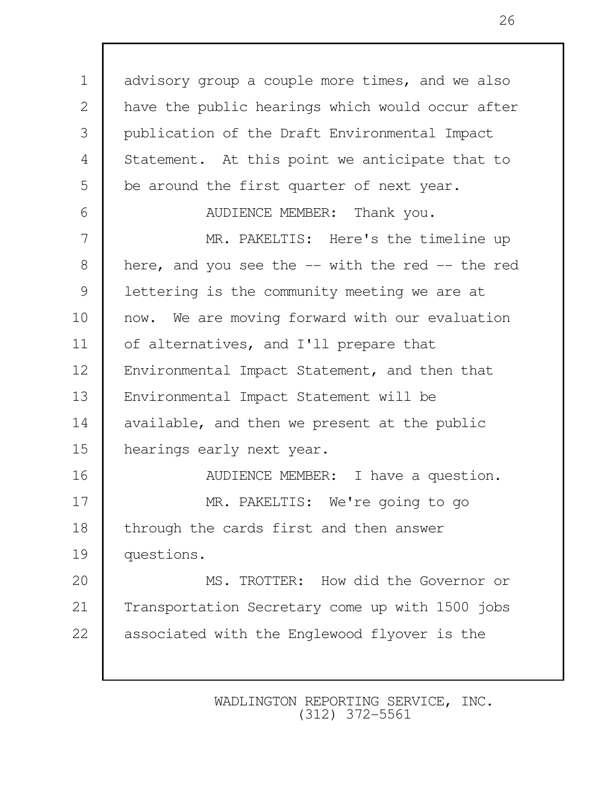1 advisory group a couple more times, and we also 2 have the public hearings which would occur after 3 publication of the Draft Environmental Impact 4 Statement. At this point we anticipate that to 5 be around the first quarter of next year.

6 **AUDIENCE MEMBER:** Thank you.

7 MR. PAKELTIS: Here's the timeline up 8 here, and you see the -- with the red -- the red 9 | lettering is the community meeting we are at 10 now. We are moving forward with our evaluation 11 of alternatives, and I'll prepare that 12 | Environmental Impact Statement, and then that 13 Environmental Impact Statement will be 14 available, and then we present at the public 15 hearings early next year. 16 **AUDIENCE MEMBER:** I have a question. 17 MR. PAKELTIS: We're going to go 18 | through the cards first and then answer 19 questions. 20 MS. TROTTER: How did the Governor or 21 Transportation Secretary come up with 1500 jobs 22 associated with the Englewood flyover is the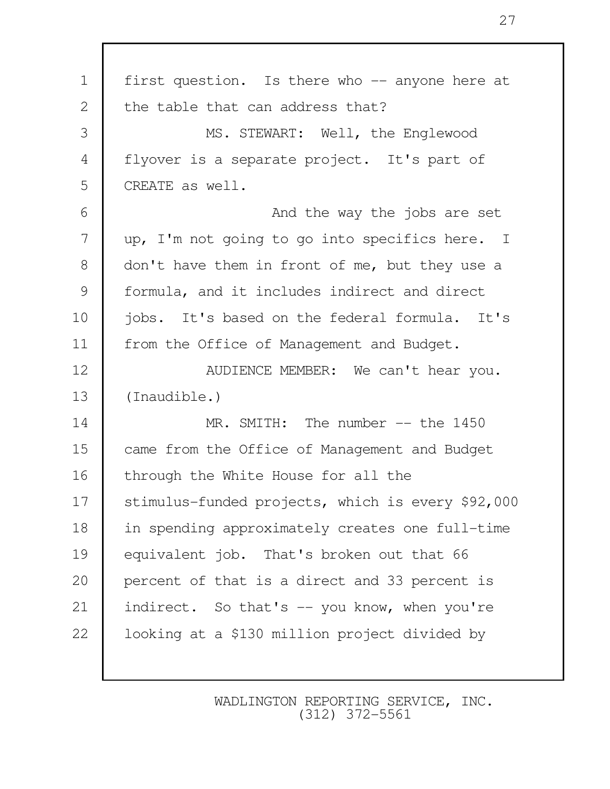| $\mathbf 1$   | first question. Is there who -- anyone here at    |
|---------------|---------------------------------------------------|
| 2             | the table that can address that?                  |
| 3             | MS. STEWART: Well, the Englewood                  |
| 4             | flyover is a separate project. It's part of       |
| 5             | CREATE as well.                                   |
| 6             | And the way the jobs are set                      |
| 7             | up, I'm not going to go into specifics here. I    |
| 8             | don't have them in front of me, but they use a    |
| $\mathcal{G}$ | formula, and it includes indirect and direct      |
| 10            | jobs. It's based on the federal formula. It's     |
| 11            | from the Office of Management and Budget.         |
| 12            | AUDIENCE MEMBER: We can't hear you.               |
| 13            | (Inaudible.)                                      |
| 14            | MR. SMITH: The number $--$ the 1450               |
| 15            | came from the Office of Management and Budget     |
| 16            | through the White House for all the               |
| 17            | stimulus-funded projects, which is every \$92,000 |
| 18            | in spending approximately creates one full-time   |
| 19            | equivalent job. That's broken out that 66         |
| 20            | percent of that is a direct and 33 percent is     |
| 21            | indirect. So that's -- you know, when you're      |
| 22            | looking at a \$130 million project divided by     |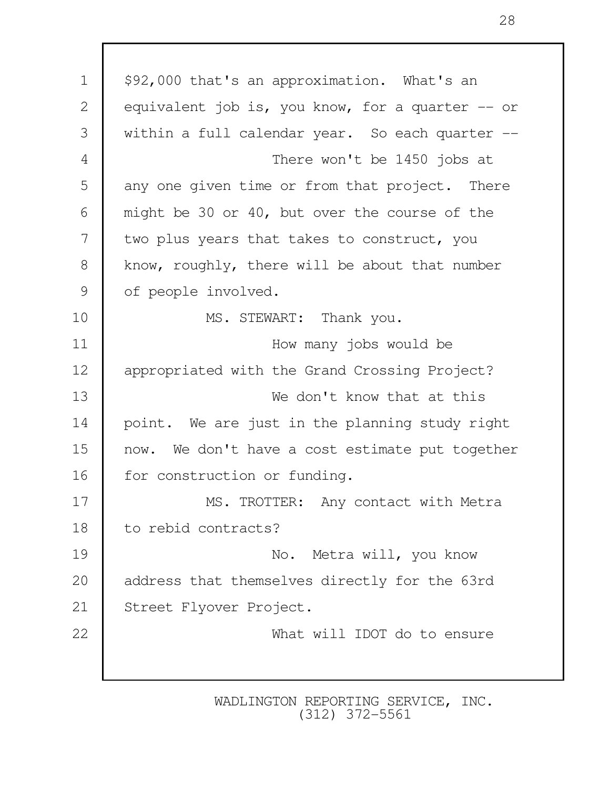1 | \$92,000 that's an approximation. What's an 2 equivalent job is, you know, for a quarter -- or 3 within a full calendar year. So each quarter -- 4 There won't be 1450 jobs at 5 any one given time or from that project. There 6 might be 30 or 40, but over the course of the 7 two plus years that takes to construct, you 8 know, roughly, there will be about that number 9 of people involved. 10 MS. STEWART: Thank you. 11 **I** How many jobs would be 12 appropriated with the Grand Crossing Project? 13 We don't know that at this 14 point. We are just in the planning study right 15 now. We don't have a cost estimate put together 16 | for construction or funding. 17 MS. TROTTER: Any contact with Metra 18 to rebid contracts? 19 No. Metra will, you know 20 address that themselves directly for the 63rd 21 Street Flyover Project. 22 What will IDOT do to ensure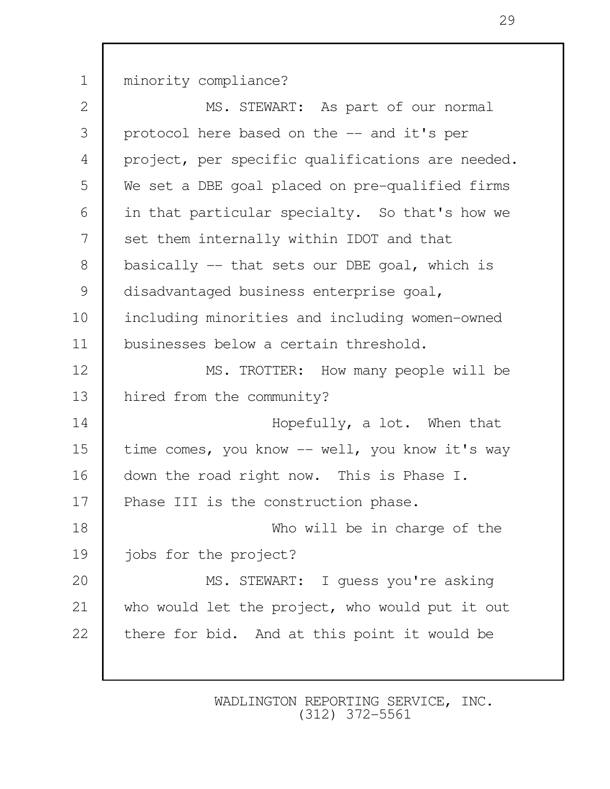1 minority compliance? 2 MS. STEWART: As part of our normal 3 protocol here based on the -- and it's per 4 project, per specific qualifications are needed. 5 We set a DBE goal placed on pre-qualified firms 6 in that particular specialty. So that's how we 7 set them internally within IDOT and that 8 basically -- that sets our DBE goal, which is 9 disadvantaged business enterprise goal, 10 including minorities and including women-owned 11 businesses below a certain threshold. 12 MS. TROTTER: How many people will be 13 hired from the community? 14 **Hopefully, a lot.** When that 15 time comes, you know -- well, you know it's way 16 | down the road right now. This is Phase I. 17 Phase III is the construction phase. 18 Who will be in charge of the 19 jobs for the project? 20 MS. STEWART: I quess you're asking 21 who would let the project, who would put it out 22 there for bid. And at this point it would be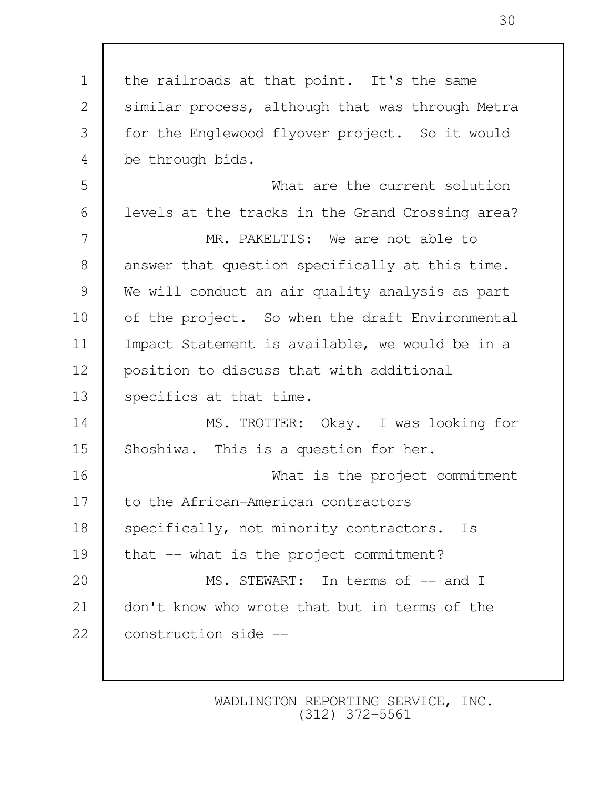1 the railroads at that point. It's the same 2 Similar process, although that was through Metra 3 for the Englewood flyover project. So it would 4 be through bids. 5 What are the current solution 6 | levels at the tracks in the Grand Crossing area? 7 MR. PAKELTIS: We are not able to 8 answer that question specifically at this time. 9 We will conduct an air quality analysis as part 10 of the project. So when the draft Environmental 11 Impact Statement is available, we would be in a 12 position to discuss that with additional 13 specifics at that time. 14 MS. TROTTER: Okay. I was looking for 15 Shoshiwa. This is a question for her. 16 What is the project commitment 17 to the African-American contractors 18 | specifically, not minority contractors. Is 19 that -- what is the project commitment? 20 MS. STEWART: In terms of  $--$  and I 21 don't know who wrote that but in terms of the 22 construction side --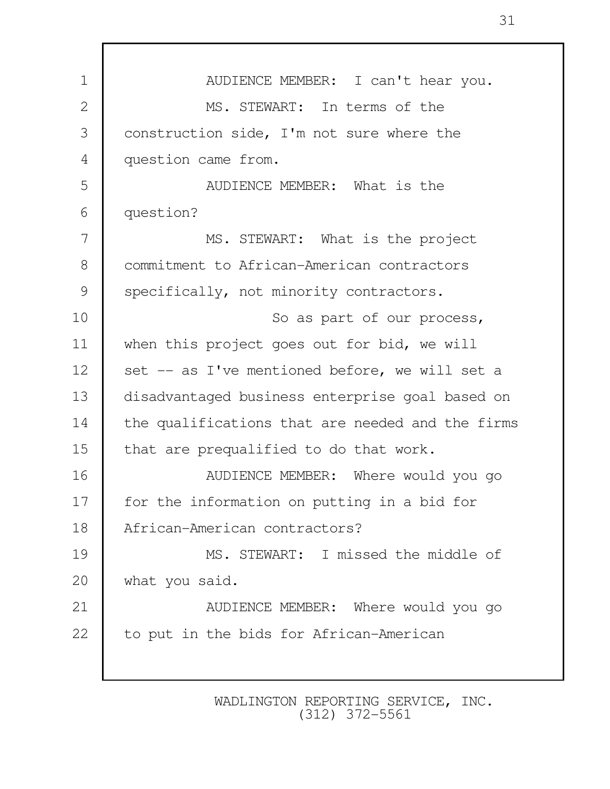| $\mathbf 1$    | AUDIENCE MEMBER: I can't hear you.               |
|----------------|--------------------------------------------------|
| 2              | MS. STEWART: In terms of the                     |
| 3              | construction side, I'm not sure where the        |
| $\overline{4}$ | question came from.                              |
| 5              | AUDIENCE MEMBER: What is the                     |
| 6              | question?                                        |
| 7              | MS. STEWART: What is the project                 |
| 8              | commitment to African-American contractors       |
| 9              | specifically, not minority contractors.          |
| 10             | So as part of our process,                       |
| 11             | when this project goes out for bid, we will      |
| 12             | set -- as I've mentioned before, we will set a   |
| 13             | disadvantaged business enterprise goal based on  |
| 14             | the qualifications that are needed and the firms |
| 15             | that are prequalified to do that work.           |
| 16             | AUDIENCE MEMBER: Where would you go              |
| 17             | for the information on putting in a bid for      |
| 18             | African-American contractors?                    |
| 19             | MS. STEWART: I missed the middle of              |
| 20             | what you said.                                   |
| 21             | AUDIENCE MEMBER: Where would you go              |
| 22             | to put in the bids for African-American          |
|                |                                                  |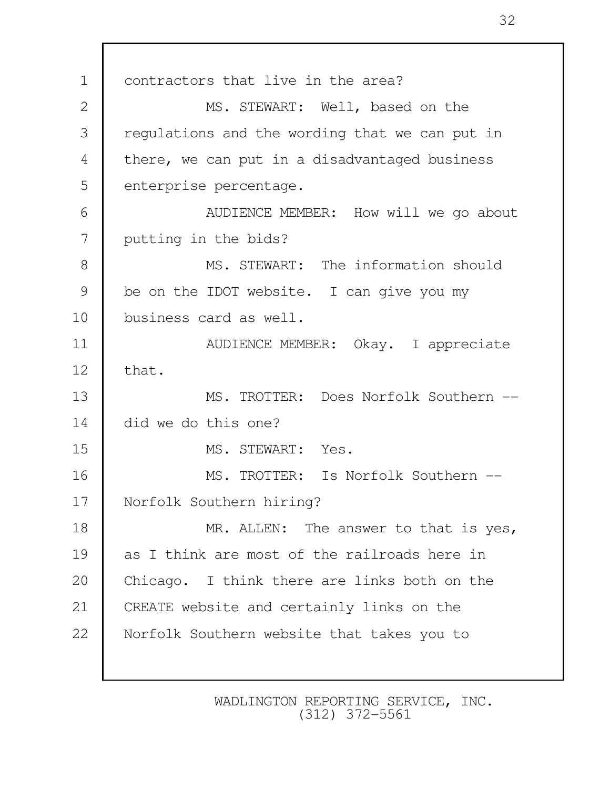1 contractors that live in the area? 2 MS. STEWART: Well, based on the 3 regulations and the wording that we can put in 4 | there, we can put in a disadvantaged business 5 enterprise percentage. 6 AUDIENCE MEMBER: How will we go about 7 putting in the bids? 8 MS. STEWART: The information should 9 be on the IDOT website. I can give you my 10 business card as well. 11 **NUMBER:** Okay. I appreciate  $12$  that. 13 MS. TROTTER: Does Norfolk Southern -- 14 did we do this one? 15 MS. STEWART: Yes. 16 MS. TROTTER: Is Norfolk Southern --17 Norfolk Southern hiring? 18 MR. ALLEN: The answer to that is yes, 19 as I think are most of the railroads here in 20 Chicago. I think there are links both on the 21 CREATE website and certainly links on the 22 Norfolk Southern website that takes you to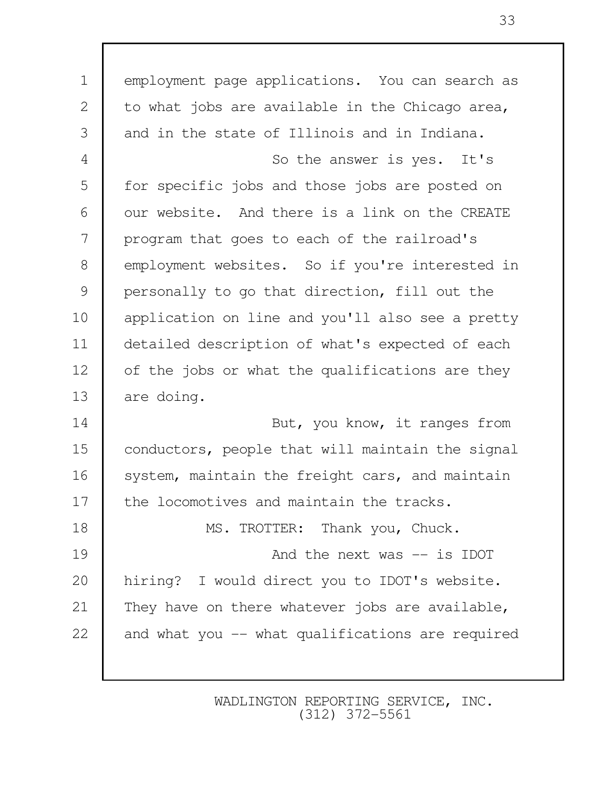| $\mathbf 1$    | employment page applications. You can search as  |
|----------------|--------------------------------------------------|
| $\mathbf{2}$   | to what jobs are available in the Chicago area,  |
| 3              | and in the state of Illinois and in Indiana.     |
| $\overline{4}$ | So the answer is yes. It's                       |
| 5              | for specific jobs and those jobs are posted on   |
| 6              | our website. And there is a link on the CREATE   |
| 7              | program that goes to each of the railroad's      |
| $8\,$          | employment websites. So if you're interested in  |
| 9              | personally to go that direction, fill out the    |
| 10             | application on line and you'll also see a pretty |
| 11             | detailed description of what's expected of each  |
| 12             | of the jobs or what the qualifications are they  |
| 13             | are doing.                                       |
| 14             | But, you know, it ranges from                    |
| 15             | conductors, people that will maintain the signal |
| 16             | system, maintain the freight cars, and maintain  |
| 17             | the locomotives and maintain the tracks.         |
| 18             | MS. TROTTER: Thank you, Chuck.                   |
| 19             | And the next was -- is IDOT                      |
| 20             | hiring? I would direct you to IDOT's website.    |
| 21             | They have on there whatever jobs are available,  |
| 22             | and what you -- what qualifications are required |
|                |                                                  |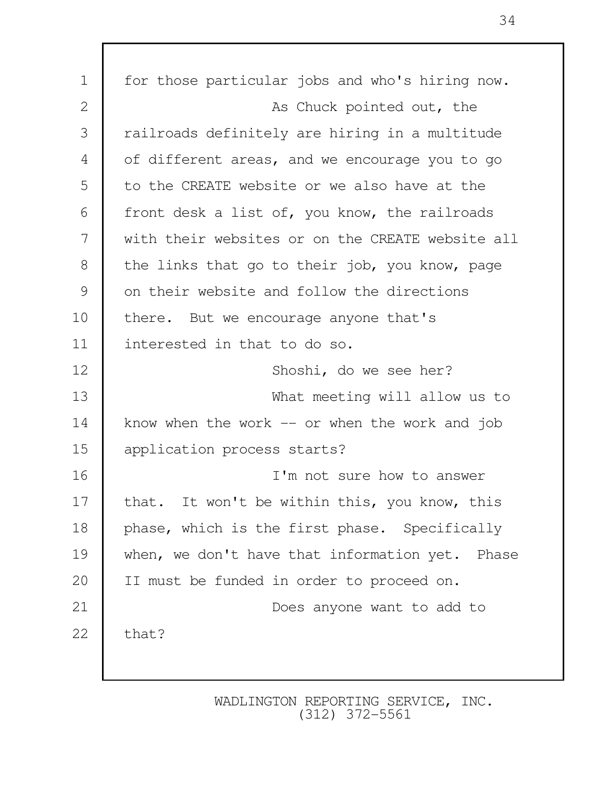| $\mathbf 1$ | for those particular jobs and who's hiring now.  |
|-------------|--------------------------------------------------|
| 2           | As Chuck pointed out, the                        |
| 3           | railroads definitely are hiring in a multitude   |
| 4           | of different areas, and we encourage you to go   |
| 5           | to the CREATE website or we also have at the     |
| 6           | front desk a list of, you know, the railroads    |
| 7           | with their websites or on the CREATE website all |
| 8           | the links that go to their job, you know, page   |
| 9           | on their website and follow the directions       |
| 10          | there. But we encourage anyone that's            |
| 11          | interested in that to do so.                     |
| 12          | Shoshi, do we see her?                           |
| 13          | What meeting will allow us to                    |
| 14          | know when the work $-$ or when the work and job  |
| 15          | application process starts?                      |
| 16          | I'm not sure how to answer                       |
| 17          | that. It won't be within this, you know, this    |
| 18          | phase, which is the first phase. Specifically    |
| 19          | when, we don't have that information yet. Phase  |
| 20          | II must be funded in order to proceed on.        |
| 21          | Does anyone want to add to                       |
| 22          | that?                                            |
|             |                                                  |
|             |                                                  |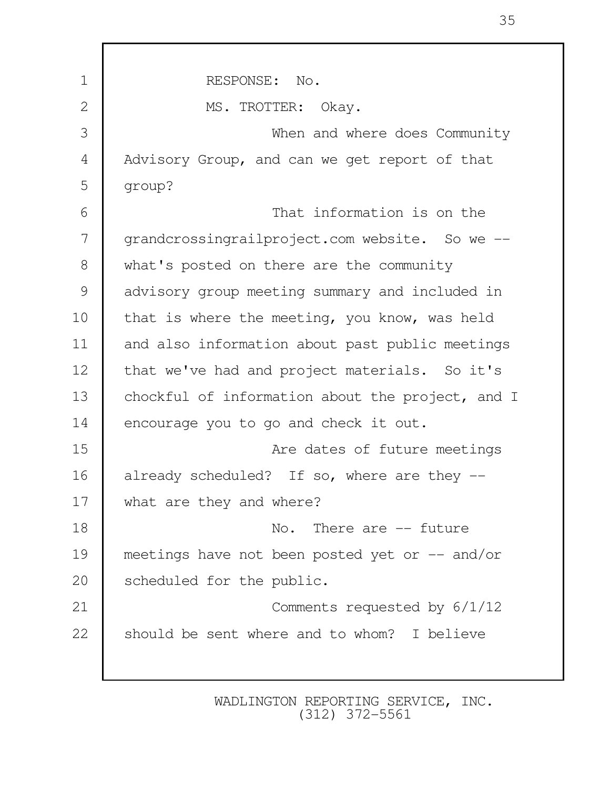| $\mathbf 1$ | RESPONSE: No.                                    |
|-------------|--------------------------------------------------|
| 2           | MS. TROTTER: Okay.                               |
| 3           | When and where does Community                    |
| 4           | Advisory Group, and can we get report of that    |
| 5           | group?                                           |
| 6           | That information is on the                       |
| 7           | grandcrossingrailproject.com website. So we --   |
| 8           | what's posted on there are the community         |
| 9           | advisory group meeting summary and included in   |
| 10          | that is where the meeting, you know, was held    |
| 11          | and also information about past public meetings  |
| 12          | that we've had and project materials. So it's    |
| 13          | chockful of information about the project, and I |
| 14          | encourage you to go and check it out.            |
| 15          | Are dates of future meetings                     |
| 16          | already scheduled? If so, where are they --      |
| 17          | what are they and where?                         |
| 18          | There are $--$ future<br>No.                     |
| 19          | meetings have not been posted yet or $-$ and/or  |
| 20          | scheduled for the public.                        |
| 21          | Comments requested by 6/1/12                     |
| 22          | should be sent where and to whom? I believe      |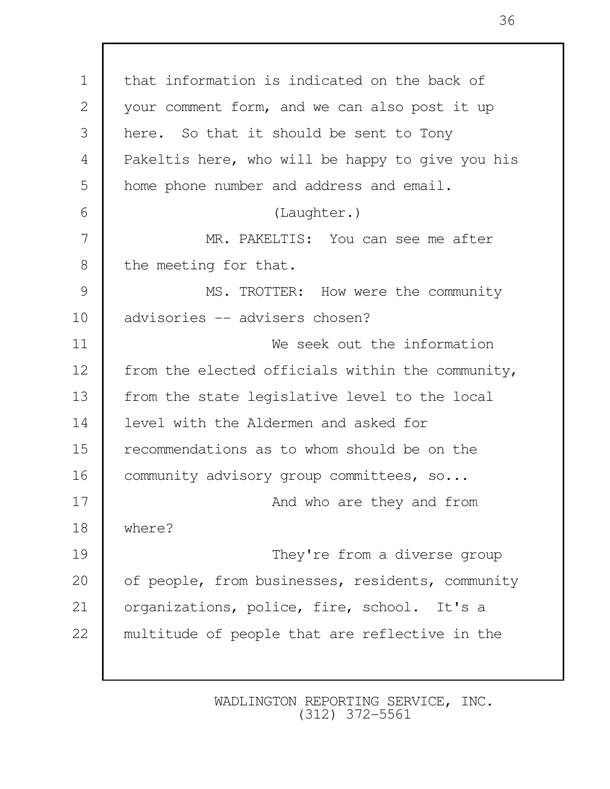1 that information is indicated on the back of 2 your comment form, and we can also post it up 3 here. So that it should be sent to Tony 4 Pakeltis here, who will be happy to give you his 5 home phone number and address and email. 6 (Laughter.) 7 MR. PAKELTIS: You can see me after 8 the meeting for that. 9 MS. TROTTER: How were the community 10 advisories -- advisers chosen? 11 We seek out the information 12 | from the elected officials within the community, 13 from the state legislative level to the local 14 level with the Aldermen and asked for 15 recommendations as to whom should be on the 16 | community advisory group committees, so... 17 **And who are they and from** 18 where? 19 They're from a diverse group 20 of people, from businesses, residents, community 21 | organizations, police, fire, school. It's a 22 multitude of people that are reflective in the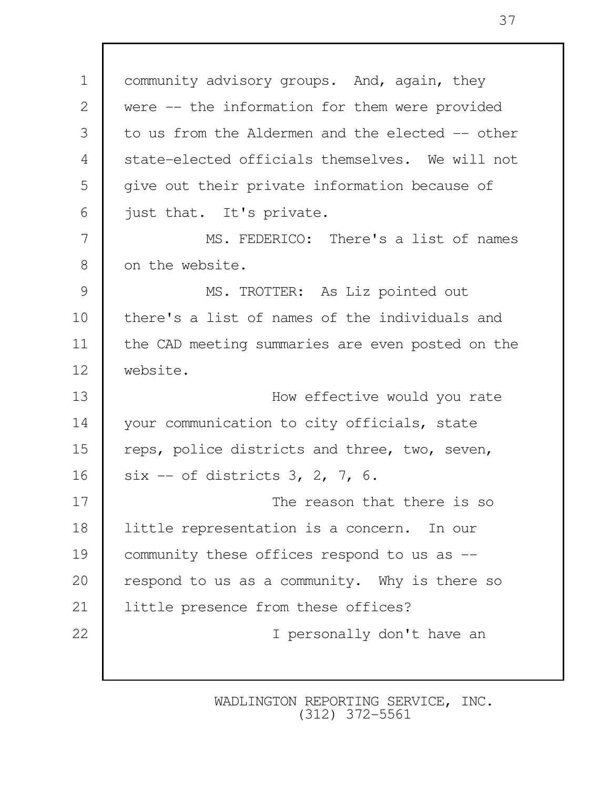1 | community advisory groups. And, again, they 2 were -- the information for them were provided 3 to us from the Aldermen and the elected -- other 4 state-elected officials themselves. We will not 5 give out their private information because of 6 just that. It's private. 7 MS. FEDERICO: There's a list of names 8 on the website. 9 MS. TROTTER: As Liz pointed out 10 there's a list of names of the individuals and 11 the CAD meeting summaries are even posted on the 12 website. 13 **I** How effective would you rate 14 your communication to city officials, state 15 reps, police districts and three, two, seven, 16 six -- of districts 3, 2, 7, 6. 17 The reason that there is so 18 | little representation is a concern. In our 19 community these offices respond to us as -- 20 respond to us as a community. Why is there so 21 little presence from these offices? 22 I personally don't have an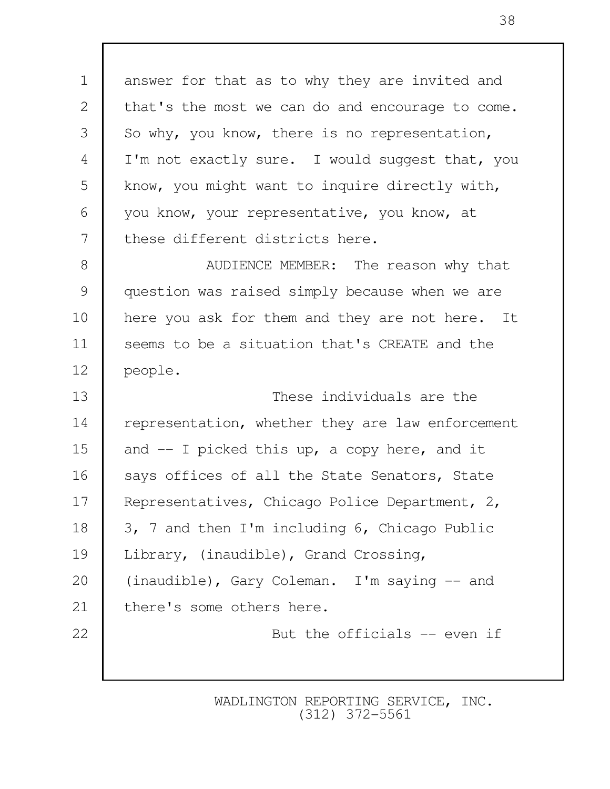1 answer for that as to why they are invited and 2 that's the most we can do and encourage to come. 3 So why, you know, there is no representation, 4 I'm not exactly sure. I would suggest that, you 5 know, you might want to inquire directly with, 6 you know, your representative, you know, at 7 these different districts here. 8 **B** AUDIENCE MEMBER: The reason why that 9 question was raised simply because when we are 10 here you ask for them and they are not here. It 11 Seems to be a situation that's CREATE and the 12 people. 13 These individuals are the 14 representation, whether they are law enforcement 15 and -- I picked this up, a copy here, and it 16 Says offices of all the State Senators, State 17 Representatives, Chicago Police Department, 2, 18 3, 7 and then I'm including 6, Chicago Public 19 Library, (inaudible), Grand Crossing, 20 (inaudible), Gary Coleman. I'm saying -- and 21 | there's some others here. 22 **But the officials -- even if**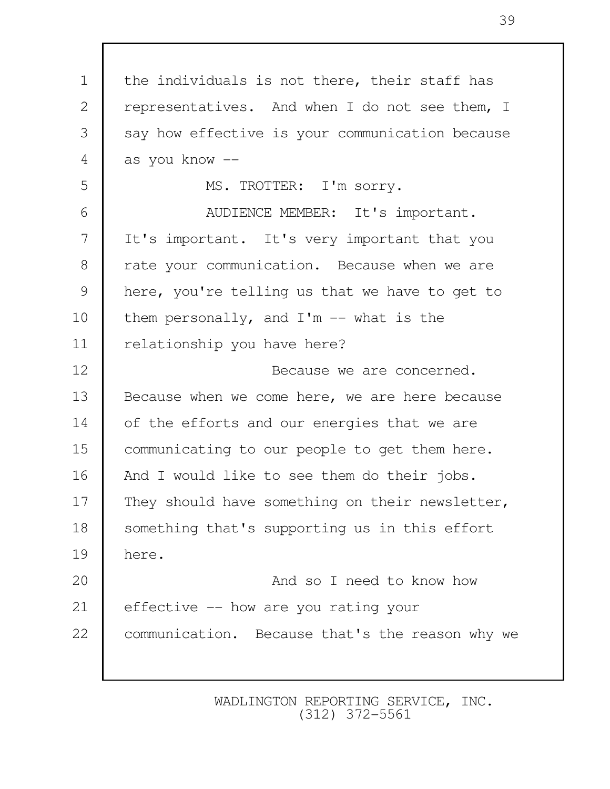1 the individuals is not there, their staff has 2 representatives. And when I do not see them, I 3 say how effective is your communication because  $4 \mid$  as you know  $-$  5 MS. TROTTER: I'm sorry. 6 | AUDIENCE MEMBER: It's important. 7 It's important. It's very important that you 8 T rate your communication. Because when we are 9 here, you're telling us that we have to get to 10 | them personally, and  $I'm -- what is the$ 11 | relationship you have here? 12 Because we are concerned. 13 Because when we come here, we are here because 14 of the efforts and our energies that we are 15 communicating to our people to get them here. 16 And I would like to see them do their jobs. 17 They should have something on their newsletter, 18 Something that's supporting us in this effort 19 here. 20 **And so I need to know how** 21 effective -- how are you rating your 22 communication. Because that's the reason why we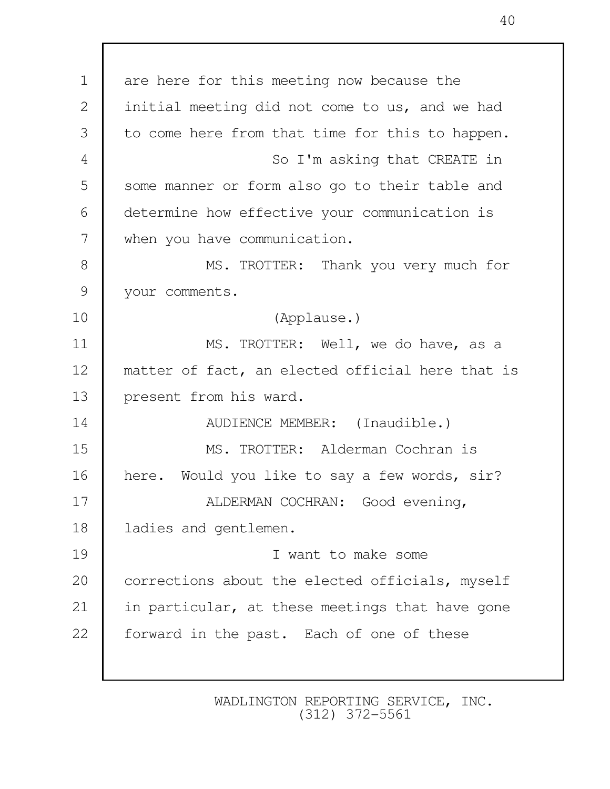1 are here for this meeting now because the 2 initial meeting did not come to us, and we had 3 to come here from that time for this to happen. 4 So I'm asking that CREATE in 5 some manner or form also go to their table and 6 determine how effective your communication is 7 when you have communication. 8 MS. TROTTER: Thank you very much for 9 | your comments. 10 (Applause.) 11 MS. TROTTER: Well, we do have, as a 12 matter of fact, an elected official here that is 13 present from his ward. 14 NUDIENCE MEMBER: (Inaudible.) 15 MS. TROTTER: Alderman Cochran is 16 here. Would you like to say a few words, sir? 17 | ALDERMAN COCHRAN: Good evening, 18 | ladies and gentlemen. 19 I want to make some 20 corrections about the elected officials, myself 21 in particular, at these meetings that have gone 22 forward in the past. Each of one of these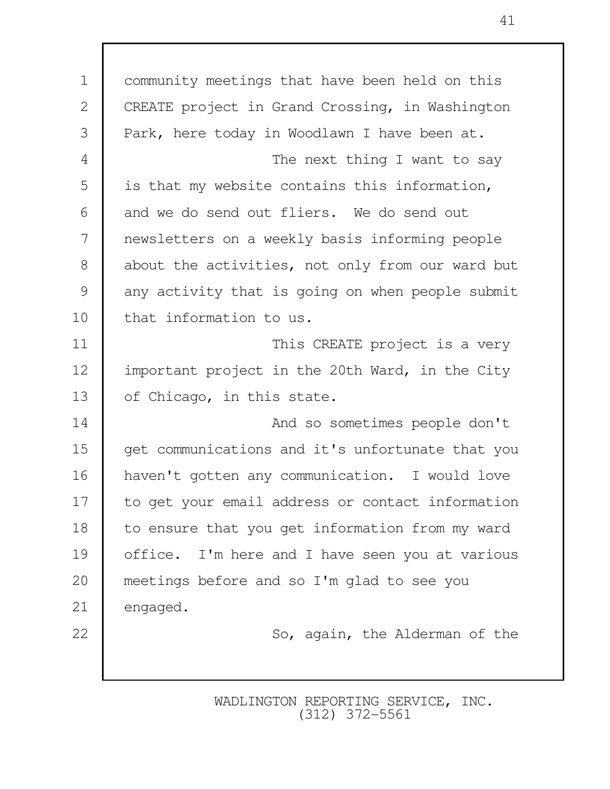| $\mathbf 1$    | community meetings that have been held on this   |
|----------------|--------------------------------------------------|
| $\mathbf{2}$   | CREATE project in Grand Crossing, in Washington  |
| 3              | Park, here today in Woodlawn I have been at.     |
| $\overline{4}$ | The next thing I want to say                     |
| 5              | is that my website contains this information,    |
| 6              | and we do send out fliers. We do send out        |
| 7              | newsletters on a weekly basis informing people   |
| 8              | about the activities, not only from our ward but |
| 9              | any activity that is going on when people submit |
| 10             | that information to us.                          |
| 11             | This CREATE project is a very                    |
| 12             | important project in the 20th Ward, in the City  |
| 13             | of Chicago, in this state.                       |
| 14             | And so sometimes people don't                    |
| 15             | get communications and it's unfortunate that you |
| 16             | haven't gotten any communication. I would love   |
| 17             | to get your email address or contact information |
| 18             | to ensure that you get information from my ward  |
| 19             | office. I'm here and I have seen you at various  |
| 20             | meetings before and so I'm glad to see you       |
| 21             | engaged.                                         |
| 22             | So, again, the Alderman of the                   |
|                |                                                  |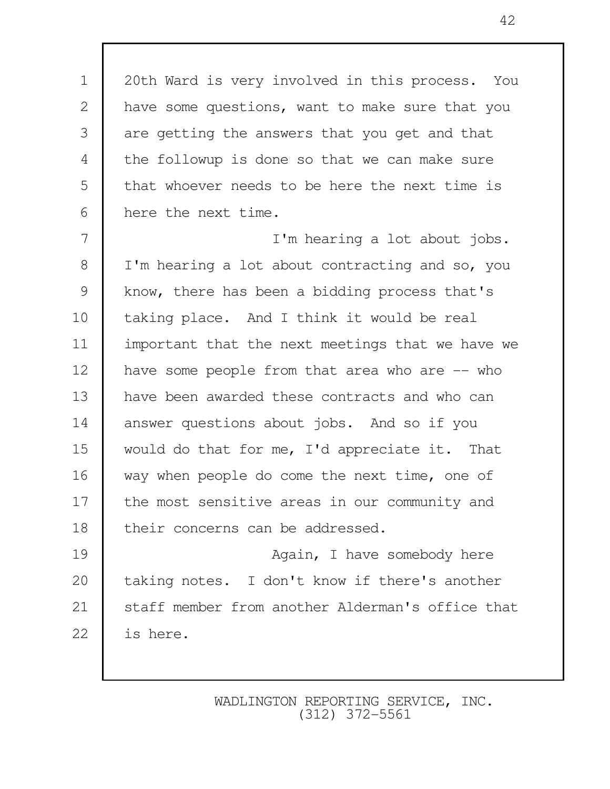1 20th Ward is very involved in this process. You 2 have some questions, want to make sure that you 3 are getting the answers that you get and that 4 the followup is done so that we can make sure 5 that whoever needs to be here the next time is 6 here the next time.

 7 I'm hearing a lot about jobs. 8 I I'm hearing a lot about contracting and so, you 9 | know, there has been a bidding process that's 10 taking place. And I think it would be real 11 important that the next meetings that we have we 12 have some people from that area who are -- who 13 have been awarded these contracts and who can 14 answer questions about jobs. And so if you 15 would do that for me, I'd appreciate it. That 16 way when people do come the next time, one of 17 the most sensitive areas in our community and 18 their concerns can be addressed. 19 **Again**, I have somebody here

20 taking notes. I don't know if there's another 21 Staff member from another Alderman's office that 22 is here.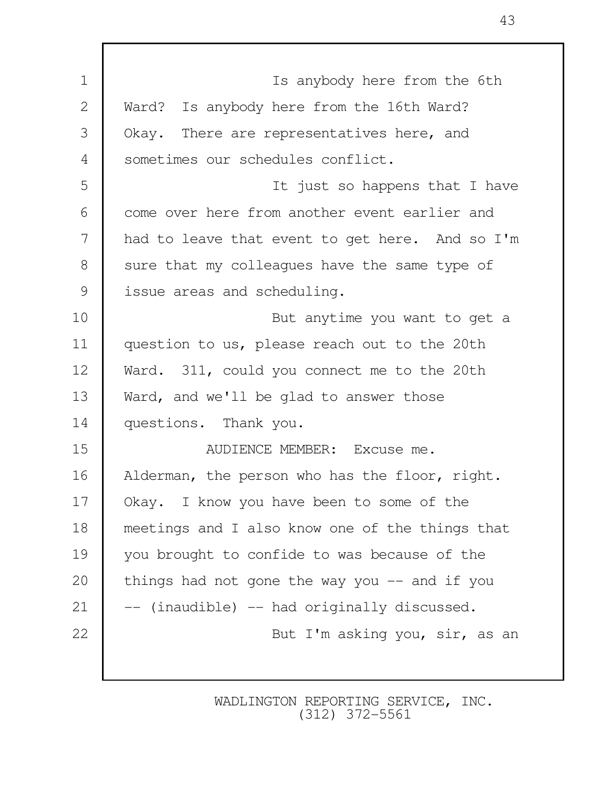| $\mathbf 1$    | Is anybody here from the 6th                    |
|----------------|-------------------------------------------------|
| $\mathbf{2}$   | Ward? Is anybody here from the 16th Ward?       |
| 3              | Okay. There are representatives here, and       |
| $\overline{4}$ | sometimes our schedules conflict.               |
| 5              | It just so happens that I have                  |
| 6              | come over here from another event earlier and   |
| 7              | had to leave that event to get here. And so I'm |
| 8              | sure that my colleagues have the same type of   |
| 9              | issue areas and scheduling.                     |
| 10             | But anytime you want to get a                   |
| 11             | question to us, please reach out to the 20th    |
| 12             | Ward. 311, could you connect me to the 20th     |
| 13             | Ward, and we'll be glad to answer those         |
| 14             | questions. Thank you.                           |
| 15             | AUDIENCE MEMBER: Excuse me.                     |
| 16             | Alderman, the person who has the floor, right.  |
| 17             | Okay. I know you have been to some of the       |
| 18             | meetings and I also know one of the things that |
| 19             | you brought to confide to was because of the    |
| 20             | things had not gone the way you $--$ and if you |
| 21             | -- (inaudible) -- had originally discussed.     |
| 22             | But I'm asking you, sir, as an                  |
|                |                                                 |

Г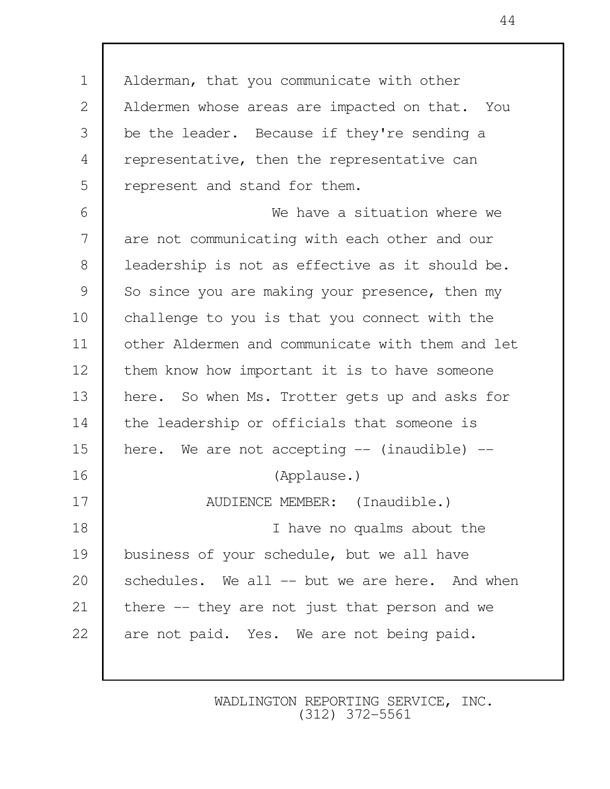1 Alderman, that you communicate with other 2 | Aldermen whose areas are impacted on that. You 3 be the leader. Because if they're sending a 4 representative, then the representative can 5 represent and stand for them. 6 We have a situation where we 7 are not communicating with each other and our 8 | leadership is not as effective as it should be. 9 So since you are making your presence, then my 10 challenge to you is that you connect with the 11 other Aldermen and communicate with them and let 12 them know how important it is to have someone 13 here. So when Ms. Trotter gets up and asks for 14 the leadership or officials that someone is 15 here. We are not accepting  $-$  (inaudible)  $-$ 16 (Applause.) 17 NUDIENCE MEMBER: (Inaudible.) 18 I have no qualms about the 19 business of your schedule, but we all have 20 schedules. We all -- but we are here. And when 21 there -- they are not just that person and we 22 are not paid. Yes. We are not being paid.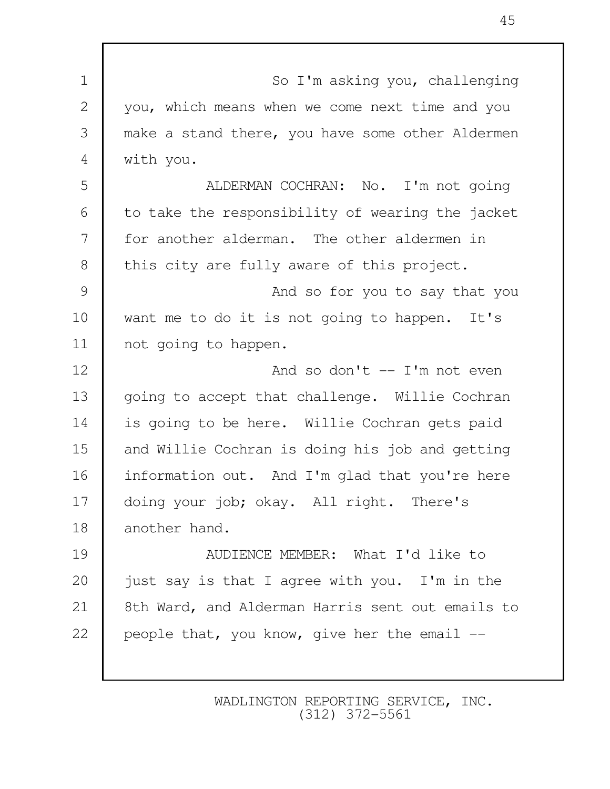| $\mathbf 1$    | So I'm asking you, challenging                   |
|----------------|--------------------------------------------------|
| $\mathbf{2}$   | you, which means when we come next time and you  |
| 3              | make a stand there, you have some other Aldermen |
| $\overline{4}$ | with you.                                        |
| 5              | ALDERMAN COCHRAN: No. I'm not going              |
| 6              | to take the responsibility of wearing the jacket |
| 7              | for another alderman. The other aldermen in      |
| 8              | this city are fully aware of this project.       |
| 9              | And so for you to say that you                   |
| 10             | want me to do it is not going to happen. It's    |
| 11             | not going to happen.                             |
| 12             | And so don't $-$ I'm not even                    |
| 13             | going to accept that challenge. Willie Cochran   |
| 14             | is going to be here. Willie Cochran gets paid    |
| 15             | and Willie Cochran is doing his job and getting  |
| 16             | information out. And I'm glad that you're here   |
| 17             | doing your job; okay. All right. There's         |
| 18             | another hand.                                    |
| 19             | AUDIENCE MEMBER: What I'd like to                |
| 20             | just say is that I agree with you. I'm in the    |
| 21             | 8th Ward, and Alderman Harris sent out emails to |
| 22             | people that, you know, give her the email --     |
|                |                                                  |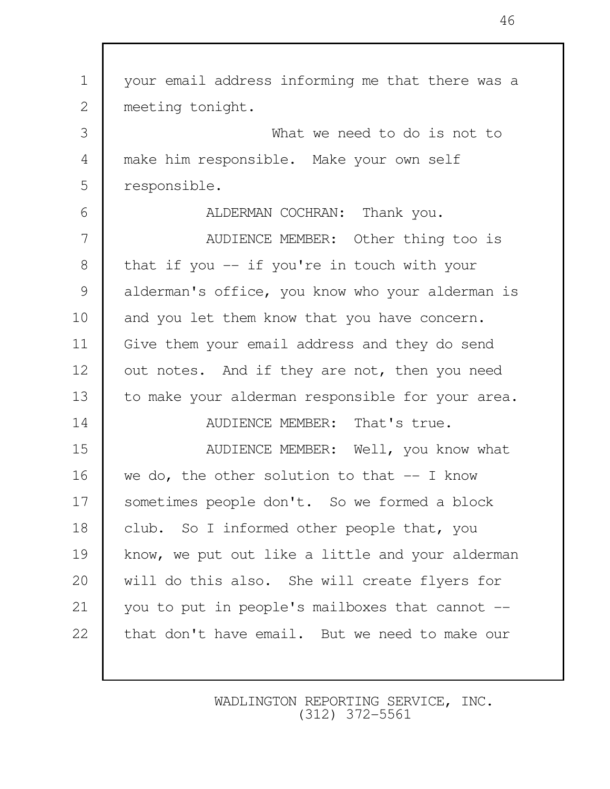| $\mathbf 1$    | your email address informing me that there was a |
|----------------|--------------------------------------------------|
| $\mathbf{2}$   | meeting tonight.                                 |
| 3              | What we need to do is not to                     |
| $\overline{4}$ | make him responsible. Make your own self         |
| 5              | responsible.                                     |
| 6              | ALDERMAN COCHRAN: Thank you.                     |
| 7              | AUDIENCE MEMBER: Other thing too is              |
| $8\,$          | that if you -- if you're in touch with your      |
| $\mathcal{G}$  | alderman's office, you know who your alderman is |
| 10             | and you let them know that you have concern.     |
| 11             | Give them your email address and they do send    |
| 12             | out notes. And if they are not, then you need    |
| 13             | to make your alderman responsible for your area. |
| 14             | AUDIENCE MEMBER: That's true.                    |
| 15             | AUDIENCE MEMBER: Well, you know what             |
| 16             | we do, the other solution to that $-$ I know     |
| 17             | sometimes people don't. So we formed a block     |
| 18             | club. So I informed other people that, you       |
| 19             | know, we put out like a little and your alderman |
| 20             | will do this also. She will create flyers for    |
| 21             | you to put in people's mailboxes that cannot --  |
| 22             | that don't have email. But we need to make our   |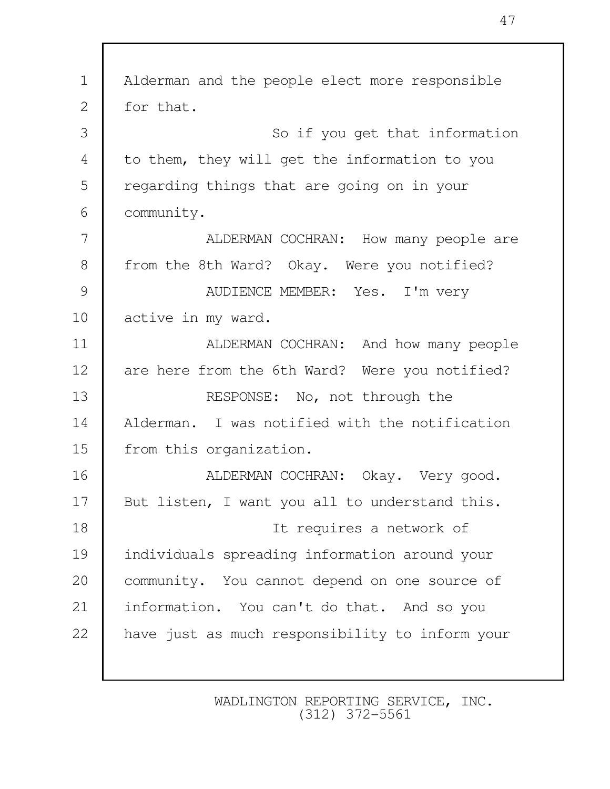| $\mathbf 1$    | Alderman and the people elect more responsible  |
|----------------|-------------------------------------------------|
| $\mathbf{2}$   | for that.                                       |
| 3              | So if you get that information                  |
| $\overline{4}$ | to them, they will get the information to you   |
| 5              | regarding things that are going on in your      |
| 6              | community.                                      |
| 7              | ALDERMAN COCHRAN: How many people are           |
| $8\,$          | from the 8th Ward? Okay. Were you notified?     |
| $\mathcal{G}$  | AUDIENCE MEMBER: Yes. I'm very                  |
| 10             | active in my ward.                              |
| 11             | ALDERMAN COCHRAN: And how many people           |
| 12             | are here from the 6th Ward? Were you notified?  |
| 13             | RESPONSE: No, not through the                   |
| 14             | Alderman. I was notified with the notification  |
| 15             | from this organization.                         |
| 16             | ALDERMAN COCHRAN: Okay. Very good.              |
| 17             | But listen, I want you all to understand this.  |
| 18             | It requires a network of                        |
| 19             | individuals spreading information around your   |
| 20             | community. You cannot depend on one source of   |
| 21             | information. You can't do that. And so you      |
| 22             | have just as much responsibility to inform your |
|                |                                                 |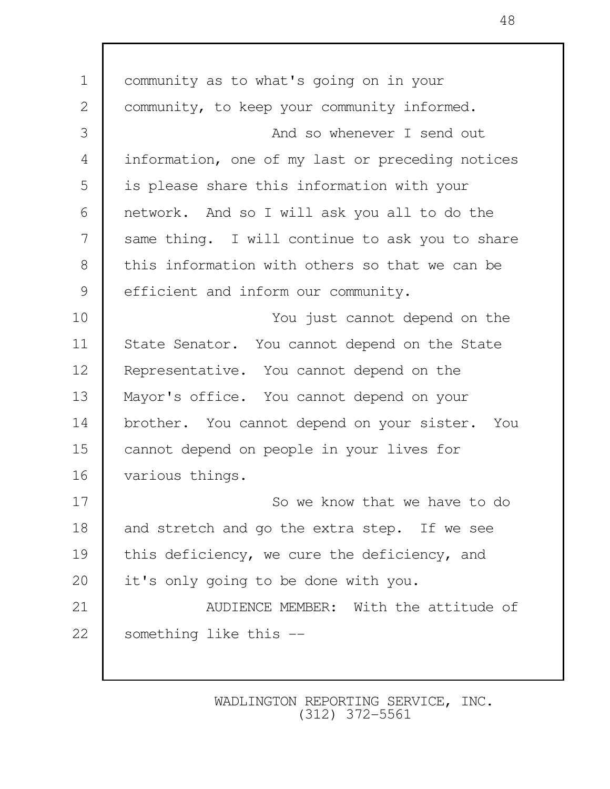1 community as to what's going on in your 2 | community, to keep your community informed. 3 And so whenever I send out 4 information, one of my last or preceding notices 5 | is please share this information with your 6 network. And so I will ask you all to do the 7 Same thing. I will continue to ask you to share 8 this information with others so that we can be 9 efficient and inform our community. 10 You just cannot depend on the 11 State Senator. You cannot depend on the State 12 Representative. You cannot depend on the 13 Mayor's office. You cannot depend on your 14 brother. You cannot depend on your sister. You 15 cannot depend on people in your lives for 16 various things. 17 **I** So we know that we have to do 18 and stretch and go the extra step. If we see 19 this deficiency, we cure the deficiency, and 20 it's only going to be done with you. 21 **AUDIENCE MEMBER:** With the attitude of 22 Something like this --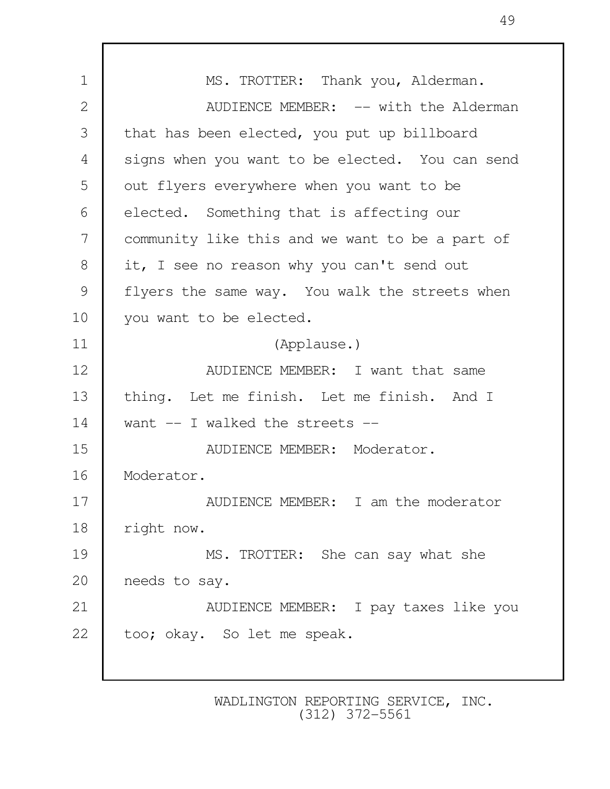1 MS. TROTTER: Thank you, Alderman. 2 | AUDIENCE MEMBER: -- with the Alderman 3 that has been elected, you put up billboard 4 signs when you want to be elected. You can send 5 | out flyers everywhere when you want to be 6 elected. Something that is affecting our 7 community like this and we want to be a part of 8 it, I see no reason why you can't send out 9 | flyers the same way. You walk the streets when 10 you want to be elected. 11 (Applause.) 12 **AUDIENCE MEMBER:** I want that same 13 thing. Let me finish. Let me finish. And I 14 want -- I walked the streets --15 NUDIENCE MEMBER: Moderator. 16 Moderator. 17 Number 2015 MEMBER: I am the moderator 18 | right now. 19 MS. TROTTER: She can say what she 20 needs to say. 21 AUDIENCE MEMBER: I pay taxes like you 22 too; okay. So let me speak.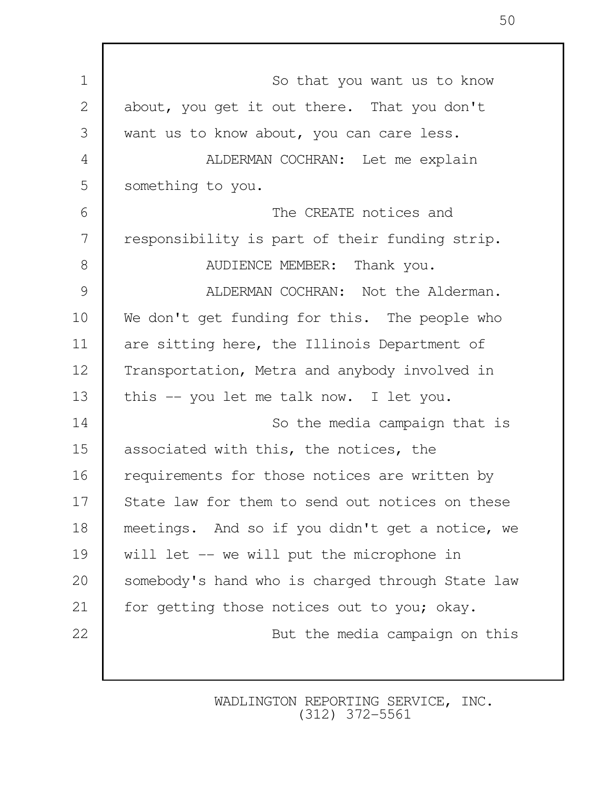| $\mathbf 1$    | So that you want us to know                      |
|----------------|--------------------------------------------------|
| $\mathbf{2}$   | about, you get it out there. That you don't      |
| 3              | want us to know about, you can care less.        |
| $\overline{4}$ | ALDERMAN COCHRAN: Let me explain                 |
| 5              | something to you.                                |
| 6              | The CREATE notices and                           |
| 7              | responsibility is part of their funding strip.   |
| 8              | AUDIENCE MEMBER: Thank you.                      |
| 9              | ALDERMAN COCHRAN: Not the Alderman.              |
| 10             | We don't get funding for this. The people who    |
| 11             | are sitting here, the Illinois Department of     |
| 12             | Transportation, Metra and anybody involved in    |
| 13             | this -- you let me talk now. I let you.          |
| 14             | So the media campaign that is                    |
| 15             | associated with this, the notices, the           |
| 16             | requirements for those notices are written by    |
| 17             | State law for them to send out notices on these  |
| 18             | meetings. And so if you didn't get a notice, we  |
| 19             | will let -- we will put the microphone in        |
| 20             | somebody's hand who is charged through State law |
| 21             | for getting those notices out to you; okay.      |
| 22             | But the media campaign on this                   |
|                |                                                  |

Г

WADLINGTON REPORTING SERVICE, INC. (312) 372-5561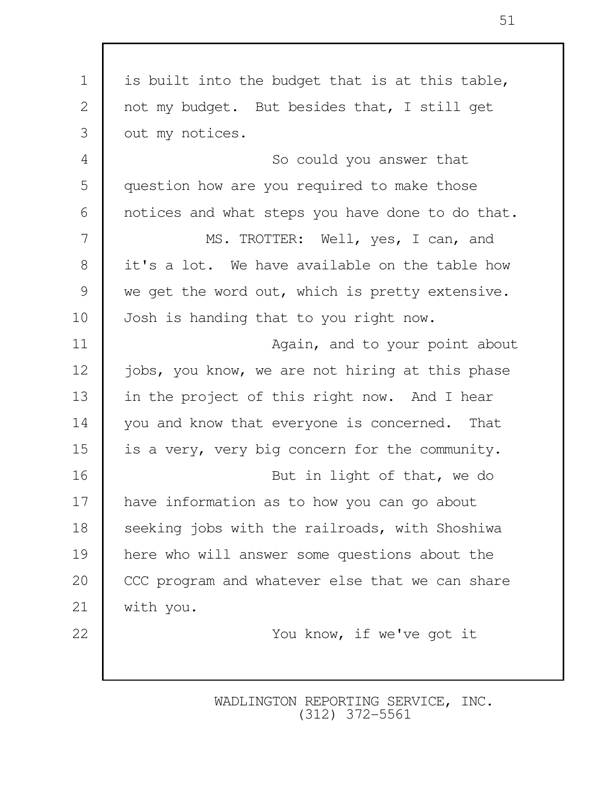| $\mathbf 1$ | is built into the budget that is at this table,  |
|-------------|--------------------------------------------------|
| 2           | not my budget. But besides that, I still get     |
| 3           | out my notices.                                  |
| 4           | So could you answer that                         |
| 5           | question how are you required to make those      |
| 6           | notices and what steps you have done to do that. |
| 7           | MS. TROTTER: Well, yes, I can, and               |
| 8           | it's a lot. We have available on the table how   |
| 9           | we get the word out, which is pretty extensive.  |
| 10          | Josh is handing that to you right now.           |
| 11          | Again, and to your point about                   |
| 12          | jobs, you know, we are not hiring at this phase  |
| 13          | in the project of this right now. And I hear     |
| 14          | you and know that everyone is concerned. That    |
| 15          | is a very, very big concern for the community.   |
| 16          | But in light of that, we do                      |
| 17          | have information as to how you can go about      |
| 18          | seeking jobs with the railroads, with Shoshiwa   |
| 19          | here who will answer some questions about the    |
| 20          | CCC program and whatever else that we can share  |
| 21          | with you.                                        |
| 22          | You know, if we've got it                        |
|             |                                                  |
|             |                                                  |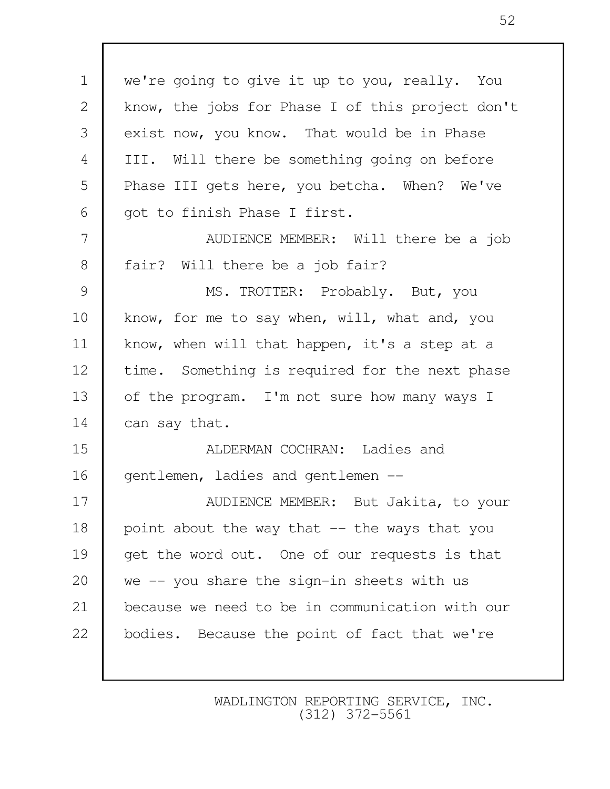1 we're going to give it up to you, really. You 2 | know, the jobs for Phase I of this project don't 3 exist now, you know. That would be in Phase 4 III. Will there be something going on before 5 Phase III gets here, you betcha. When? We've 6 | got to finish Phase I first. 7 AUDIENCE MEMBER: Will there be a job 8 | fair? Will there be a job fair? 9 MS. TROTTER: Probably. But, you 10 know, for me to say when, will, what and, you 11 | know, when will that happen, it's a step at a 12 time. Something is required for the next phase 13 of the program. I'm not sure how many ways I 14 can say that. 15 **ALDERMAN COCHRAN:** Ladies and 16 | gentlemen, ladies and gentlemen --17 NUDIENCE MEMBER: But Jakita, to your 18 | point about the way that  $-$  the ways that you 19 get the word out. One of our requests is that 20 we -- you share the sign-in sheets with us 21 because we need to be in communication with our 22 bodies. Because the point of fact that we're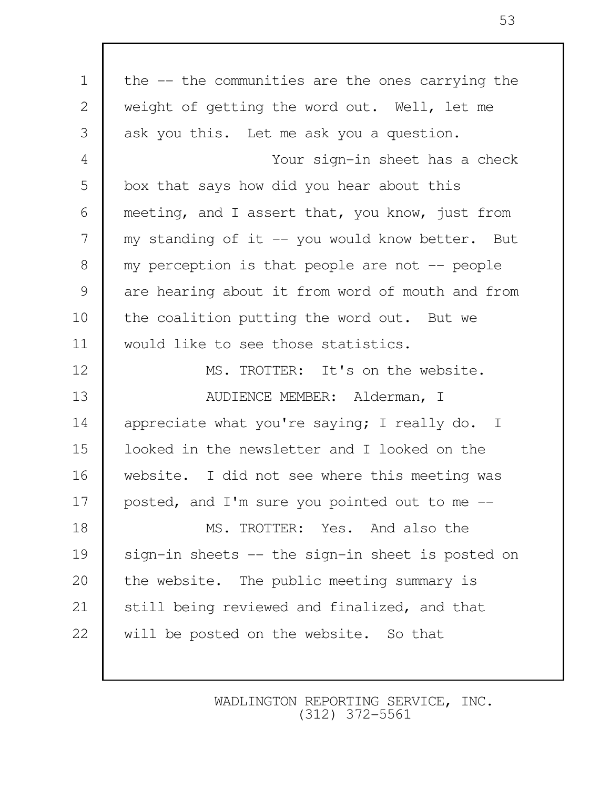| $\mathbf 1$   | the -- the communities are the ones carrying the |
|---------------|--------------------------------------------------|
| $\mathbf{2}$  | weight of getting the word out. Well, let me     |
| 3             | ask you this. Let me ask you a question.         |
| 4             | Your sign-in sheet has a check                   |
| 5             | box that says how did you hear about this        |
| 6             | meeting, and I assert that, you know, just from  |
| 7             | my standing of it -- you would know better. But  |
| $8\,$         | my perception is that people are not $-$ people  |
| $\mathcal{G}$ | are hearing about it from word of mouth and from |
| 10            | the coalition putting the word out. But we       |
| 11            | would like to see those statistics.              |
| 12            | MS. TROTTER: It's on the website.                |
| 13            | AUDIENCE MEMBER: Alderman, I                     |
| 14            | appreciate what you're saying; I really do. I    |
| 15            | looked in the newsletter and I looked on the     |
| 16            | website. I did not see where this meeting was    |
| 17            | posted, and I'm sure you pointed out to me --    |
| 18            | MS. TROTTER: Yes. And also the                   |
| 19            | sign-in sheets -- the sign-in sheet is posted on |
| 20            | the website. The public meeting summary is       |
| 21            | still being reviewed and finalized, and that     |
| 22            | will be posted on the website. So that           |
|               |                                                  |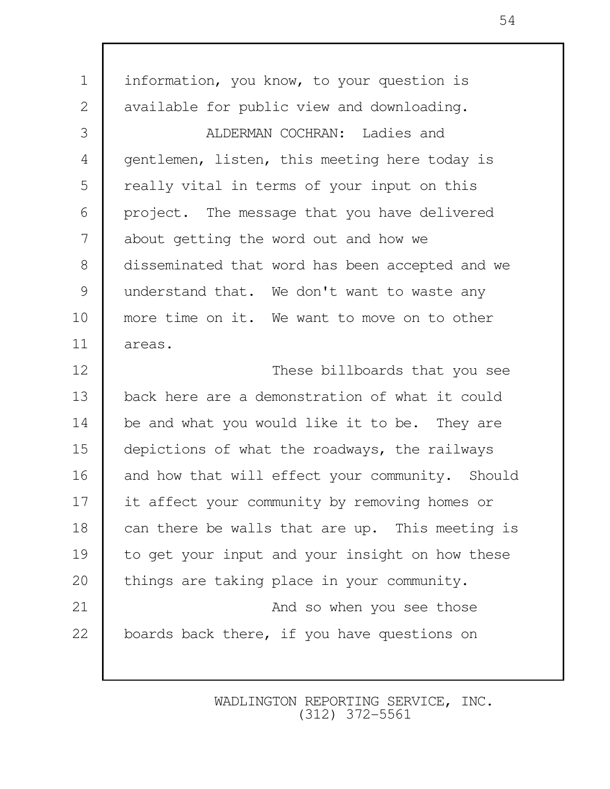1 | information, you know, to your question is 2 | available for public view and downloading. 3 ALDERMAN COCHRAN: Ladies and 4 gentlemen, listen, this meeting here today is 5 | really vital in terms of your input on this 6 project. The message that you have delivered 7 about getting the word out and how we 8 disseminated that word has been accepted and we 9 understand that. We don't want to waste any 10 more time on it. We want to move on to other 11 areas. 12 These billboards that you see 13 back here are a demonstration of what it could 14 be and what you would like it to be. They are 15 depictions of what the roadways, the railways 16 and how that will effect your community. Should 17 it affect your community by removing homes or 18 can there be walls that are up. This meeting is 19 to get your input and your insight on how these 20 things are taking place in your community. 21 **And so when you see those** 22 boards back there, if you have questions on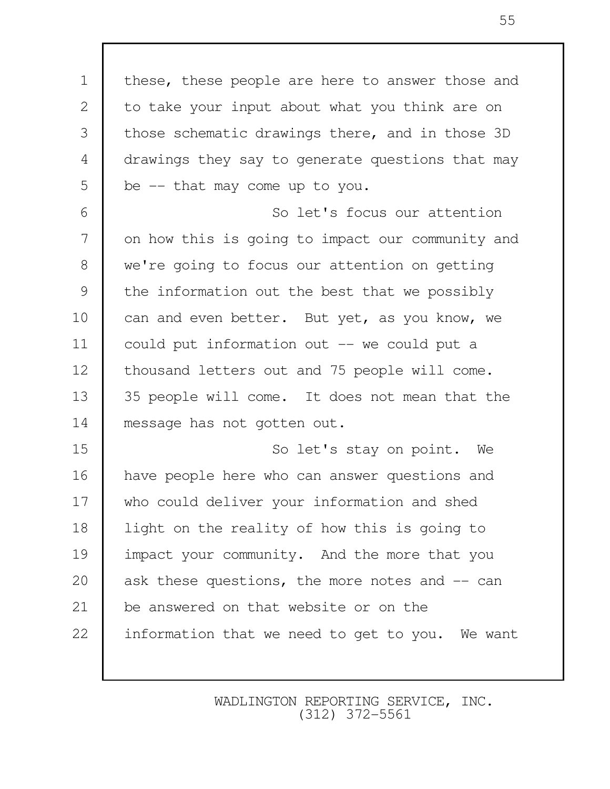1 | these, these people are here to answer those and 2 to take your input about what you think are on 3 those schematic drawings there, and in those 3D 4 drawings they say to generate questions that may  $5 \mid$  be  $-$  that may come up to you. 6 So let's focus our attention 7 on how this is going to impact our community and 8 we're going to focus our attention on getting 9 the information out the best that we possibly 10 can and even better. But yet, as you know, we 11 could put information out -- we could put a 12 | thousand letters out and 75 people will come. 13 35 people will come. It does not mean that the 14 message has not gotten out. 15 So let's stay on point. We 16 have people here who can answer questions and 17 who could deliver your information and shed 18 | light on the reality of how this is going to 19 impact your community. And the more that you 20 ask these questions, the more notes and -- can 21 be answered on that website or on the 22 information that we need to get to you. We want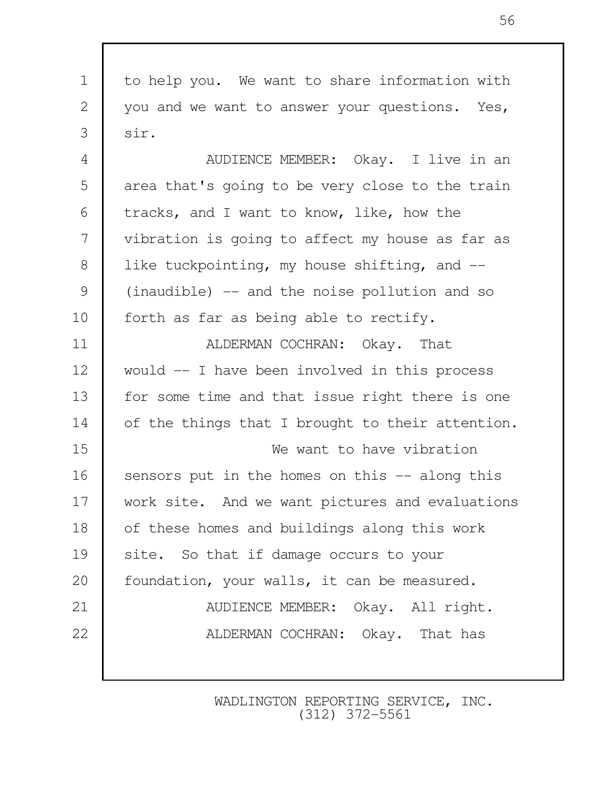1 to help you. We want to share information with 2 you and we want to answer your questions. Yes,  $3 \text{ sin.}$ 4 **AUDIENCE MEMBER:** Okay. I live in an 5 area that's going to be very close to the train  $6$  tracks, and I want to know, like, how the 7 vibration is going to affect my house as far as 8 | like tuckpointing, my house shifting, and -- 9 (inaudible) -- and the noise pollution and so 10 | forth as far as being able to rectify. 11 **ALDERMAN COCHRAN:** Okay. That 12 would -- I have been involved in this process 13 for some time and that issue right there is one 14 of the things that I brought to their attention. 15 We want to have vibration 16 sensors put in the homes on this -- along this 17 work site. And we want pictures and evaluations 18 of these homes and buildings along this work 19 site. So that if damage occurs to your 20 | foundation, your walls, it can be measured. 21 **AUDIENCE MEMBER:** Okay. All right. 22 **ALDERMAN COCHRAN:** Okay. That has

> WADLINGTON REPORTING SERVICE, INC. (312) 372-5561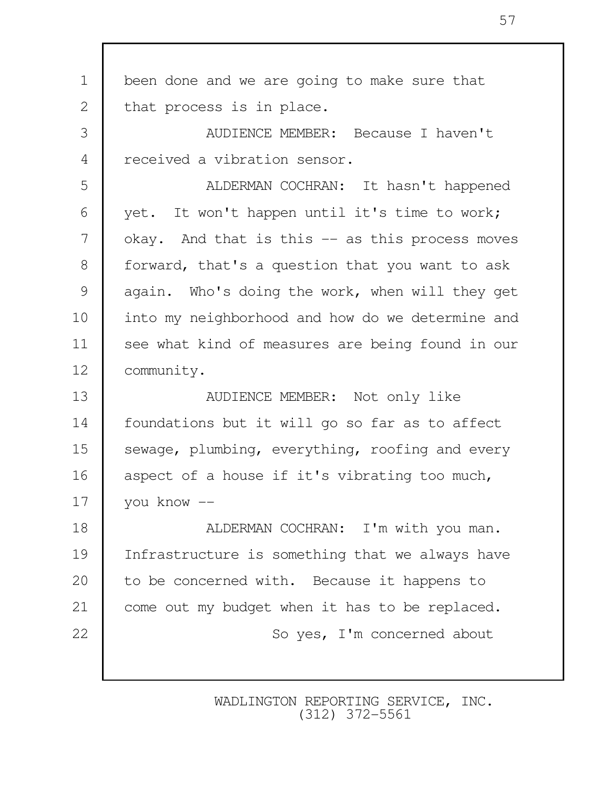1 been done and we are going to make sure that 2 that process is in place. 3 AUDIENCE MEMBER: Because I haven't 4 received a vibration sensor. 5 ALDERMAN COCHRAN: It hasn't happened 6 yet. It won't happen until it's time to work; 7 okay. And that is this -- as this process moves 8 | forward, that's a question that you want to ask 9 again. Who's doing the work, when will they get 10 into my neighborhood and how do we determine and 11 see what kind of measures are being found in our 12 community. 13 NUDIENCE MEMBER: Not only like 14 foundations but it will go so far as to affect 15 sewage, plumbing, everything, roofing and every 16 aspect of a house if it's vibrating too much, 17 you know -- 18 **ALDERMAN COCHRAN:** I'm with you man. 19 Infrastructure is something that we always have 20 to be concerned with. Because it happens to 21 come out my budget when it has to be replaced. 22 So yes, I'm concerned about

> WADLINGTON REPORTING SERVICE, INC. (312) 372-5561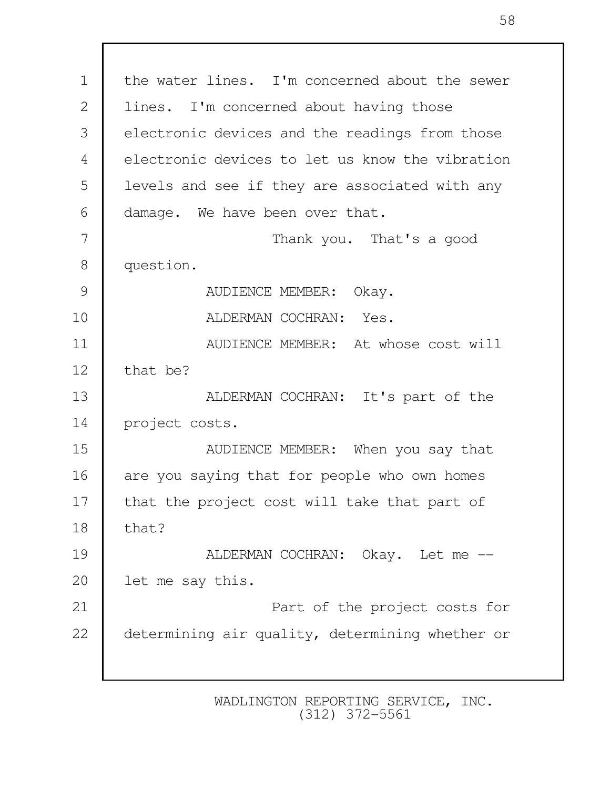1 the water lines. I'm concerned about the sewer 2 lines. I'm concerned about having those 3 electronic devices and the readings from those 4 electronic devices to let us know the vibration 5 | levels and see if they are associated with any 6 damage. We have been over that. 7 Thank you. That's a good 8 question. 9 AUDIENCE MEMBER: Okay. 10 ALDERMAN COCHRAN: Yes. 11 **Number II** AUDIENCE MEMBER: At whose cost will 12 that be? 13 ALDERMAN COCHRAN: It's part of the 14 project costs. 15 Nunlemed MEMBER: When you say that 16 are you saying that for people who own homes 17 | that the project cost will take that part of  $18$  that? 19 **ALDERMAN COCHRAN:** Okay. Let me --20 let me say this. 21 **Part of the project costs for** 22 determining air quality, determining whether or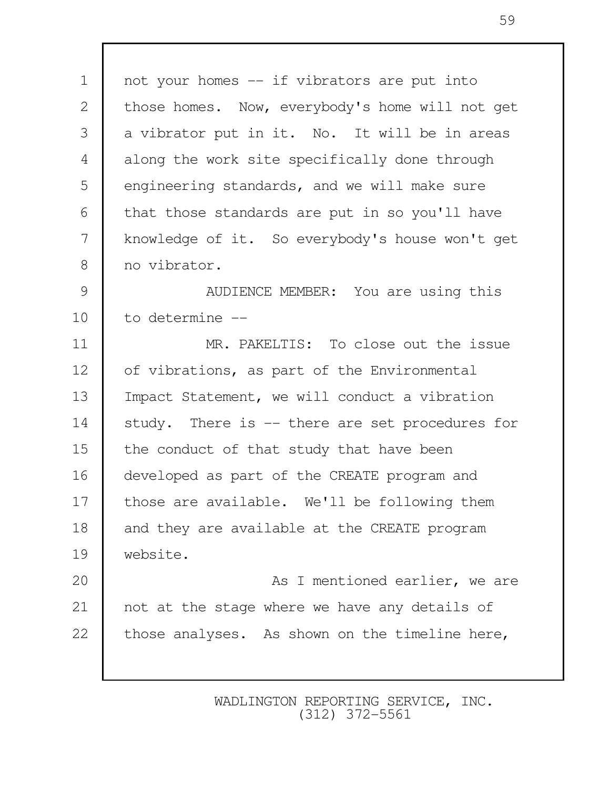1 | not your homes -- if vibrators are put into 2 those homes. Now, everybody's home will not get 3 a vibrator put in it. No. It will be in areas 4 along the work site specifically done through 5 engineering standards, and we will make sure  $6$  that those standards are put in so you'll have 7 knowledge of it. So everybody's house won't get 8 no vibrator. 9 | AUDIENCE MEMBER: You are using this 10 to determine -- 11 MR. PAKELTIS: To close out the issue 12 of vibrations, as part of the Environmental 13 | Impact Statement, we will conduct a vibration 14 study. There is -- there are set procedures for 15 the conduct of that study that have been 16 developed as part of the CREATE program and 17 those are available. We'll be following them 18 and they are available at the CREATE program 19 website. 20 **As I mentioned earlier, we are** 21 not at the stage where we have any details of 22 those analyses. As shown on the timeline here,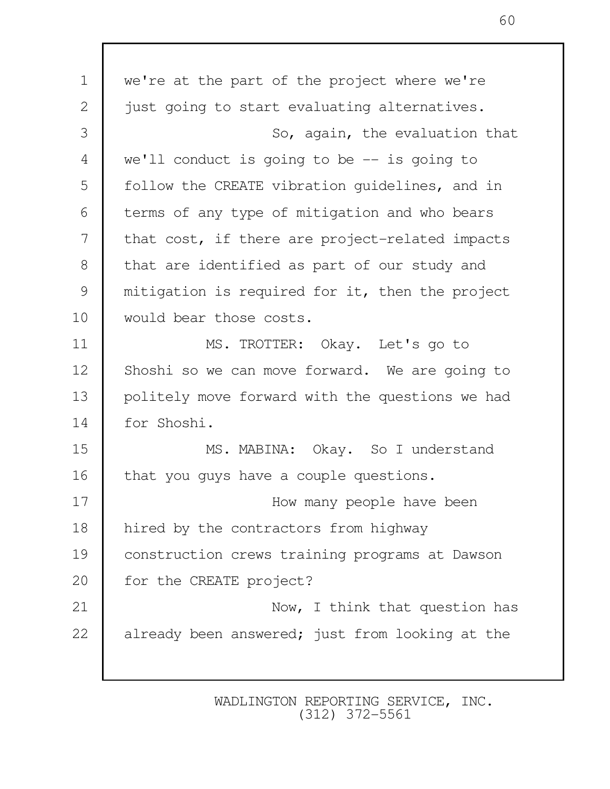1 we're at the part of the project where we're 2 just going to start evaluating alternatives. 3 So, again, the evaluation that 4 we'll conduct is going to be -- is going to 5 | follow the CREATE vibration quidelines, and in 6 terms of any type of mitigation and who bears 7 that cost, if there are project-related impacts 8 that are identified as part of our study and 9 mitigation is required for it, then the project 10 would bear those costs. 11 MS. TROTTER: Okay. Let's go to 12 Shoshi so we can move forward. We are going to 13 politely move forward with the questions we had 14 for Shoshi. 15 MS. MABINA: Okay. So I understand 16 that you guys have a couple questions. 17 **How many people have been** 18 hired by the contractors from highway 19 construction crews training programs at Dawson 20 for the CREATE project? 21 **Now, I think that question has** 22 already been answered; just from looking at the

> WADLINGTON REPORTING SERVICE, INC. (312) 372-5561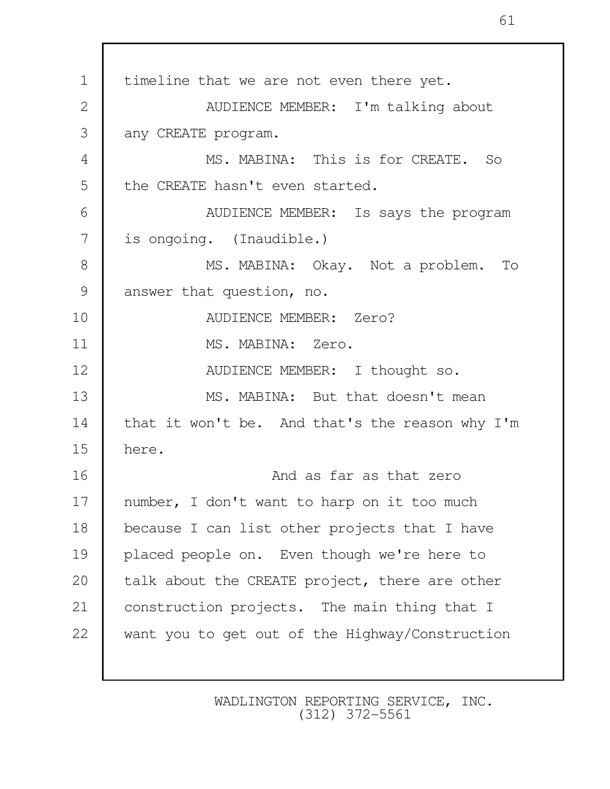1 | timeline that we are not even there yet. 2 **AUDIENCE MEMBER:** I'm talking about 3 any CREATE program. 4 MS. MABINA: This is for CREATE. So 5 the CREATE hasn't even started. 6 AUDIENCE MEMBER: Is says the program 7 is ongoing. (Inaudible.) 8 | MS. MABINA: Okay. Not a problem. To 9 answer that question, no. 10 AUDIENCE MEMBER: Zero? 11 MS. MABINA: Zero. 12 NUDIENCE MEMBER: I thought so. 13 MS. MABINA: But that doesn't mean 14 that it won't be. And that's the reason why I'm 15 here. 16 **And as far as that zero** and as far as that zero 17 | number, I don't want to harp on it too much 18 because I can list other projects that I have 19 placed people on. Even though we're here to 20 talk about the CREATE project, there are other 21 construction projects. The main thing that I 22 want you to get out of the Highway/Construction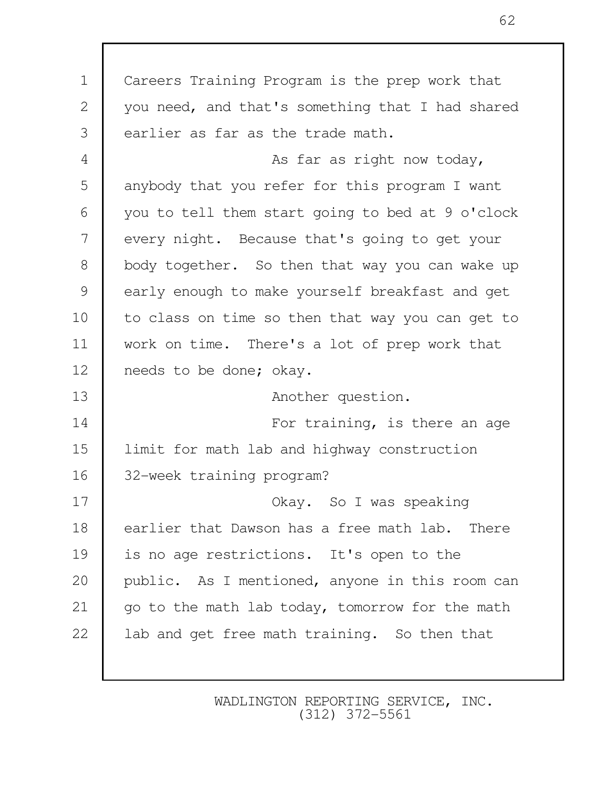1 Careers Training Program is the prep work that 2 you need, and that's something that I had shared 3 earlier as far as the trade math. 4 As far as right now today, 5 anybody that you refer for this program I want 6 you to tell them start going to bed at 9 o'clock 7 every night. Because that's going to get your 8 body together. So then that way you can wake up 9 early enough to make yourself breakfast and get 10 to class on time so then that way you can get to 11 work on time. There's a lot of prep work that 12 needs to be done; okay. 13 **Another question.** 14 **For training, is there an age** 15 limit for math lab and highway construction 16 32-week training program? 17 **COLANCE II SOLARY.** So I was speaking 18 earlier that Dawson has a free math lab. There 19 is no age restrictions. It's open to the 20 public. As I mentioned, anyone in this room can 21 | go to the math lab today, tomorrow for the math 22 also lab and get free math training. So then that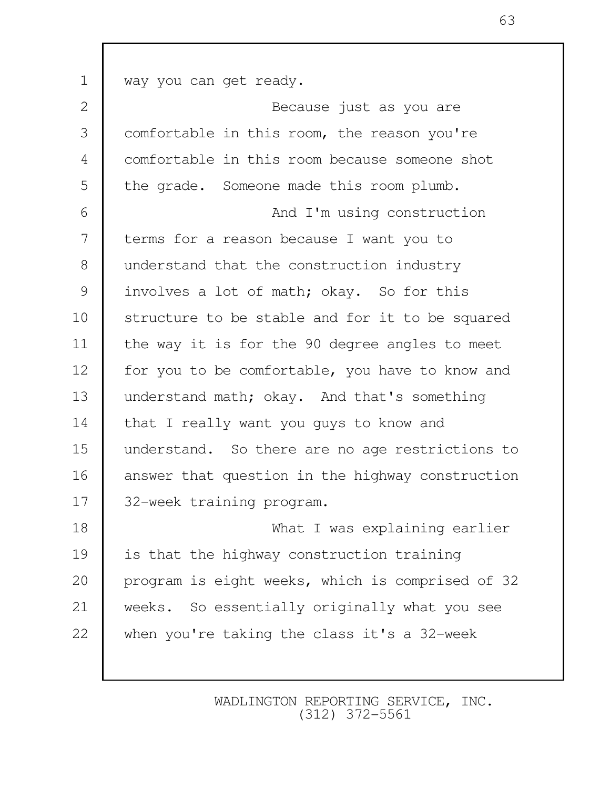1 way you can get ready. 2 Because just as you are 3 comfortable in this room, the reason you're 4 comfortable in this room because someone shot 5 the grade. Someone made this room plumb. 6 and I'm using construction 7 terms for a reason because I want you to 8 understand that the construction industry 9 involves a lot of math; okay. So for this 10 Structure to be stable and for it to be squared 11 | the way it is for the 90 degree angles to meet 12 for you to be comfortable, you have to know and 13 understand math; okay. And that's something 14 that I really want you guys to know and 15 understand. So there are no age restrictions to 16 answer that question in the highway construction 17 | 32-week training program. 18 What I was explaining earlier 19 is that the highway construction training 20 program is eight weeks, which is comprised of 32 21 weeks. So essentially originally what you see 22 when you're taking the class it's a 32-week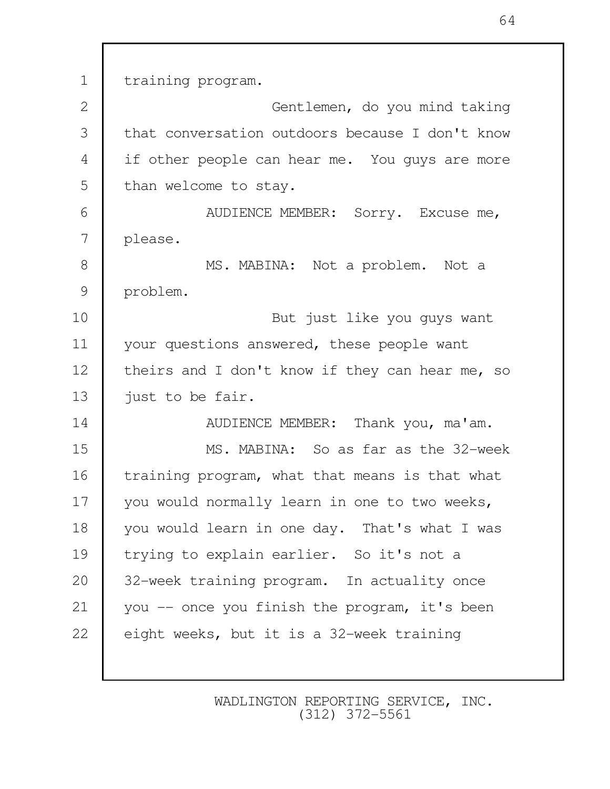1 training program. 2 Gentlemen, do you mind taking 3 that conversation outdoors because I don't know 4 if other people can hear me. You quys are more 5 than welcome to stay. 6 | AUDIENCE MEMBER: Sorry. Excuse me, 7 please. 8 MS. MABINA: Not a problem. Not a 9 problem. 10 But just like you guys want 11 vour questions answered, these people want 12 theirs and I don't know if they can hear me, so 13 | just to be fair. 14 **AUDIENCE MEMBER:** Thank you, ma'am. 15 MS. MABINA: So as far as the 32-week 16 training program, what that means is that what 17 vou would normally learn in one to two weeks, 18 vou would learn in one day. That's what I was 19 trying to explain earlier. So it's not a 20 32-week training program. In actuality once 21 you -- once you finish the program, it's been 22 eight weeks, but it is a 32-week training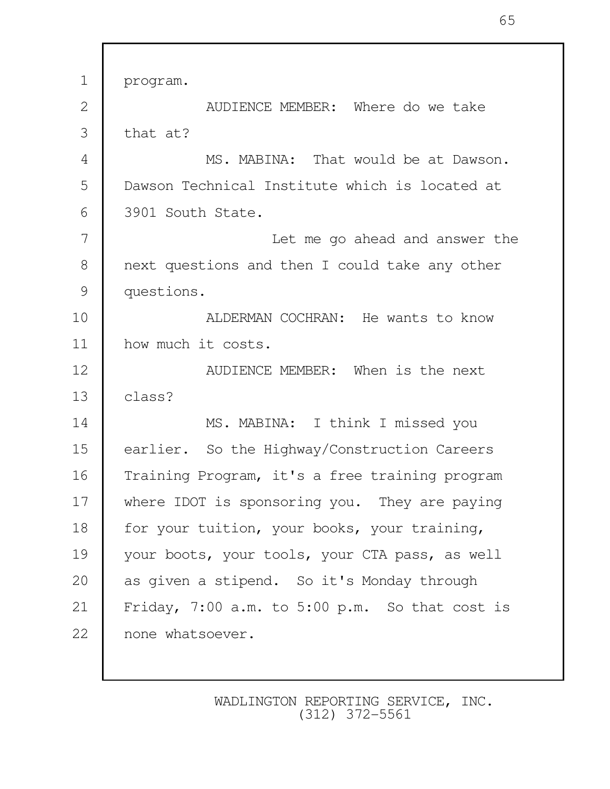1 program. 2 **AUDIENCE MEMBER:** Where do we take  $3$  that at? 4 MS. MABINA: That would be at Dawson. 5 Dawson Technical Institute which is located at 6 3901 South State. 7 Let me go ahead and answer the 8 next questions and then I could take any other 9 questions. 10 **ALDERMAN COCHRAN:** He wants to know 11 how much it costs. 12 Nunder MEMBER: When is the next  $13 \text{ l}$  class? 14 MS. MABINA: I think I missed you 15 earlier. So the Highway/Construction Careers 16 Training Program, it's a free training program 17 where IDOT is sponsoring you. They are paying 18 for your tuition, your books, your training, 19 your boots, your tools, your CTA pass, as well 20 as given a stipend. So it's Monday through 21 Friday, 7:00 a.m. to 5:00 p.m. So that cost is 22 none whatsoever.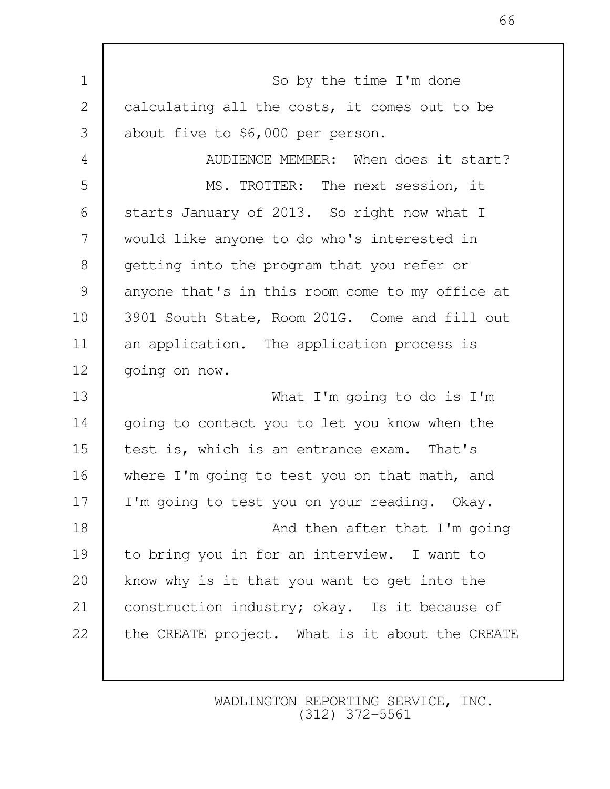1 So by the time I'm done 2 calculating all the costs, it comes out to be 3 about five to \$6,000 per person. 4 **AUDIENCE MEMBER:** When does it start? 5 MS. TROTTER: The next session, it 6 Starts January of 2013. So right now what I 7 would like anyone to do who's interested in 8 getting into the program that you refer or 9 anyone that's in this room come to my office at 10 3901 South State, Room 201G. Come and fill out 11 an application. The application process is 12 | going on now. 13 What I'm going to do is I'm 14 going to contact you to let you know when the 15 test is, which is an entrance exam. That's 16 where I'm going to test you on that math, and 17 | I'm going to test you on your reading. Okay. 18 **And then after that I'm going** 19 to bring you in for an interview. I want to 20 know why is it that you want to get into the 21 | construction industry; okay. Is it because of 22 the CREATE project. What is it about the CREATE

> WADLINGTON REPORTING SERVICE, INC. (312) 372-5561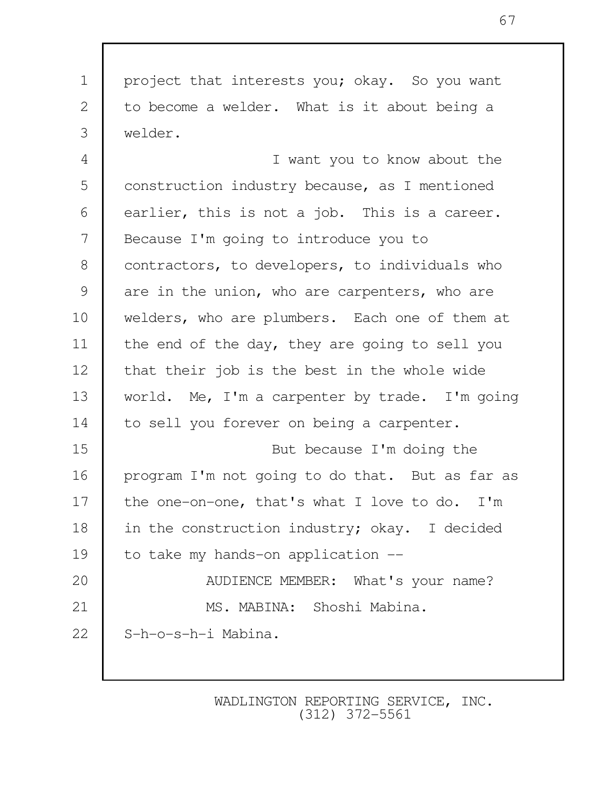1 project that interests you; okay. So you want 2 to become a welder. What is it about being a 3 welder.

 4 I want you to know about the 5 construction industry because, as I mentioned 6 earlier, this is not a job. This is a career. 7 Because I'm going to introduce you to 8 | contractors, to developers, to individuals who 9 are in the union, who are carpenters, who are 10 welders, who are plumbers. Each one of them at 11 the end of the day, they are going to sell you 12 that their job is the best in the whole wide 13 world. Me, I'm a carpenter by trade. I'm going 14 to sell you forever on being a carpenter. 15 But because I'm doing the 16 program I'm not going to do that. But as far as 17 the one-on-one, that's what I love to do. I'm 18 in the construction industry; okay. I decided 19 to take my hands-on application --20 **AUDIENCE MEMBER:** What's your name? 21 MS. MABINA: Shoshi Mabina. 22 S-h-o-s-h-i Mabina.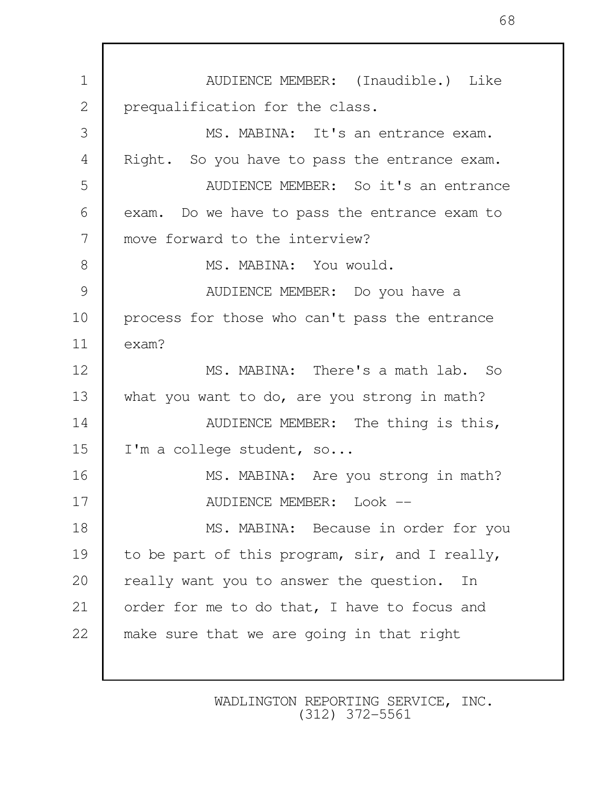1 AUDIENCE MEMBER: (Inaudible.) Like 2 prequalification for the class. 3 MS. MABINA: It's an entrance exam. 4 Right. So you have to pass the entrance exam. 5 AUDIENCE MEMBER: So it's an entrance 6 exam. Do we have to pass the entrance exam to 7 move forward to the interview? 8 MS. MARINA: You would. 9 | AUDIENCE MEMBER: Do you have a 10 | process for those who can't pass the entrance 11 exam? 12 MS. MABINA: There's a math lab. So 13 what you want to do, are you strong in math? 14 **AUDIENCE MEMBER:** The thing is this, 15 | I'm a college student, so... 16 MS. MABINA: Are you strong in math? 17 NUDIENCE MEMBER: Look --18 MS. MABINA: Because in order for you 19 to be part of this program, sir, and I really, 20 really want you to answer the question. In 21 order for me to do that, I have to focus and 22 make sure that we are going in that right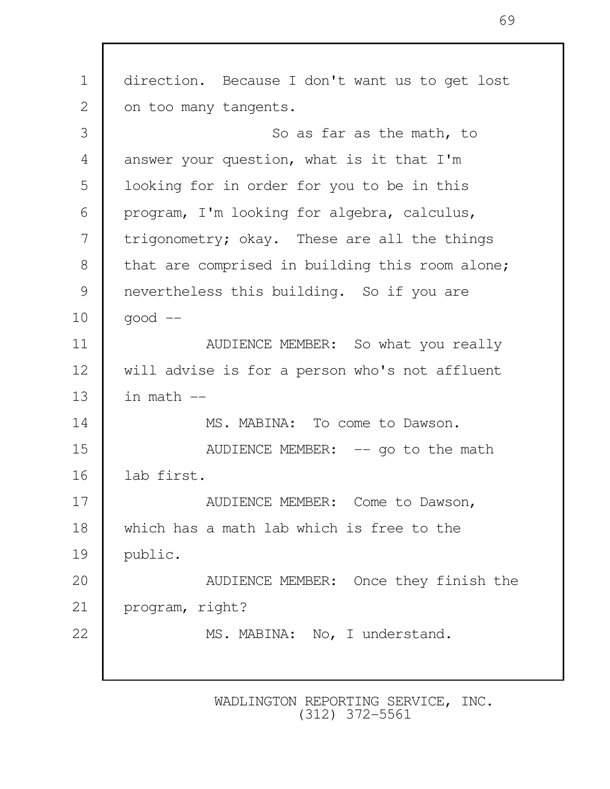1 direction. Because I don't want us to get lost 2 on too many tangents. 3 So as far as the math, to 4 answer your question, what is it that I'm 5 looking for in order for you to be in this 6 program, I'm looking for algebra, calculus, 7 trigonometry; okay. These are all the things 8 that are comprised in building this room alone; 9 nevertheless this building. So if you are  $10$  good  $-$ 11 Number 11 Number 11 Number 2016 and the AUDIENCE MEMBER: So what you really 12 will advise is for a person who's not affluent 13  $\blacksquare$  in math  $\blacksquare$ 14 MS. MABINA: To come to Dawson. 15 Nunlemed MEMBER:  $-$  qo to the math 16 lab first. 17 NUDIENCE MEMBER: Come to Dawson, 18 which has a math lab which is free to the 19 public. 20 AUDIENCE MEMBER: Once they finish the 21 program, right? 22 MS. MABINA: No, I understand.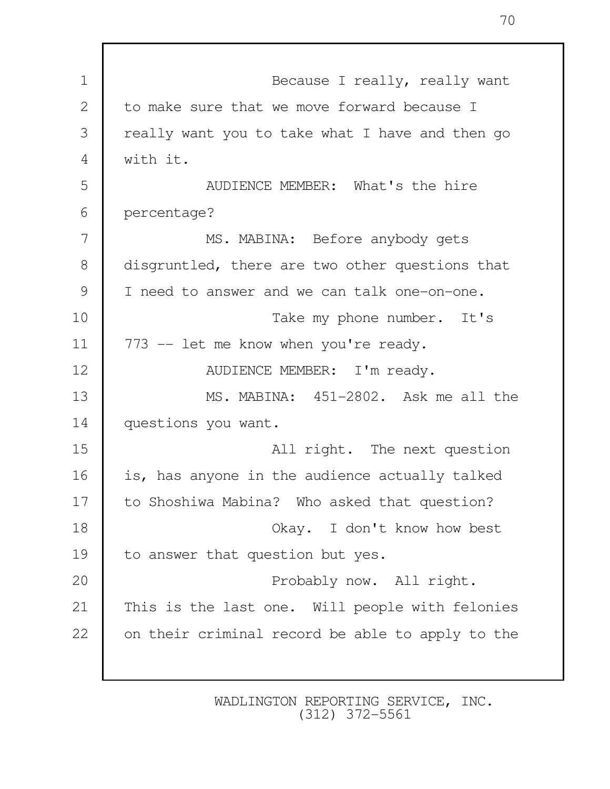| $\mathbf 1$    | Because I really, really want                    |
|----------------|--------------------------------------------------|
| 2              | to make sure that we move forward because I      |
| 3              | really want you to take what I have and then go  |
| $\overline{4}$ | with it.                                         |
| 5              | AUDIENCE MEMBER: What's the hire                 |
| 6              | percentage?                                      |
| 7              | MS. MABINA: Before anybody gets                  |
| 8              | disgruntled, there are two other questions that  |
| 9              | I need to answer and we can talk one-on-one.     |
| 10             | Take my phone number. It's                       |
| 11             | 773 -- let me know when you're ready.            |
| 12             | AUDIENCE MEMBER: I'm ready.                      |
| 13             | MS. MABINA: 451-2802. Ask me all the             |
| 14             | questions you want.                              |
| 15             | All right. The next question                     |
| 16             | is, has anyone in the audience actually talked   |
| 17             | to Shoshiwa Mabina? Who asked that question?     |
| 18             | Okay. I don't know how best                      |
| 19             | to answer that question but yes.                 |
| 20             | Probably now. All right.                         |
| 21             | This is the last one. Will people with felonies  |
| 22             | on their criminal record be able to apply to the |
|                |                                                  |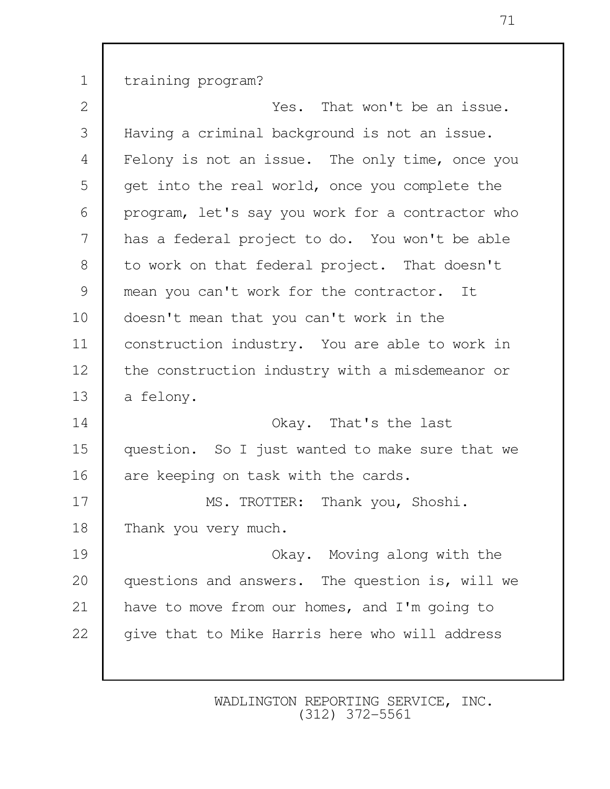1 training program?

2 **1** That won't be an issue. 3 Having a criminal background is not an issue. 4 Felony is not an issue. The only time, once you 5 get into the real world, once you complete the 6 program, let's say you work for a contractor who 7 has a federal project to do. You won't be able 8 to work on that federal project. That doesn't 9 mean you can't work for the contractor. It 10 | doesn't mean that you can't work in the 11 construction industry. You are able to work in 12 the construction industry with a misdemeanor or 13 a felony. 14 Okay. That's the last 15 question. So I just wanted to make sure that we 16 are keeping on task with the cards. 17 MS. TROTTER: Thank you, Shoshi. 18 Thank you very much. 19 Okay. Moving along with the 20 questions and answers. The question is, will we 21 | have to move from our homes, and I'm going to 22 | give that to Mike Harris here who will address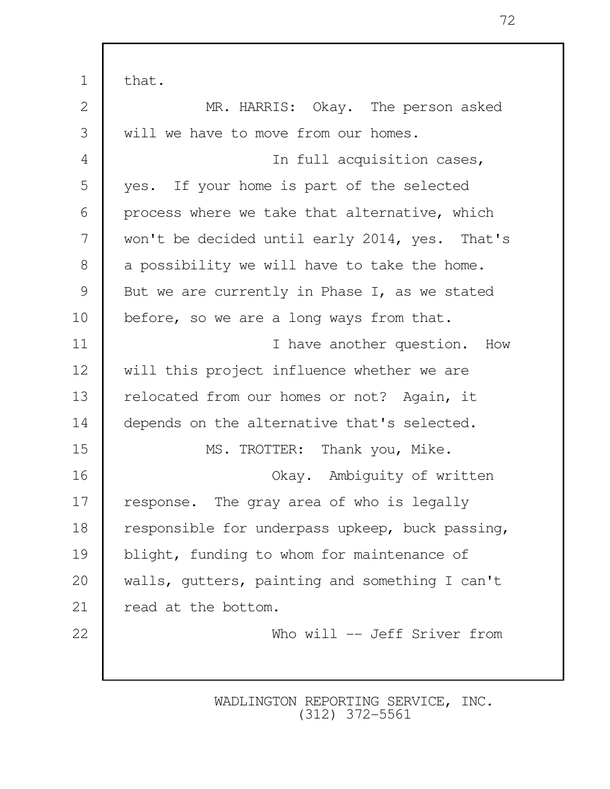1 | that. 2 MR. HARRIS: Okay. The person asked 3 will we have to move from our homes. 4 In full acquisition cases, 5 yes. If your home is part of the selected 6 process where we take that alternative, which 7 won't be decided until early 2014, yes. That's 8 a possibility we will have to take the home. 9 But we are currently in Phase I, as we stated 10 before, so we are a long ways from that. 11 **I have another question.** How 12 will this project influence whether we are 13 relocated from our homes or not? Again, it 14 depends on the alternative that's selected. 15 MS. TROTTER: Thank you, Mike. 16 Okay. Ambiguity of written 17 response. The gray area of who is legally 18 responsible for underpass upkeep, buck passing, 19 blight, funding to whom for maintenance of 20 walls, gutters, painting and something I can't 21 read at the bottom. 22 Who will -- Jeff Sriver from

> WADLINGTON REPORTING SERVICE, INC. (312) 372-5561

72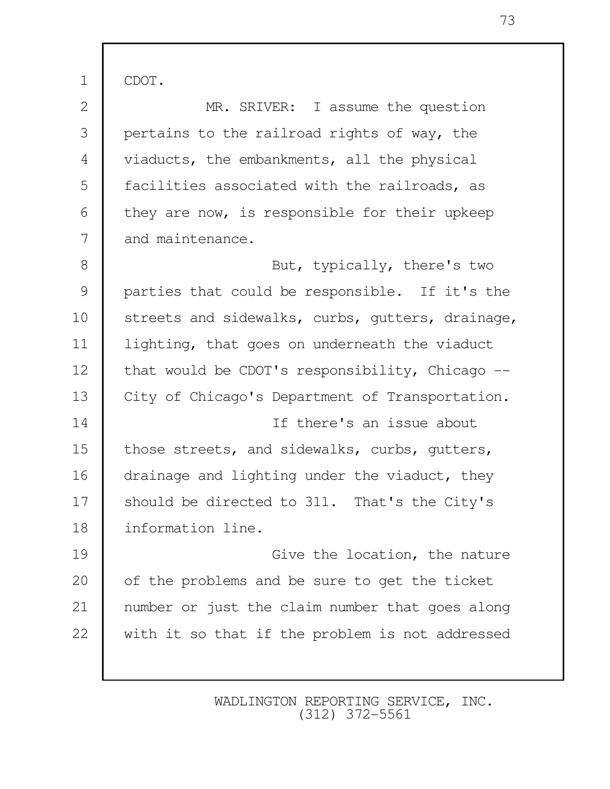1 CDOT.

| 2     | MR. SRIVER: I assume the question                |
|-------|--------------------------------------------------|
| 3     | pertains to the railroad rights of way, the      |
| 4     | viaducts, the embankments, all the physical      |
| 5     | facilities associated with the railroads, as     |
| 6     | they are now, is responsible for their upkeep    |
| 7     | and maintenance.                                 |
| $8\,$ | But, typically, there's two                      |
| 9     | parties that could be responsible. If it's the   |
| 10    | streets and sidewalks, curbs, gutters, drainage, |
| 11    | lighting, that goes on underneath the viaduct    |
| 12    | that would be CDOT's responsibility, Chicago --  |
| 13    | City of Chicago's Department of Transportation.  |
| 14    | If there's an issue about                        |
| 15    | those streets, and sidewalks, curbs, gutters,    |
| 16    | drainage and lighting under the viaduct, they    |
| 17    | should be directed to 311. That's the City's     |
| 18    | information line.                                |
| 19    | Give the location, the nature                    |
| 20    | of the problems and be sure to get the ticket    |
| 21    | number or just the claim number that goes along  |
| 22    | with it so that if the problem is not addressed  |
|       |                                                  |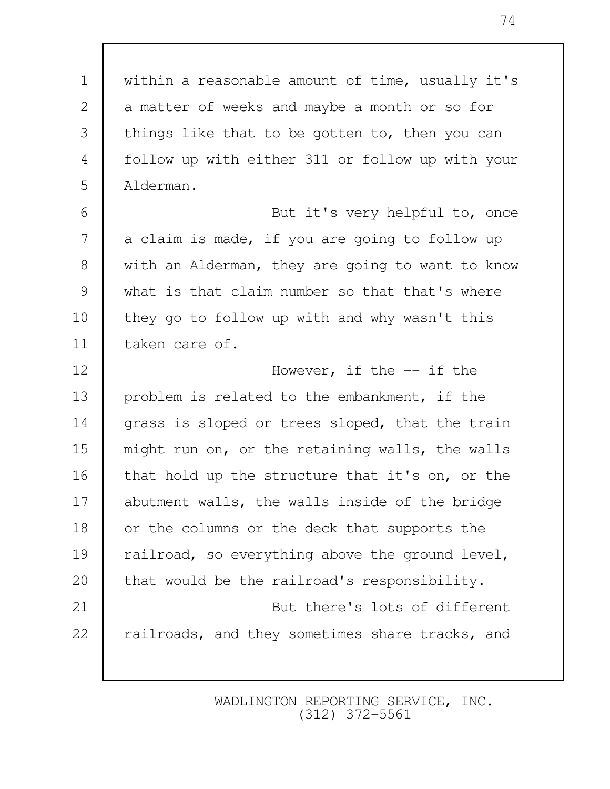1 within a reasonable amount of time, usually it's 2 a matter of weeks and maybe a month or so for 3 things like that to be gotten to, then you can 4 follow up with either 311 or follow up with your 5 Alderman.

6 | Rut it's very helpful to, once 7 a claim is made, if you are going to follow up 8 with an Alderman, they are going to want to know 9 what is that claim number so that that's where 10 they go to follow up with and why wasn't this 11 taken care of.

12 **I** However, if the  $-$  if the 13 | problem is related to the embankment, if the 14 grass is sloped or trees sloped, that the train 15 might run on, or the retaining walls, the walls 16 that hold up the structure that it's on, or the 17 abutment walls, the walls inside of the bridge 18 or the columns or the deck that supports the 19 railroad, so everything above the ground level, 20 that would be the railroad's responsibility. 21 But there's lots of different 22 railroads, and they sometimes share tracks, and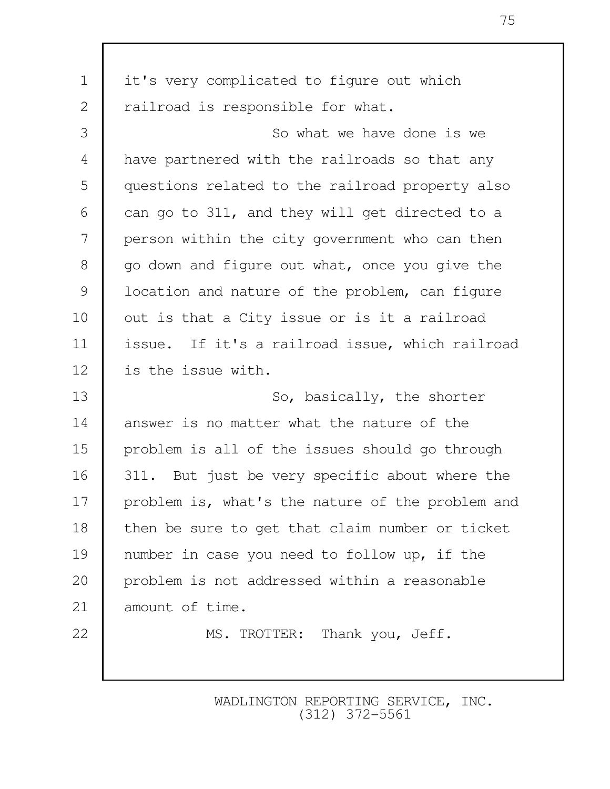| $\mathbf 1$  | it's very complicated to figure out which        |
|--------------|--------------------------------------------------|
| $\mathbf{2}$ | railroad is responsible for what.                |
| 3            | So what we have done is we                       |
| 4            | have partnered with the railroads so that any    |
| 5            | questions related to the railroad property also  |
| 6            | can go to 311, and they will get directed to a   |
| 7            | person within the city government who can then   |
| 8            | go down and figure out what, once you give the   |
| 9            | location and nature of the problem, can figure   |
| 10           | out is that a City issue or is it a railroad     |
| 11           | issue. If it's a railroad issue, which railroad  |
| 12           | is the issue with.                               |
| 13           | So, basically, the shorter                       |
| 14           | answer is no matter what the nature of the       |
| 15           | problem is all of the issues should go through   |
| 16           | 311. But just be very specific about where the   |
| 17           | problem is, what's the nature of the problem and |
| 18           | then be sure to get that claim number or ticket  |
| 19           | number in case you need to follow up, if the     |
| 20           | problem is not addressed within a reasonable     |
| 21           | amount of time.                                  |
| 22           | MS. TROTTER: Thank you, Jeff.                    |
|              |                                                  |

75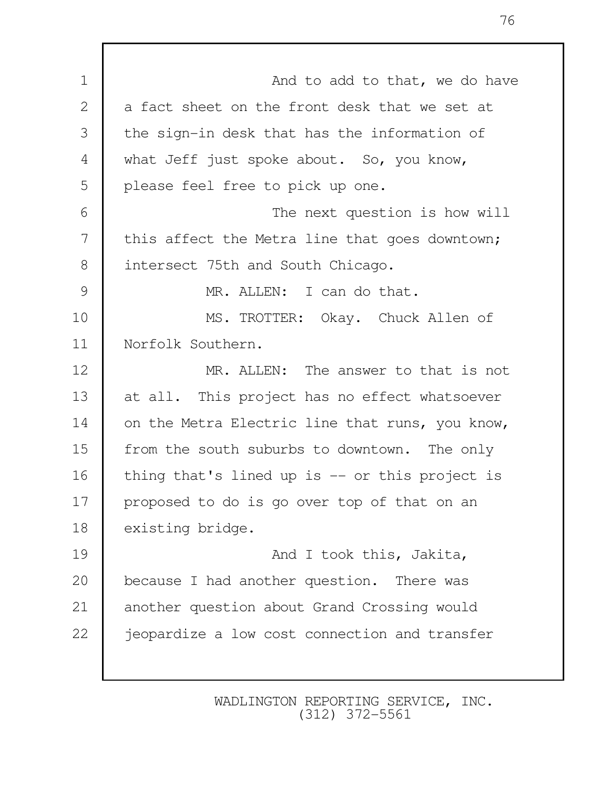1 and to add to that, we do have 2 a fact sheet on the front desk that we set at 3 the sign-in desk that has the information of 4 what Jeff just spoke about. So, you know, 5 | please feel free to pick up one. 6 The next question is how will 7 this affect the Metra line that goes downtown; 8 intersect 75th and South Chicago. 9 MR. ALLEN: I can do that. 10 MS. TROTTER: Okay. Chuck Allen of 11 Norfolk Southern. 12 MR. ALLEN: The answer to that is not 13 at all. This project has no effect whatsoever 14 on the Metra Electric line that runs, you know, 15 from the south suburbs to downtown. The only 16 thing that's lined up is -- or this project is 17 proposed to do is go over top of that on an 18 existing bridge. 19 **And I took this, Jakita,** 20 because I had another question. There was 21 another question about Grand Crossing would 22 | jeopardize a low cost connection and transfer

> WADLINGTON REPORTING SERVICE, INC. (312) 372-5561

76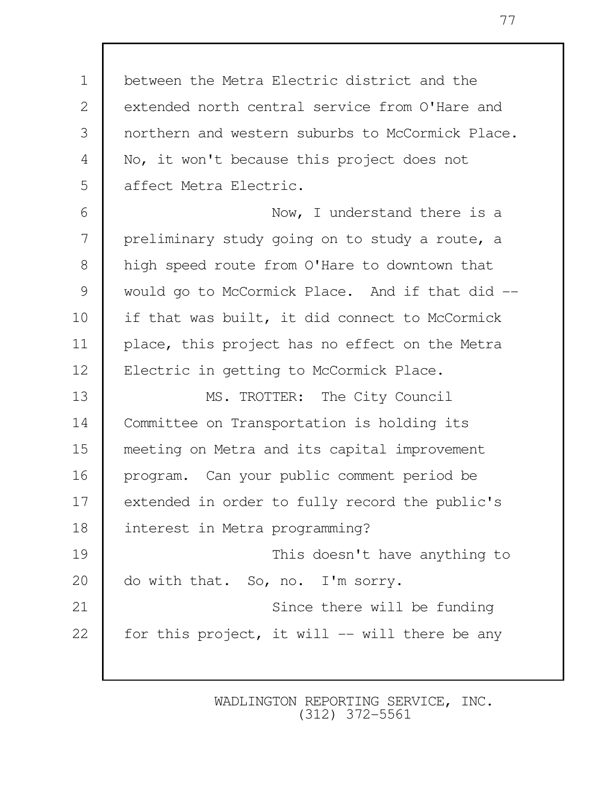1 between the Metra Electric district and the 2 extended north central service from O'Hare and 3 northern and western suburbs to McCormick Place. 4 No, it won't because this project does not 5 affect Metra Electric. 6 Now, I understand there is a 7 preliminary study going on to study a route, a 8 high speed route from O'Hare to downtown that 9 would go to McCormick Place. And if that did --10 if that was built, it did connect to McCormick 11 place, this project has no effect on the Metra 12 | Electric in getting to McCormick Place. 13 MS. TROTTER: The City Council 14 Committee on Transportation is holding its 15 meeting on Metra and its capital improvement 16 program. Can your public comment period be 17 extended in order to fully record the public's 18 interest in Metra programming? 19 This doesn't have anything to 20 do with that. So, no. I'm sorry. 21 | Since there will be funding 22  $\parallel$  for this project, it will -- will there be any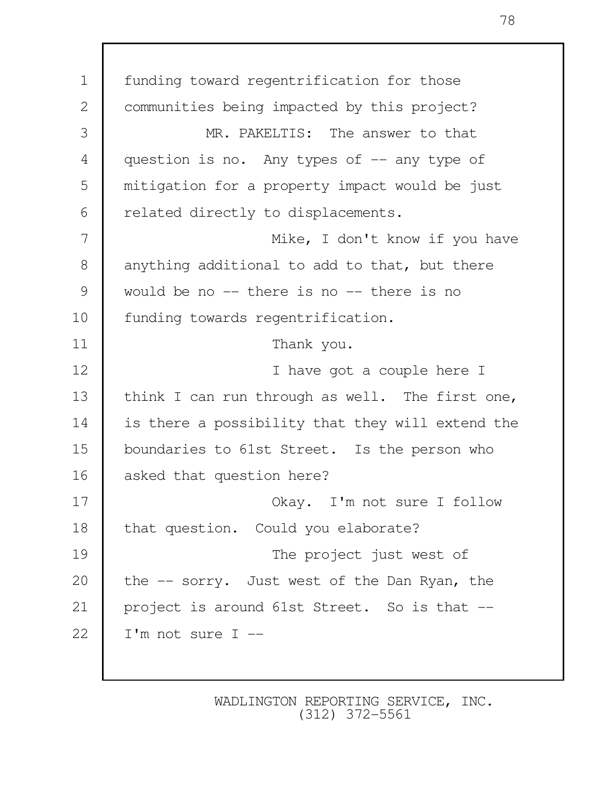1 funding toward regentrification for those 2 | communities being impacted by this project? 3 MR. PAKELTIS: The answer to that 4 question is no. Any types of -- any type of 5 mitigation for a property impact would be just 6 | related directly to displacements. 7 Mike, I don't know if you have 8 anything additional to add to that, but there 9 would be no -- there is no -- there is no 10 | funding towards regentrification. 11 Thank you. 12 I have got a couple here I 13 think I can run through as well. The first one, 14 is there a possibility that they will extend the 15 boundaries to 61st Street. Is the person who 16 asked that question here? 17 No. 2 Okay. I'm not sure I follow 18 that question. Could you elaborate? 19 The project just west of 20 the -- sorry. Just west of the Dan Ryan, the 21 project is around 61st Street. So is that --22  $\parallel$  I'm not sure I --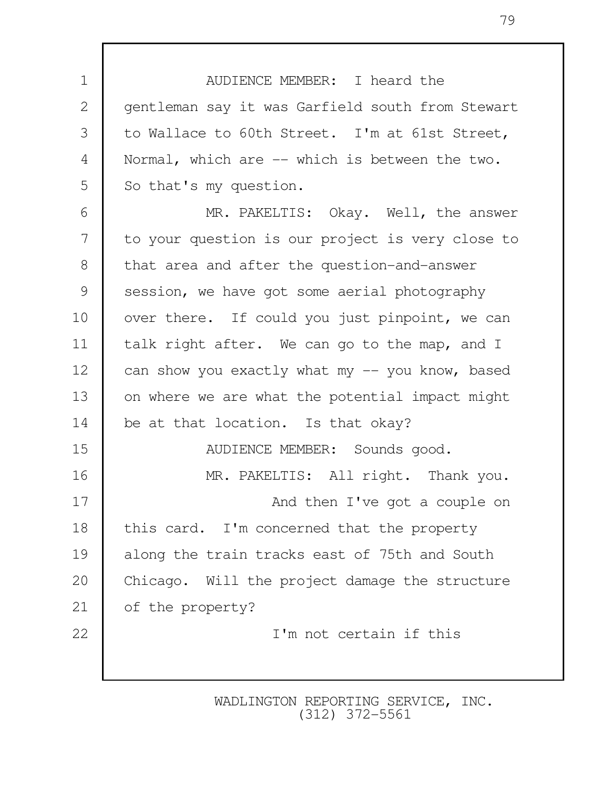1 AUDIENCE MEMBER: I heard the 2 | gentleman say it was Garfield south from Stewart 3 to Wallace to 60th Street. I'm at 61st Street, 4 Normal, which are -- which is between the two. 5 So that's my question.

6 | MR. PAKELTIS: Okay. Well, the answer 7 to your question is our project is very close to 8 that area and after the question-and-answer 9 session, we have got some aerial photography 10 | over there. If could you just pinpoint, we can 11 | talk right after. We can go to the map, and I 12 can show you exactly what my -- you know, based 13 on where we are what the potential impact might 14 be at that location. Is that okay? 15 AUDIENCE MEMBER: Sounds good. 16 MR. PAKELTIS: All right. Thank you. 17 **And then I've got a couple on** 18 this card. I'm concerned that the property 19 along the train tracks east of 75th and South 20 Chicago. Will the project damage the structure 21 of the property? 22 I'm not certain if this

> WADLINGTON REPORTING SERVICE, INC. (312) 372-5561

79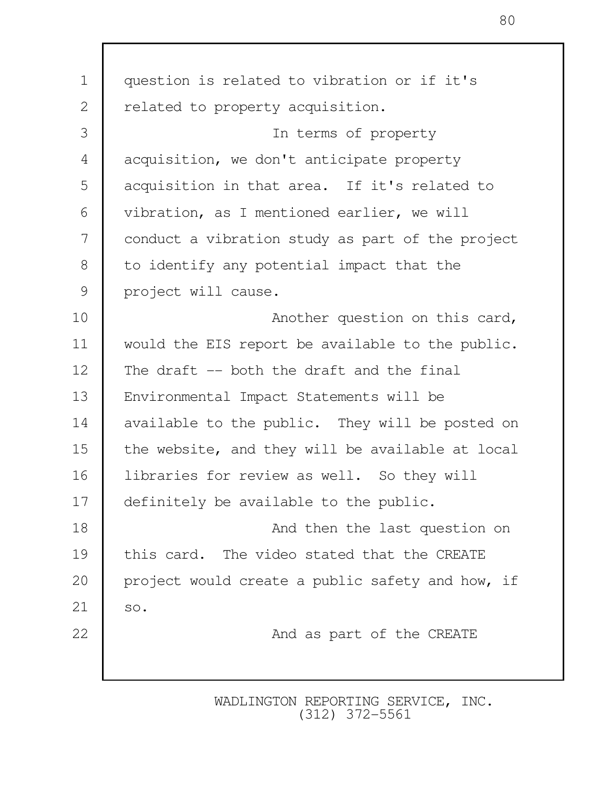| $\mathbf 1$ | question is related to vibration or if it's      |  |  |  |
|-------------|--------------------------------------------------|--|--|--|
| 2           | related to property acquisition.                 |  |  |  |
| 3           | In terms of property                             |  |  |  |
| 4           | acquisition, we don't anticipate property        |  |  |  |
| 5           | acquisition in that area. If it's related to     |  |  |  |
| 6           | vibration, as I mentioned earlier, we will       |  |  |  |
| 7           | conduct a vibration study as part of the project |  |  |  |
| $8\,$       | to identify any potential impact that the        |  |  |  |
| 9           | project will cause.                              |  |  |  |
| 10          | Another question on this card,                   |  |  |  |
| 11          | would the EIS report be available to the public. |  |  |  |
| 12          | The draft -- both the draft and the final        |  |  |  |
| 13          | Environmental Impact Statements will be          |  |  |  |
| 14          | available to the public. They will be posted on  |  |  |  |
| 15          | the website, and they will be available at local |  |  |  |
| 16          | libraries for review as well. So they will       |  |  |  |
| 17          | definitely be available to the public.           |  |  |  |
| 18          | And then the last question on                    |  |  |  |
| 19          | this card. The video stated that the CREATE      |  |  |  |
| 20          | project would create a public safety and how, if |  |  |  |
| 21          | SO.                                              |  |  |  |
| 22          | And as part of the CREATE                        |  |  |  |
|             |                                                  |  |  |  |
|             |                                                  |  |  |  |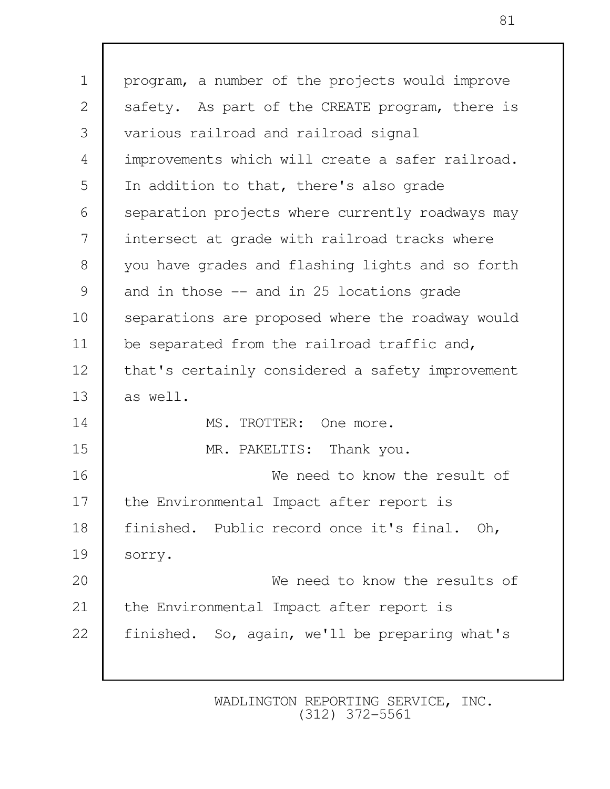| $\mathbf 1$ | program, a number of the projects would improve  |  |
|-------------|--------------------------------------------------|--|
| 2           | safety. As part of the CREATE program, there is  |  |
| 3           | various railroad and railroad signal             |  |
| 4           | improvements which will create a safer railroad. |  |
| 5           | In addition to that, there's also grade          |  |
| 6           | separation projects where currently roadways may |  |
| 7           | intersect at grade with railroad tracks where    |  |
| 8           | you have grades and flashing lights and so forth |  |
| 9           | and in those -- and in 25 locations grade        |  |
| 10          | separations are proposed where the roadway would |  |
| 11          | be separated from the railroad traffic and,      |  |
| 12          | that's certainly considered a safety improvement |  |
| 13          | as well.                                         |  |
| 14          | MS. TROTTER: One more.                           |  |
| 15          | MR. PAKELTIS: Thank you.                         |  |
| 16          | We need to know the result of                    |  |
| 17          | the Environmental Impact after report is         |  |
| 18          | finished. Public record once it's final. Oh,     |  |
| 19          | sorry.                                           |  |
| 20          | We need to know the results of                   |  |
| 21          | the Environmental Impact after report is         |  |
| 22          | finished. So, again, we'll be preparing what's   |  |
|             |                                                  |  |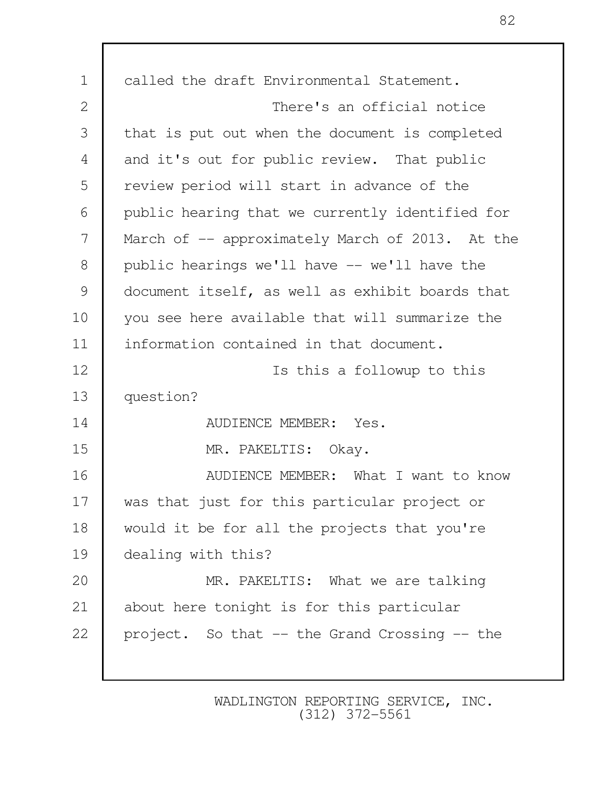| $\mathbf 1$    | called the draft Environmental Statement.       |  |  |
|----------------|-------------------------------------------------|--|--|
| $\mathbf{2}$   | There's an official notice                      |  |  |
| 3              | that is put out when the document is completed  |  |  |
| $\overline{4}$ | and it's out for public review. That public     |  |  |
| 5              | review period will start in advance of the      |  |  |
| 6              | public hearing that we currently identified for |  |  |
| 7              | March of -- approximately March of 2013. At the |  |  |
| $8\,$          | public hearings we'll have -- we'll have the    |  |  |
| 9              | document itself, as well as exhibit boards that |  |  |
| 10             | you see here available that will summarize the  |  |  |
| 11             | information contained in that document.         |  |  |
| 12             | Is this a followup to this                      |  |  |
| 13             | question?                                       |  |  |
| 14             | AUDIENCE MEMBER: Yes.                           |  |  |
| 15             | MR. PAKELTIS: Okay.                             |  |  |
| 16             | AUDIENCE MEMBER: What I want to know            |  |  |
| 17             | was that just for this particular project or    |  |  |
| 18             | would it be for all the projects that you're    |  |  |
| 19             | dealing with this?                              |  |  |
| 20             | MR. PAKELTIS: What we are talking               |  |  |
| 21             | about here tonight is for this particular       |  |  |
| 22             | project. So that -- the Grand Crossing -- the   |  |  |
|                |                                                 |  |  |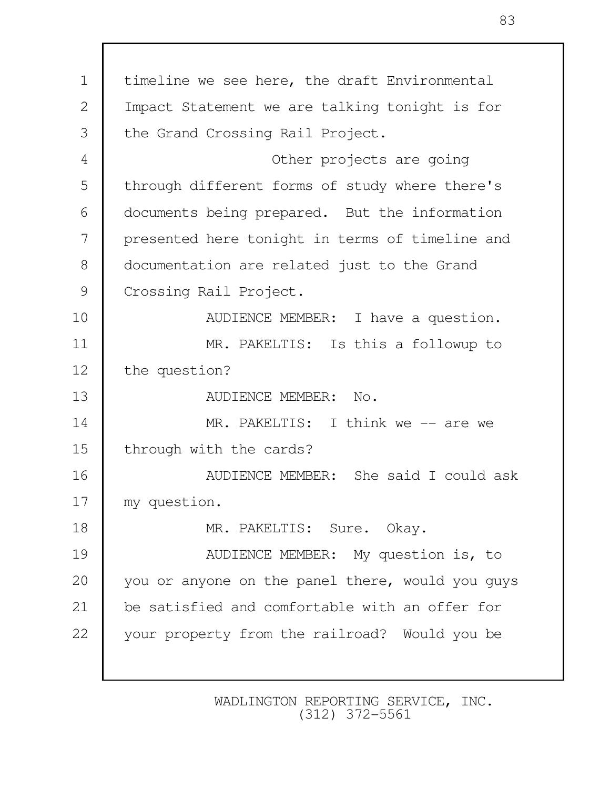1 | timeline we see here, the draft Environmental 2 | Impact Statement we are talking tonight is for 3 the Grand Crossing Rail Project. 4 Other projects are going 5 through different forms of study where there's 6 documents being prepared. But the information 7 presented here tonight in terms of timeline and 8 | documentation are related just to the Grand 9 Crossing Rail Project. 10 **AUDIENCE MEMBER:** I have a question. 11 MR. PAKELTIS: Is this a followup to 12 the question? 13 AUDIENCE MEMBER: No. 14 MR. PAKELTIS: I think we -- are we 15 through with the cards? 16 AUDIENCE MEMBER: She said I could ask 17 | my question. 18 MR. PAKELTIS: Sure. Okay. 19 **AUDIENCE MEMBER:** My question is, to 20 you or anyone on the panel there, would you guys 21 be satisfied and comfortable with an offer for 22 your property from the railroad? Would you be

> WADLINGTON REPORTING SERVICE, INC. (312) 372-5561

83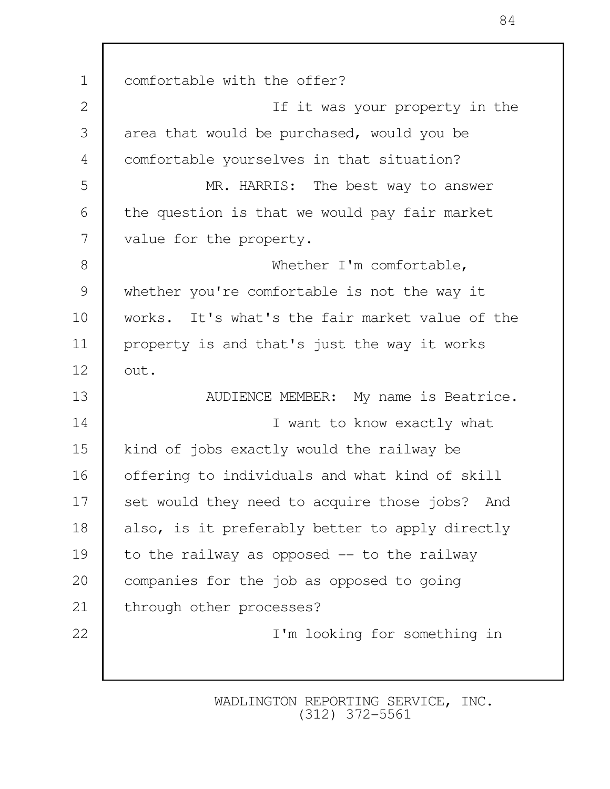1 comfortable with the offer? 2 | Contract The Sour property in the 2 | Contract The Internal Internal Internal Internal Internal Internal Internal Internal Internal Internal Internal Internal Internal Internal Internal Internal Internal Internal Inter 3 area that would be purchased, would you be 4 comfortable yourselves in that situation? 5 MR. HARRIS: The best way to answer  $6$  the question is that we would pay fair market 7 value for the property. 8 Whether I'm comfortable. 9 whether you're comfortable is not the way it 10 works. It's what's the fair market value of the 11 property is and that's just the way it works 12 out. 13 NUDIENCE MEMBER: My name is Beatrice. 14 I want to know exactly what 15 kind of jobs exactly would the railway be 16 offering to individuals and what kind of skill 17 set would they need to acquire those jobs? And 18 also, is it preferably better to apply directly 19 to the railway as opposed -- to the railway 20 companies for the job as opposed to going 21 | through other processes? 22 I'm looking for something in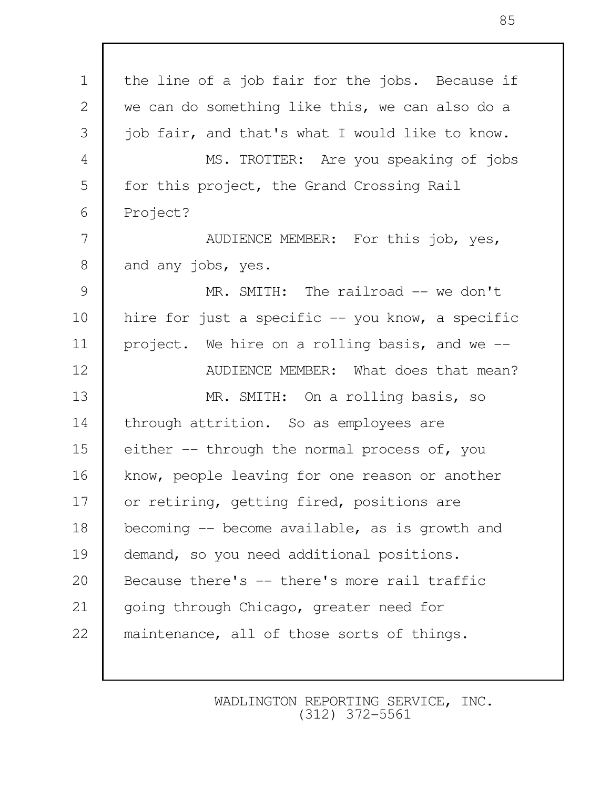| $\mathbf 1$    | the line of a job fair for the jobs. Because if  |
|----------------|--------------------------------------------------|
| $\mathbf{2}$   | we can do something like this, we can also do a  |
| 3              | job fair, and that's what I would like to know.  |
| $\overline{4}$ | MS. TROTTER: Are you speaking of jobs            |
| 5              | for this project, the Grand Crossing Rail        |
| 6              | Project?                                         |
| 7              | AUDIENCE MEMBER: For this job, yes,              |
| $8\,$          | and any jobs, yes.                               |
| $\mathcal{G}$  | MR. SMITH: The railroad -- we don't              |
| 10             | hire for just a specific -- you know, a specific |
| 11             | project. We hire on a rolling basis, and we --   |
| 12             | AUDIENCE MEMBER: What does that mean?            |
| 13             | MR. SMITH: On a rolling basis, so                |
| 14             | through attrition. So as employees are           |
| 15             | either -- through the normal process of, you     |
| 16             | know, people leaving for one reason or another   |
| 17             | or retiring, getting fired, positions are        |
| 18             | becoming $-$ become available, as is growth and  |
| 19             | demand, so you need additional positions.        |
| 20             | Because there's -- there's more rail traffic     |
| 21             | going through Chicago, greater need for          |
| 22             | maintenance, all of those sorts of things.       |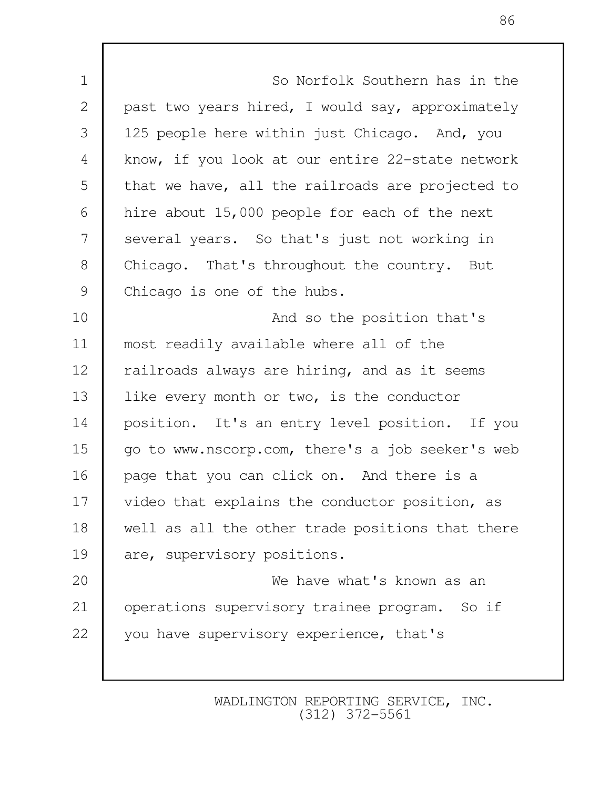1 So Norfolk Southern has in the 2 past two years hired, I would say, approximately 3 | 125 people here within just Chicago. And, you 4 know, if you look at our entire 22-state network 5 that we have, all the railroads are projected to 6 hire about 15,000 people for each of the next 7 several years. So that's just not working in 8 Chicago. That's throughout the country. But 9 Chicago is one of the hubs. 10 **And so the position that's** 11 most readily available where all of the 12 Tailroads always are hiring, and as it seems 13 like every month or two, is the conductor 14 position. It's an entry level position. If you 15 go to www.nscorp.com, there's a job seeker's web 16 page that you can click on. And there is a 17 | video that explains the conductor position, as 18 well as all the other trade positions that there 19 are, supervisory positions. 20 We have what's known as an 21 operations supervisory trainee program. So if 22 vou have supervisory experience, that's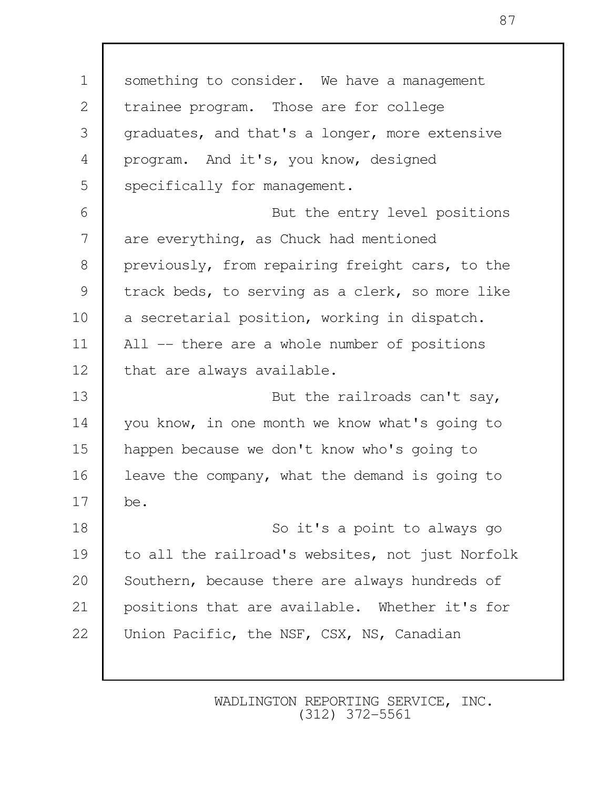1 Something to consider. We have a management 2 trainee program. Those are for college 3 graduates, and that's a longer, more extensive 4 program. And it's, you know, designed 5 Specifically for management. 6 But the entry level positions 7 are everything, as Chuck had mentioned 8 previously, from repairing freight cars, to the 9 track beds, to serving as a clerk, so more like 10 a secretarial position, working in dispatch. 11 All -- there are a whole number of positions 12 | that are always available. 13 **But the railroads can't say,** 14 you know, in one month we know what's going to 15 happen because we don't know who's going to 16 **l** leave the company, what the demand is going to 17 be. 18 So it's a point to always go 19 to all the railroad's websites, not just Norfolk 20 Southern, because there are always hundreds of 21 | positions that are available. Whether it's for 22 | Union Pacific, the NSF, CSX, NS, Canadian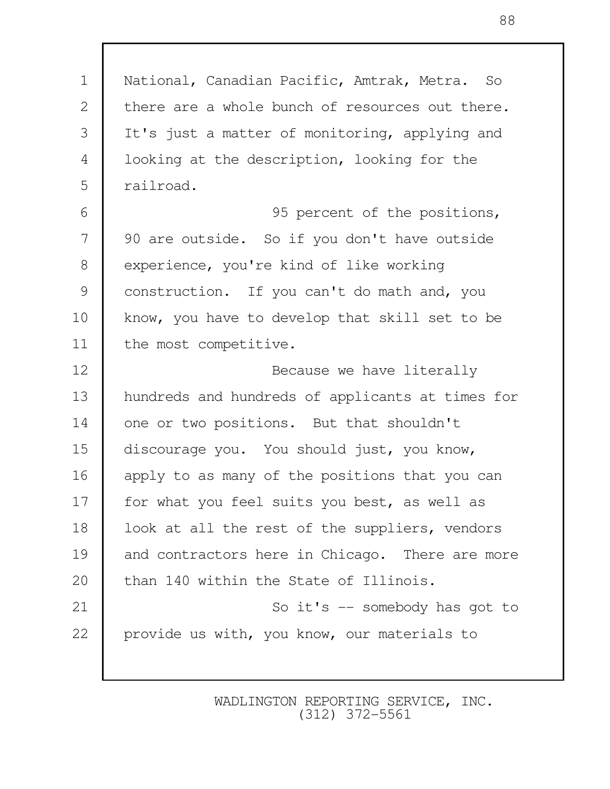1 National, Canadian Pacific, Amtrak, Metra. So 2 there are a whole bunch of resources out there. 3 It's just a matter of monitoring, applying and 4 looking at the description, looking for the 5 railroad. 6 95 percent of the positions, 7 90 are outside. So if you don't have outside 8 experience, you're kind of like working 9 construction. If you can't do math and, you 10 know, you have to develop that skill set to be 11 the most competitive. 12 **Because we have literally** 13 hundreds and hundreds of applicants at times for 14 one or two positions. But that shouldn't 15 discourage you. You should just, you know, 16 apply to as many of the positions that you can 17 | for what you feel suits you best, as well as 18 | look at all the rest of the suppliers, vendors 19 and contractors here in Chicago. There are more 20 than 140 within the State of Illinois. 21 So it's -- somebody has got to 22 provide us with, you know, our materials to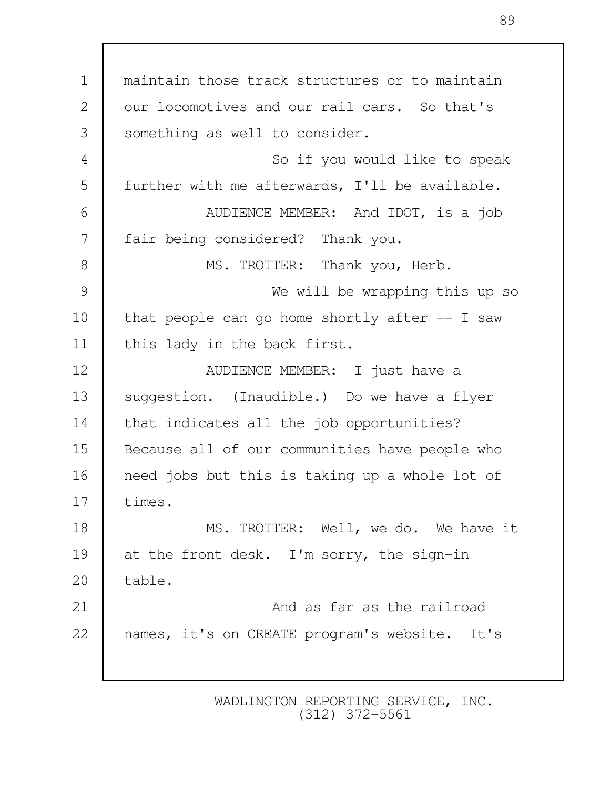1 maintain those track structures or to maintain 2 | our locomotives and our rail cars. So that's 3 something as well to consider. 4 So if you would like to speak 5 | further with me afterwards, I'll be available. 6 AUDIENCE MEMBER: And IDOT, is a job 7 | fair being considered? Thank you. 8 MS. TROTTER: Thank you, Herb. 9 We will be wrapping this up so 10 | that people can go home shortly after  $-$  I saw 11 | this lady in the back first. 12 NUDIENCE MEMBER: I just have a 13 suggestion. (Inaudible.) Do we have a flyer 14 that indicates all the job opportunities? 15 Because all of our communities have people who 16 need jobs but this is taking up a whole lot of 17 times. 18 MS. TROTTER: Well, we do. We have it 19 at the front desk. I'm sorry, the sign-in 20 table. 21 And as far as the railroad 22 | names, it's on CREATE program's website. It's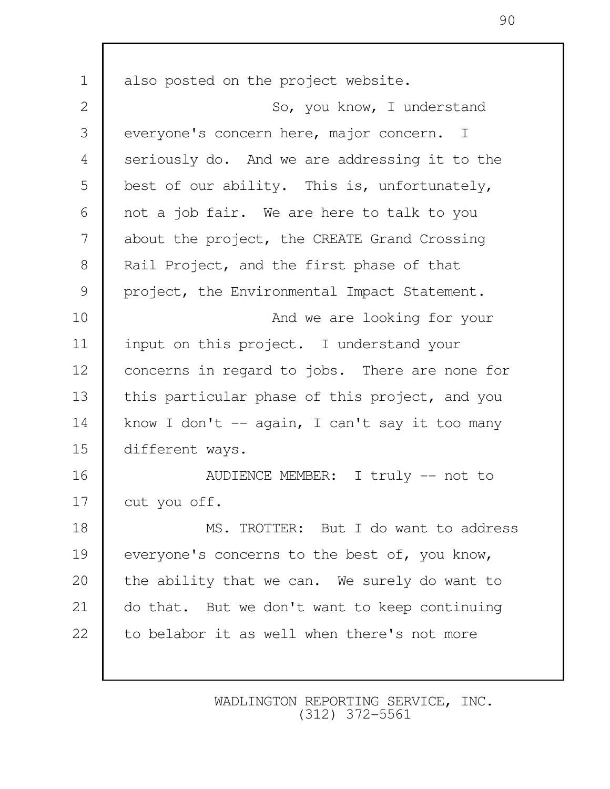1 also posted on the project website. 2 So, you know, I understand 3 everyone's concern here, major concern. I 4 seriously do. And we are addressing it to the 5 best of our ability. This is, unfortunately, 6 not a job fair. We are here to talk to you 7 about the project, the CREATE Grand Crossing 8 | Rail Project, and the first phase of that 9 project, the Environmental Impact Statement. 10 **And we are looking for your** 11 input on this project. I understand your 12 concerns in regard to jobs. There are none for 13 this particular phase of this project, and you 14 know I don't -- again, I can't say it too many 15 different ways. 16 NUDIENCE MEMBER: I truly -- not to 17 cut you off. 18 MS. TROTTER: But I do want to address 19 everyone's concerns to the best of, you know, 20 the ability that we can. We surely do want to 21 do that. But we don't want to keep continuing 22 to belabor it as well when there's not more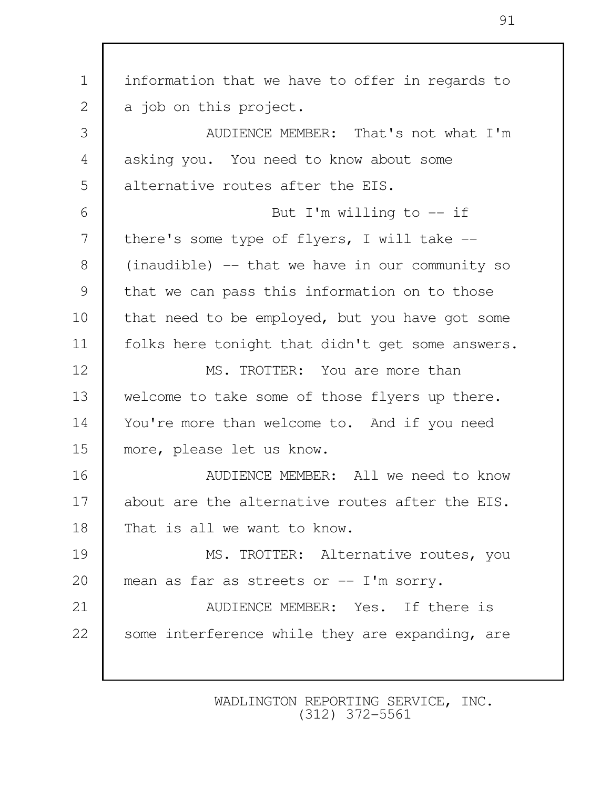1 information that we have to offer in regards to 2 a job on this project. 3 AUDIENCE MEMBER: That's not what I'm 4 asking you. You need to know about some 5 alternative routes after the EIS. 6 But I'm willing to -- if 7 there's some type of flyers, I will take --8 (inaudible) -- that we have in our community so 9 that we can pass this information on to those 10 that need to be employed, but you have got some 11 | folks here tonight that didn't get some answers. 12 MS. TROTTER: You are more than 13 welcome to take some of those flyers up there. 14 You're more than welcome to. And if you need 15 more, please let us know. 16 **I** AUDIENCE MEMBER: All we need to know 17 about are the alternative routes after the EIS. 18 That is all we want to know. 19 MS. TROTTER: Alternative routes, you 20 mean as far as streets or -- I'm sorry. 21 **AUDIENCE MEMBER:** Yes. If there is 22 Some interference while they are expanding, are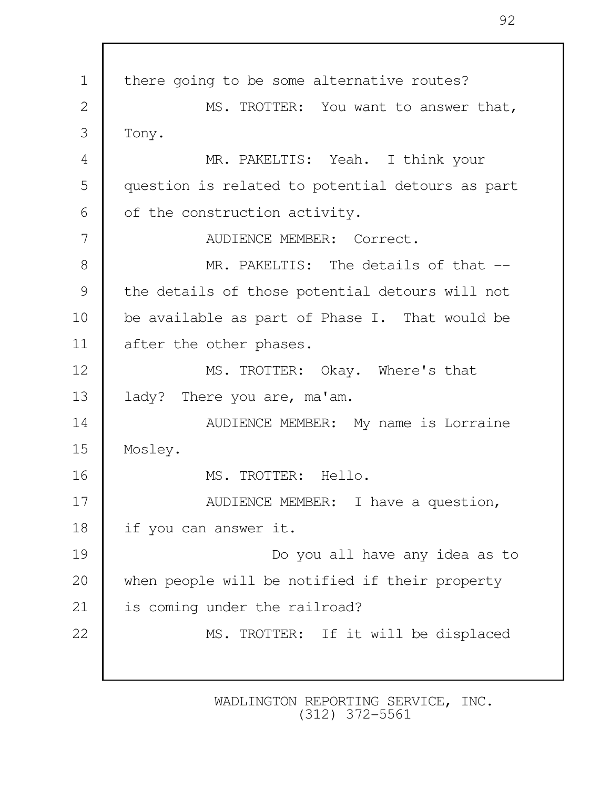1 | there going to be some alternative routes? 2 | MS. TROTTER: You want to answer that, 3 Tony. 4 MR. PAKELTIS: Yeah. I think your 5 question is related to potential detours as part  $6 \mid$  of the construction activity. 7 AUDIENCE MEMBER: Correct. 8 MR. PAKELTIS: The details of that --9 the details of those potential detours will not 10 be available as part of Phase I. That would be 11 after the other phases. 12 MS. TROTTER: Okay. Where's that 13 | lady? There you are, ma'am. 14 **AUDIENCE MEMBER:** My name is Lorraine 15 Mosley. 16 MS. TROTTER: Hello. 17 NUDIENCE MEMBER: I have a question, 18 if you can answer it. 19 Do you all have any idea as to 20 when people will be notified if their property 21 | is coming under the railroad? 22 MS. TROTTER: If it will be displaced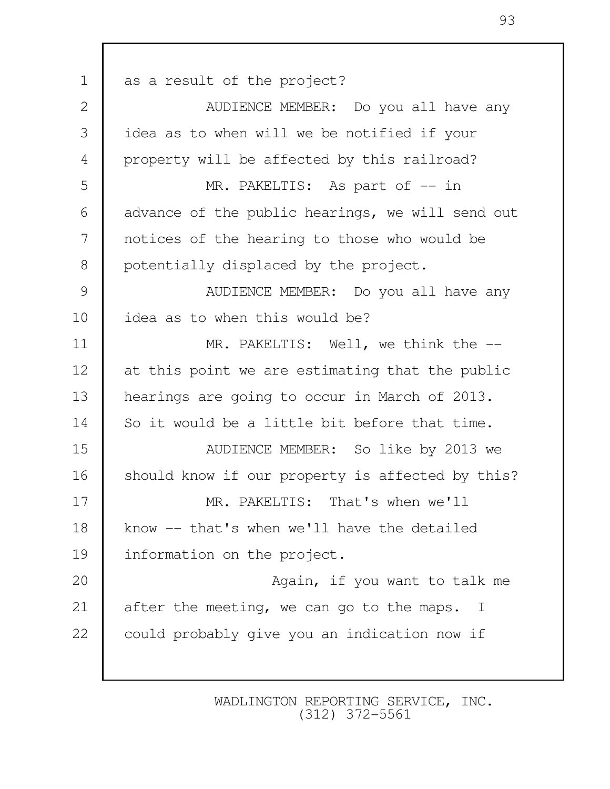1 as a result of the project? 2 **AUDIENCE MEMBER:** Do you all have any 3 idea as to when will we be notified if your 4 property will be affected by this railroad? 5 MR. PAKELTIS: As part of  $-$  in 6 advance of the public hearings, we will send out 7 notices of the hearing to those who would be 8 | potentially displaced by the project. 9 | AUDIENCE MEMBER: Do you all have any 10 idea as to when this would be? 11 MR. PAKELTIS: Well, we think the  $-$ 12 at this point we are estimating that the public 13 hearings are going to occur in March of 2013. 14 So it would be a little bit before that time. 15 AUDIENCE MEMBER: So like by 2013 we 16 Should know if our property is affected by this? 17 MR. PAKELTIS: That's when we'll 18 know -- that's when we'll have the detailed 19 information on the project. 20 **Again**, if you want to talk me 21 after the meeting, we can go to the maps. I 22 could probably give you an indication now if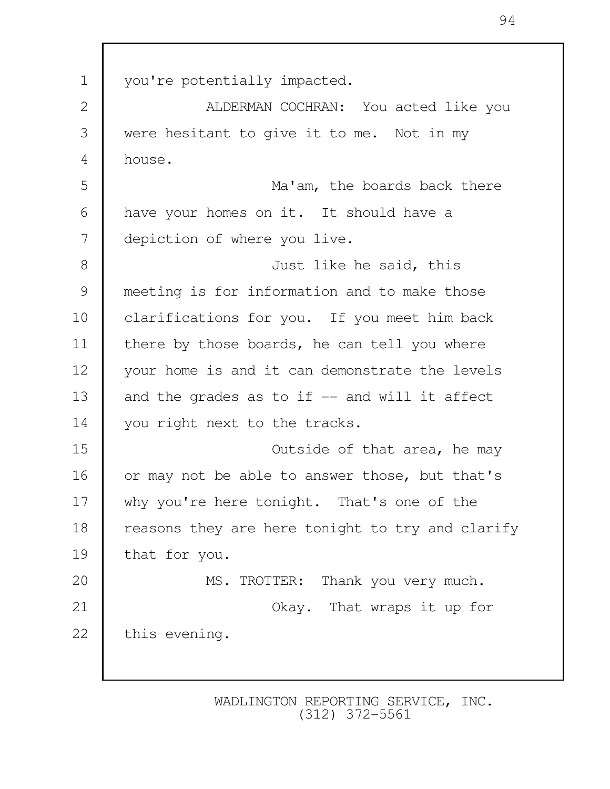1 you're potentially impacted. 2 | ALDERMAN COCHRAN: You acted like you 3 were hesitant to give it to me. Not in my 4 house. 5 Ma'am, the boards back there 6 have your homes on it. It should have a 7 depiction of where you live. 8 Just like he said, this 9 meeting is for information and to make those 10 clarifications for you. If you meet him back 11 | there by those boards, he can tell you where 12 your home is and it can demonstrate the levels 13  $\parallel$  and the grades as to if  $\parallel$  - and will it affect 14 you right next to the tracks. 15 Outside of that area, he may 16 or may not be able to answer those, but that's 17 why you're here tonight. That's one of the 18 reasons they are here tonight to try and clarify 19 that for you. 20 MS. TROTTER: Thank you very much. 21 **COLARGIST 21** Okay. That wraps it up for 22 this evening.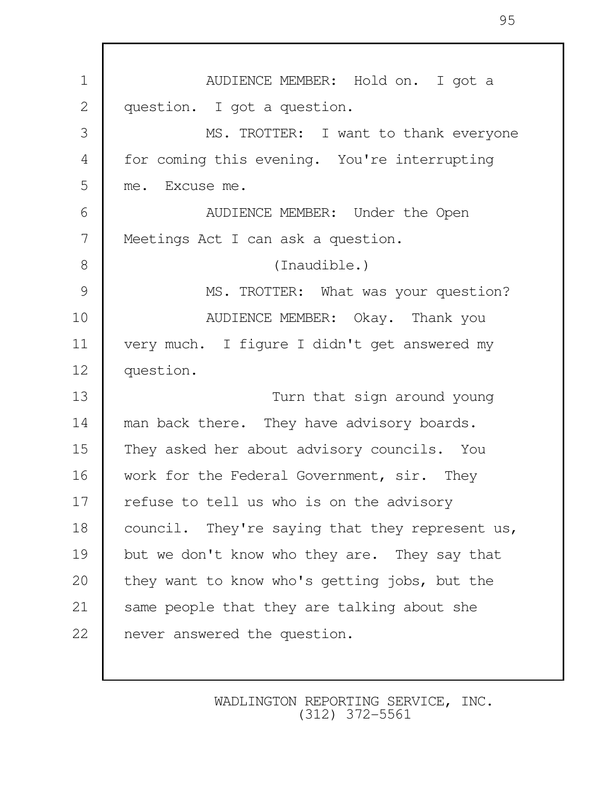| $\mathbf 1$    | AUDIENCE MEMBER: Hold on. I got a               |
|----------------|-------------------------------------------------|
| $\mathbf{2}$   | question. I got a question.                     |
| 3              | MS. TROTTER: I want to thank everyone           |
| $\overline{4}$ | for coming this evening. You're interrupting    |
| 5              | me. Excuse me.                                  |
| 6              | AUDIENCE MEMBER: Under the Open                 |
| 7              | Meetings Act I can ask a question.              |
| 8              | (Inaudible.)                                    |
| 9              | MS. TROTTER: What was your question?            |
| 10             | AUDIENCE MEMBER: Okay. Thank you                |
| 11             | very much. I figure I didn't get answered my    |
| 12             | question.                                       |
| 13             | Turn that sign around young                     |
| 14             | man back there. They have advisory boards.      |
| 15             | They asked her about advisory councils. You     |
| 16             | work for the Federal Government, sir. They      |
| 17             | refuse to tell us who is on the advisory        |
| 18             | council. They're saying that they represent us, |
| 19             | but we don't know who they are. They say that   |
| 20             | they want to know who's getting jobs, but the   |
| 21             | same people that they are talking about she     |
| 22             | never answered the question.                    |
|                |                                                 |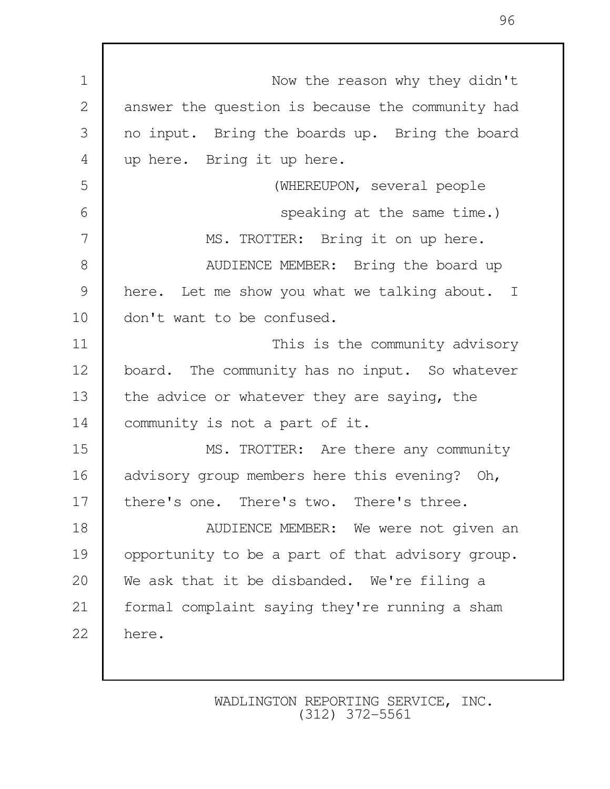1 Now the reason why they didn't 2 answer the question is because the community had 3 no input. Bring the boards up. Bring the board 4 up here. Bring it up here. 5 (WHEREUPON, several people 6 speaking at the same time.) 7 MS. TROTTER: Bring it on up here. 8 **B** AUDIENCE MEMBER: Bring the board up 9 here. Let me show you what we talking about. I 10 | don't want to be confused. 11 This is the community advisory 12 board. The community has no input. So whatever 13 the advice or whatever they are saying, the 14 | community is not a part of it. 15 MS. TROTTER: Are there any community 16 advisory group members here this evening? Oh, 17 there's one. There's two. There's three. 18 **AUDIENCE MEMBER:** We were not given an 19 opportunity to be a part of that advisory group. 20 We ask that it be disbanded. We're filing a 21 formal complaint saying they're running a sham 22 here.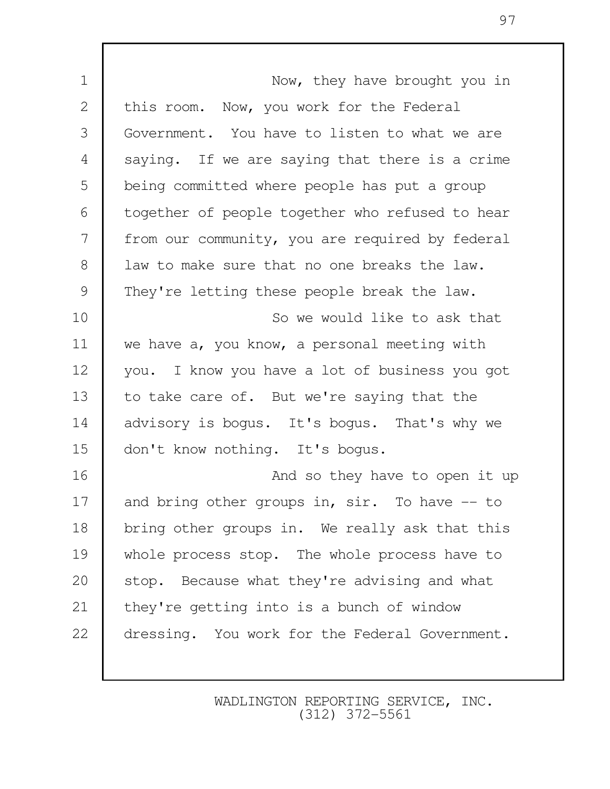| $\mathbf 1$  | Now, they have brought you in                   |
|--------------|-------------------------------------------------|
| $\mathbf{2}$ | this room. Now, you work for the Federal        |
| 3            | Government. You have to listen to what we are   |
| 4            | saying. If we are saying that there is a crime  |
| 5            | being committed where people has put a group    |
| 6            | together of people together who refused to hear |
| 7            | from our community, you are required by federal |
| $8\,$        | law to make sure that no one breaks the law.    |
| 9            | They're letting these people break the law.     |
| 10           | So we would like to ask that                    |
| 11           | we have a, you know, a personal meeting with    |
| 12           | you. I know you have a lot of business you got  |
| 13           | to take care of. But we're saying that the      |
| 14           | advisory is bogus. It's bogus. That's why we    |
| 15           | don't know nothing. It's bogus.                 |
| 16           | And so they have to open it up                  |
| 17           | and bring other groups in, sir. To have -- to   |
| 18           | bring other groups in. We really ask that this  |
| 19           | whole process stop. The whole process have to   |
| 20           | stop. Because what they're advising and what    |
| 21           | they're getting into is a bunch of window       |
| 22           | dressing. You work for the Federal Government.  |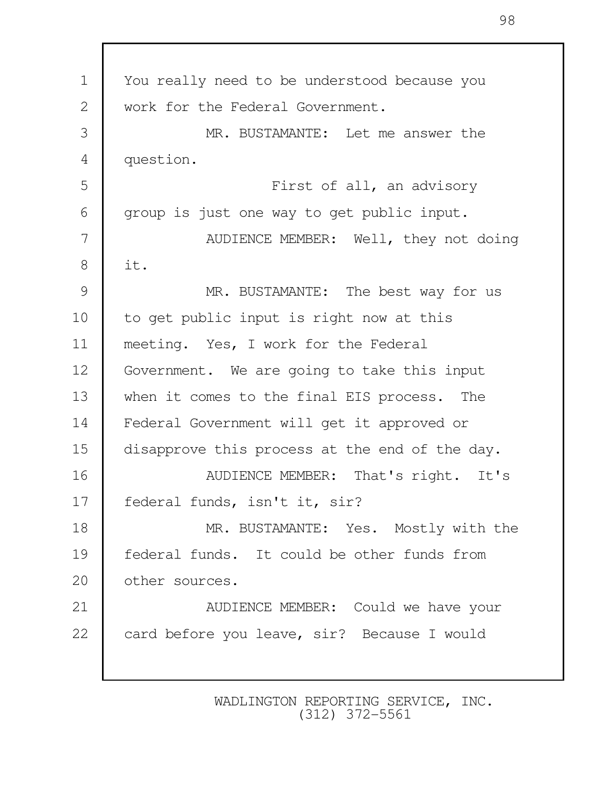| $\mathbf 1$  | You really need to be understood because you   |
|--------------|------------------------------------------------|
| $\mathbf{2}$ | work for the Federal Government.               |
| 3            | MR. BUSTAMANTE: Let me answer the              |
| 4            | question.                                      |
| 5            | First of all, an advisory                      |
| 6            | group is just one way to get public input.     |
| 7            | AUDIENCE MEMBER: Well, they not doing          |
| 8            | it.                                            |
| 9            | MR. BUSTAMANTE: The best way for us            |
| 10           | to get public input is right now at this       |
| 11           | meeting. Yes, I work for the Federal           |
| 12           | Government. We are going to take this input    |
| 13           | when it comes to the final EIS process. The    |
| 14           | Federal Government will get it approved or     |
| 15           | disapprove this process at the end of the day. |
| 16           | AUDIENCE MEMBER: That's right. It's            |
| 17           | federal funds, isn't it, sir?                  |
| 18           | MR. BUSTAMANTE: Yes. Mostly with the           |
| 19           | federal funds. It could be other funds from    |
| 20           | other sources.                                 |
| 21           | AUDIENCE MEMBER: Could we have your            |
| 22           | card before you leave, sir? Because I would    |
|              |                                                |

98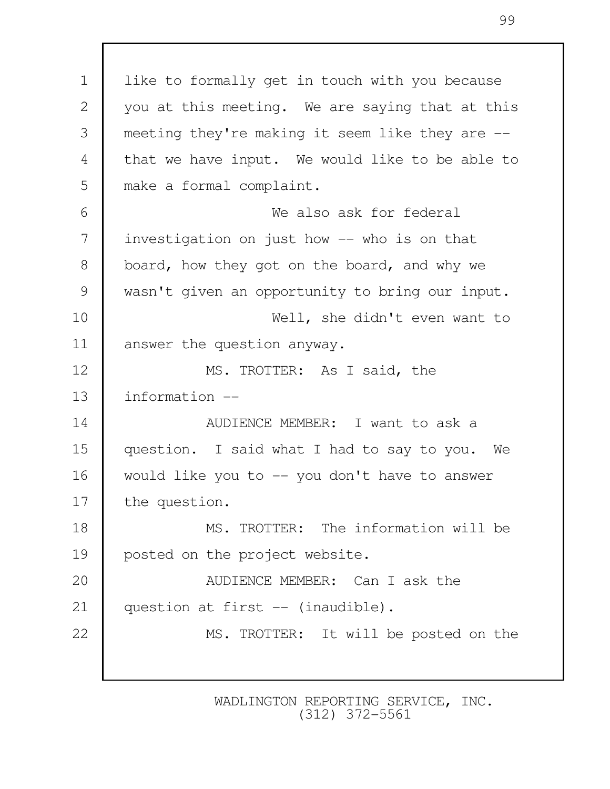1 | like to formally get in touch with you because 2 you at this meeting. We are saying that at this 3 meeting they're making it seem like they are -- 4 that we have input. We would like to be able to 5 make a formal complaint. 6 We also ask for federal 7 investigation on just how -- who is on that 8 board, how they got on the board, and why we 9 wasn't given an opportunity to bring our input. 10 Well, she didn't even want to 11 answer the question anyway. 12 MS. TROTTER: As I said, the 13 information -- 14 AUDIENCE MEMBER: I want to ask a 15 question. I said what I had to say to you. We 16 would like you to -- you don't have to answer 17 the question. 18 MS. TROTTER: The information will be 19 posted on the project website. 20 **AUDIENCE MEMBER:** Can I ask the 21 | question at first -- (inaudible). 22 MS. TROTTER: It will be posted on the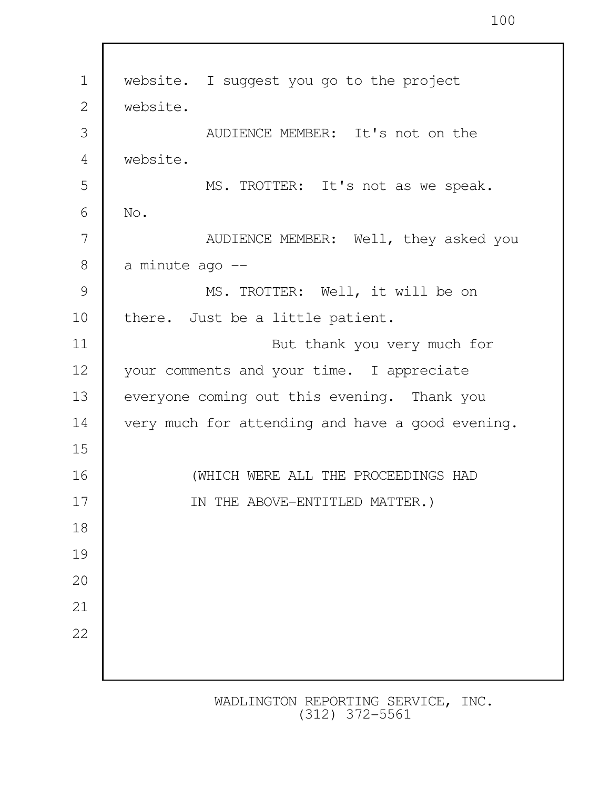1 | website. I suggest you go to the project 2 website. 3 AUDIENCE MEMBER: It's not on the 4 website. 5 MS. TROTTER: It's not as we speak. 6 No. 7 AUDIENCE MEMBER: Well, they asked you  $8$  a minute ago  $-$ 9 MS. TROTTER: Well, it will be on 10 there. Just be a little patient. 11 But thank you very much for 12 your comments and your time. I appreciate 13 everyone coming out this evening. Thank you 14 very much for attending and have a good evening. 15 16 (WHICH WERE ALL THE PROCEEDINGS HAD 17 IN THE ABOVE-ENTITLED MATTER.) 18 19 20 21 22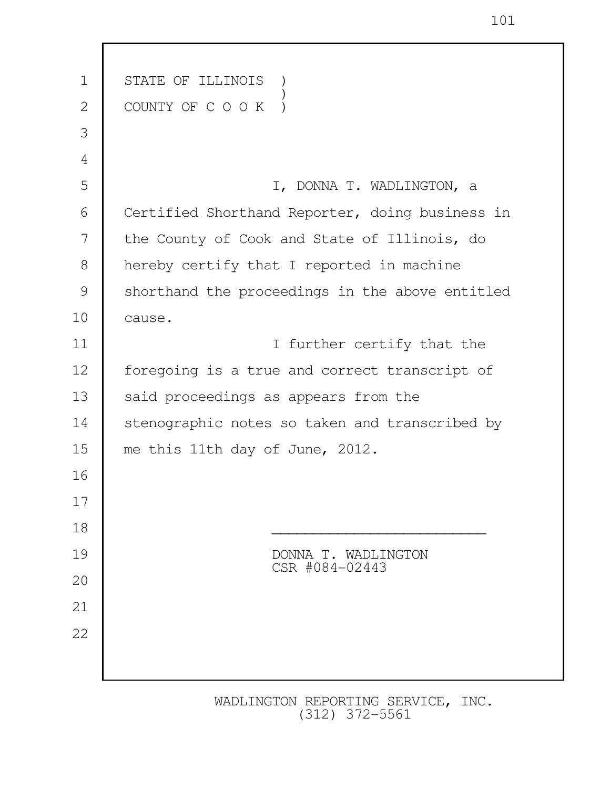| $\mathbf 1$ | STATE OF ILLINOIS                               |  |  |
|-------------|-------------------------------------------------|--|--|
| 2           | COUNTY OF C O O K                               |  |  |
| 3           |                                                 |  |  |
| 4           |                                                 |  |  |
| 5           | I, DONNA T. WADLINGTON, a                       |  |  |
| 6           | Certified Shorthand Reporter, doing business in |  |  |
| 7           | the County of Cook and State of Illinois, do    |  |  |
| 8           | hereby certify that I reported in machine       |  |  |
| 9           | shorthand the proceedings in the above entitled |  |  |
| 10          | cause.                                          |  |  |
| 11          | I further certify that the                      |  |  |
| 12          | foregoing is a true and correct transcript of   |  |  |
| 13          | said proceedings as appears from the            |  |  |
| 14          | stenographic notes so taken and transcribed by  |  |  |
| 15          | me this 11th day of June, 2012.                 |  |  |
| 16          |                                                 |  |  |
| 17          |                                                 |  |  |
| 18          |                                                 |  |  |
| 19          | DONNA T. WADLINGTON<br>CSR #084-02443           |  |  |
| 20          |                                                 |  |  |
| 21          |                                                 |  |  |
| 22          |                                                 |  |  |
|             |                                                 |  |  |
|             |                                                 |  |  |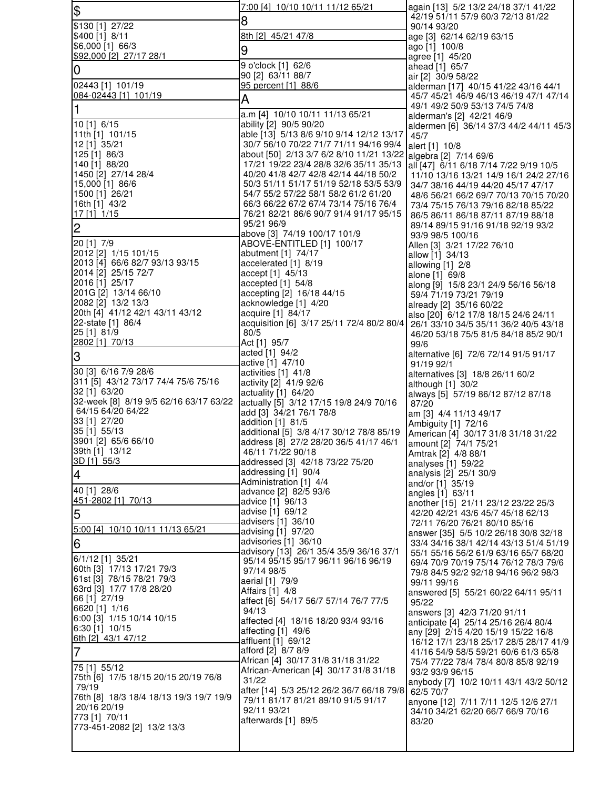| $\frac{1}{2}$                                          | <u>7:00 [4] 10/10 10/11 11/12 65/21</u>                                            | again [13] 5/2 13/2 24/18 37/1 41/22                                           |
|--------------------------------------------------------|------------------------------------------------------------------------------------|--------------------------------------------------------------------------------|
| \$130 [1] 27/22                                        | 8                                                                                  | 42/19 51/11 57/9 60/3 72/13 81/22<br>90/14 93/20                               |
| \$400 [1] 8/11                                         | 8th [2] 45/21 47/8                                                                 | age [3] 62/14 62/19 63/15                                                      |
| \$6,000 [1] 66/3                                       | 9                                                                                  | ago [1] 100/8                                                                  |
| \$92,000 [2] 27/17 28/1                                | 9 o'clock [1] 62/6                                                                 | agree [1] 45/20<br>ahead [1] 65/7                                              |
| 0                                                      | 90 [2] 63/11 88/7                                                                  | air [2] 30/9 58/22                                                             |
| 02443 [1] 101/19                                       | 95 percent [1] 88/6                                                                | alderman [17] 40/15 41/22 43/16 44/1                                           |
| 084-02443 [1] 101/19                                   | A                                                                                  | 45/7 45/21 46/9 46/13 46/19 47/1 47/14                                         |
| 1                                                      | a.m [4] 10/10 10/11 11/13 65/21                                                    | 49/1 49/2 50/9 53/13 74/5 74/8<br>alderman's [2] 42/21 46/9                    |
| 10 [1] 6/15                                            | ability [2] 90/5 90/20                                                             | aldermen [6] 36/14 37/3 44/2 44/11 45/3                                        |
| 11th [1] 101/15                                        | able [13] 5/13 8/6 9/10 9/14 12/12 13/17<br>30/7 56/10 70/22 71/7 71/11 94/16 99/4 | 45/7                                                                           |
| 12 [1] 35/21<br>125 [1] 86/3                           | about [50] 2/13 3/7 6/2 8/10 11/21 13/22 algebra [2] 7/14 69/6                     | alert [1] 10/8                                                                 |
| 140 [1] 88/20                                          | 17/21 19/22 23/4 28/8 32/6 35/11 35/13                                             | all [47] 6/11 6/18 7/14 7/22 9/19 10/5                                         |
| 1450 [2] 27/14 28/4                                    | 40/20 41/8 42/7 42/8 42/14 44/18 50/2                                              | 11/10 13/16 13/21 14/9 16/1 24/2 27/16                                         |
| 15,000 [1] 86/6<br>1500 [1] 26/21                      | 50/3 51/11 51/17 51/19 52/18 53/5 53/9<br>54/7 55/2 57/22 58/1 58/2 61/2 61/20     | 34/7 38/16 44/19 44/20 45/17 47/17<br>48/6 56/21 66/2 69/7 70/13 70/15 70/20   |
| 16th [1] 43/2                                          | 66/3 66/22 67/2 67/4 73/14 75/16 76/4                                              | 73/4 75/15 76/13 79/16 82/18 85/22                                             |
| $17$ [1] $1/15$                                        | 76/21 82/21 86/6 90/7 91/4 91/17 95/15                                             | 86/5 86/11 86/18 87/11 87/19 88/18                                             |
| $\overline{c}$                                         | 95/21 96/9<br>above [3] 74/19 100/17 101/9                                         | 89/14 89/15 91/16 91/18 92/19 93/2                                             |
| 20 [1] 7/9                                             | ABOVE-ENTITLED [1] 100/17                                                          | 93/9 98/5 100/16<br>Allen [3] 3/21 17/22 76/10                                 |
| 2012 [2] 1/15 101/15                                   | abutment [1] 74/17                                                                 | allow [1] 34/13                                                                |
| 2013 [4] 66/6 82/7 93/13 93/15<br>2014 [2] 25/15 72/7  | accelerated [1] 8/19<br>accept [1] 45/13                                           | allowing [1] 2/8                                                               |
| 2016 [1] 25/17                                         | accepted $[1]$ 54/8                                                                | alone [1] 69/8<br>along [9] 15/8 23/1 24/9 56/16 56/18                         |
| 201G [2] 13/14 66/10                                   | accepting [2] 16/18 44/15                                                          | 59/4 71/19 73/21 79/19                                                         |
| 2082 [2] 13/2 13/3                                     | acknowledge [1] 4/20                                                               | already [2] 35/16 60/22                                                        |
| 20th [4] 41/12 42/1 43/11 43/12<br>22-state [1] 86/4   | acquire [1] 84/17<br>acquisition [6] 3/17 25/11 72/4 80/2 80/4                     | also [20] 6/12 17/8 18/15 24/6 24/11<br>26/1 33/10 34/5 35/11 36/2 40/5 43/18  |
| 25 [1] 81/9                                            | 80/5                                                                               | 46/20 53/18 75/5 81/5 84/18 85/2 90/1                                          |
| 2802 [1] 70/13                                         | Act [1] 95/7                                                                       | 99/6                                                                           |
| S                                                      | acted [1] 94/2<br>active [1] 47/10                                                 | alternative [6] 72/6 72/14 91/5 91/17<br>91/19 92/1                            |
| 30 [3] 6/16 7/9 28/6                                   | activities [1] 41/8                                                                | alternatives [3] 18/8 26/11 60/2                                               |
| 311 [5] 43/12 73/17 74/4 75/6 75/16<br>32 [1] 63/20    | activity [2] 41/9 92/6                                                             | although $[1]$ 30/2                                                            |
| 32-week [8] 8/19 9/5 62/16 63/17 63/22                 | actuality $[1]$ 64/20<br>actually [5] 3/12 17/15 19/8 24/9 70/16                   | always [5] 57/19 86/12 87/12 87/18<br>87/20                                    |
| 64/15 64/20 64/22                                      | add [3] 34/21 76/1 78/8                                                            | am [3] 4/4 11/13 49/17                                                         |
| 33 [1] 27/20                                           | addition [1] 81/5                                                                  | Ambiguity [1] 72/16                                                            |
| 35 [1] 55/13<br>3901 [2] 65/6 66/10                    | additional [5] 3/8 4/17 30/12 78/8 85/19<br>address [8] 27/2 28/20 36/5 41/17 46/1 | American [4] 30/17 31/8 31/18 31/22<br>amount [2] 74/1 75/21                   |
| 39th [1] 13/12                                         | 46/11 71/22 90/18                                                                  | Amtrak [2] 4/8 88/1                                                            |
| 3D [1] 55/3                                            | addressed [3] 42/18 73/22 75/20                                                    | analyses [1] 59/22                                                             |
| $\overline{\mathcal{A}}$                               | addressing [1] 90/4<br>Administration [1] 4/4                                      | analysis [2] 25/1 30/9                                                         |
| 40 [1] 28/6                                            | advance [2] 82/5 93/6                                                              | and/or [1] 35/19<br>angles [1] 63/11                                           |
| 451-2802 [1] 70/13                                     | advice [1] 96/13                                                                   | another [15] 21/11 23/12 23/22 25/3                                            |
| 5                                                      | advise [1] 69/12<br>advisers [1] 36/10                                             | 42/20 42/21 43/6 45/7 45/18 62/13<br>72/11 76/20 76/21 80/10 85/16             |
| 5:00 [4] 10/10 10/11 11/13 65/21                       | advising [1] 97/20                                                                 | answer [35] 5/5 10/2 26/18 30/8 32/18                                          |
| 6                                                      | advisories [1] 36/10                                                               | 33/4 34/16 38/1 42/14 43/13 51/4 51/19                                         |
| 6/1/12 [1] 35/21                                       | advisory [13] 26/1 35/4 35/9 36/16 37/1<br>95/14 95/15 95/17 96/11 96/16 96/19     | 55/1 55/16 56/2 61/9 63/16 65/7 68/20<br>69/4 70/9 70/19 75/14 76/12 78/3 79/6 |
| 60th [3] 17/13 17/21 79/3                              | 97/14 98/5                                                                         | 79/8 84/5 92/2 92/18 94/16 96/2 98/3                                           |
| 61st [3] 78/15 78/21 79/3<br>63rd [3] 17/7 17/8 28/20  | aerial [1] 79/9                                                                    | 99/11 99/16                                                                    |
| 66 [1] 27/19                                           | Affairs [1] 4/8<br>affect [6] 54/17 56/7 57/14 76/7 77/5                           | answered [5] 55/21 60/22 64/11 95/11                                           |
| 6620 [1] 1/16                                          | 94/13                                                                              | 95/22<br>answers [3] 42/3 71/20 91/11                                          |
| 6:00 [3] 1/15 10/14 10/15                              | affected [4] 18/16 18/20 93/4 93/16                                                | anticipate [4] 25/14 25/16 26/4 80/4                                           |
| 6:30 [1] 10/15<br>6th [2] 43/1 47/12                   | affecting [1] 49/6<br>affluent [1] 69/12                                           | any [29] 2/15 4/20 15/19 15/22 16/8                                            |
| $\overline{7}$                                         | afford [2] 8/7 8/9                                                                 | 16/12 17/1 23/18 25/17 28/5 28/17 41/9<br>41/16 54/9 58/5 59/21 60/6 61/3 65/8 |
| 75 [1] 55/12                                           | African [4] 30/17 31/8 31/18 31/22                                                 | 75/4 77/22 78/4 78/4 80/8 85/8 92/19                                           |
| 75th [6] 17/5 18/15 20/15 20/19 76/8                   | African-American [4] 30/17 31/8 31/18<br>31/22                                     | 93/2 93/9 96/15                                                                |
| 79/19                                                  | after [14] 5/3 25/12 26/2 36/7 66/18 79/8                                          | anybody [7] 10/2 10/11 43/1 43/2 50/12<br>62/5 70/7                            |
| 76th [8] 18/3 18/4 18/13 19/3 19/7 19/9<br>20/16 20/19 | 79/11 81/17 81/21 89/10 91/5 91/17                                                 | anyone [12] 7/11 7/11 12/5 12/6 27/1                                           |
| 773 [1] 70/11                                          | 92/11 93/21<br>afterwards [1] 89/5                                                 | 34/10 34/21 62/20 66/7 66/9 70/16                                              |
| 773-451-2082 [2] 13/2 13/3                             |                                                                                    | 83/20                                                                          |
|                                                        |                                                                                    |                                                                                |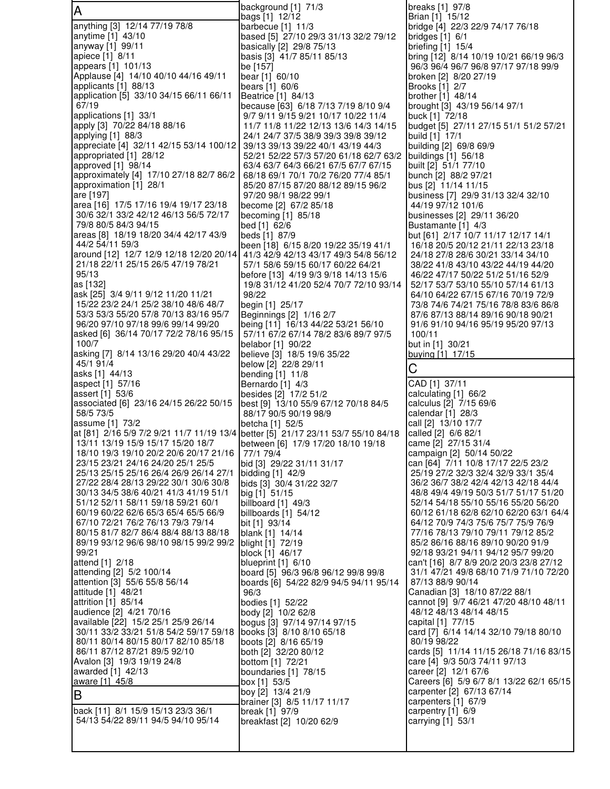A anything [3] 12/14 77/19 78/8 anytime [1] 43/10 anyway [1] 99/11 apiece [1] 8/11 appears [1] 101/13 Applause [4] 14/10 40/10 44/16 49/11 applicants [1] 88/13 application [5] 33/10 34/15 66/11 66/11 67/19 applications [1] 33/1 apply [3] 70/22 84/18 88/16 applying [1] 88/3 appreciate [4] 32/11 42/15 53/14 100/12 appropriated [1] 28/12 approved [1] 98/14 approximately [4] 17/10 27/18 82/7 86/2 approximation [1] 28/1 are [197] area [16] 17/5 17/16 19/4 19/17 23/18 30/6 32/1 33/2 42/12 46/13 56/5 72/17 79/8 80/5 84/3 94/15 areas [8] 18/19 18/20 34/4 42/17 43/9 44/2 54/11 59/3 around [12] 12/7 12/9 12/18 12/20 20/14 21/18 22/11 25/15 26/5 47/19 78/21 95/13 as [132] ask [25] 3/4 9/11 9/12 11/20 11/21 15/22 23/2 24/1 25/2 38/10 48/6 48/7 53/3 53/3 55/20 57/8 70/13 83/16 95/7 96/20 97/10 97/18 99/6 99/14 99/20 asked [6] 36/14 70/17 72/2 78/16 95/15 100/7 asking [7] 8/14 13/16 29/20 40/4 43/22 45/1 91/4 asks [1] 44/13 aspect [1] 57/16 assert [1] 53/6 associated [6] 23/16 24/15 26/22 50/15 58/5 73/5 assume [1] 73/2 at [81] 2/16 5/9 7/2 9/21 11/7 11/19 13/4 13/11 13/19 15/9 15/17 15/20 18/7 18/10 19/3 19/10 20/2 20/6 20/17 21/16 23/15 23/21 24/16 24/20 25/1 25/5 25/13 25/15 25/16 26/4 26/9 26/14 27/1 27/22 28/4 28/13 29/22 30/1 30/6 30/8 30/13 34/5 38/6 40/21 41/3 41/19 51/1 51/12 52/11 58/11 59/18 59/21 60/1 60/19 60/22 62/6 65/3 65/4 65/5 66/9 67/10 72/21 76/2 76/13 79/3 79/14 80/15 81/7 82/7 86/4 88/4 88/13 88/18 89/19 93/12 96/6 98/10 98/15 99/2 99/2 99/21 attend [1] 2/18 attending [2] 5/2 100/14 attention [3] 55/6 55/8 56/14 attitude [1] 48/21 attrition [1] 85/14 audience [2] 4/21 70/16 available [22] 15/2 25/1 25/9 26/14 30/11 33/2 33/21 51/8 54/2 59/17 59/18 80/11 80/14 80/15 80/17 82/10 85/18 86/11 87/12 87/21 89/5 92/10 Avalon [3] 19/3 19/19 24/8 awarded [1] 42/13 aware [1] 45/8 B back [11] 8/1 15/9 15/13 23/3 36/1 54/13 54/22 89/11 94/5 94/10 95/14 background [1] 71/3 bags [1] 12/12 barbecue [1] 11/3 based [5] 27/10 29/3 31/13 32/2 79/12 basically [2] 29/8 75/13 basis [3] 41/7 85/11 85/13 be [157] bear [1] 60/10 bears [1] 60/6 Beatrice [1] 84/13 because [63] 6/18 7/13 7/19 8/10 9/4 9/7 9/11 9/15 9/21 10/17 10/22 11/4 11/7 11/8 11/22 12/13 13/6 14/3 14/15 24/1 24/7 37/5 38/9 39/3 39/8 39/12 39/13 39/13 39/22 40/1 43/19 44/3 52/21 52/22 57/3 57/20 61/18 62/7 63/2 63/4 63/7 64/3 66/21 67/5 67/7 67/15 68/18 69/1 70/1 70/2 76/20 77/4 85/1 85/20 87/15 87/20 88/12 89/15 96/2 97/20 98/1 98/22 99/1 become [2] 67/2 85/18 becoming [1] 85/18 bed [1] 62/6 beds [1] 87/9 been [18] 6/15 8/20 19/22 35/19 41/1 41/3 42/9 42/13 43/17 49/3 54/8 56/12 57/1 58/6 59/15 60/17 60/22 64/21 before [13] 4/19 9/3 9/18 14/13 15/6 19/8 31/12 41/20 52/4 70/7 72/10 93/14 98/22 begin [1] 25/17 Beginnings [2] 1/16 2/7 being [11] 16/13 44/22 53/21 56/10 57/11 67/2 67/14 78/2 83/6 89/7 97/5 belabor [1] 90/22 believe [3] 18/5 19/6 35/22 below [2] 22/8 29/11 bending [1] 11/8 Bernardo [1] 4/3 besides [2] 17/2 51/2 best [9] 13/10 55/9 67/12 70/18 84/5 88/17 90/5 90/19 98/9 betcha [1] 52/5 better [5] 21/17 23/11 53/7 55/10 84/18 between [6] 17/9 17/20 18/10 19/18 77/1 79/4 bid [3] 29/22 31/11 31/17 bidding [1] 42/9 bids [3] 30/4 31/22 32/7 big [1] 51/15 billboard [1] 49/3 billboards [1] 54/12 bit [1] 93/14 blank [1] 14/14 blight [1] 72/19 block [1] 46/17 blueprint [1] 6/10 board [5] 96/3 96/8 96/12 99/8 99/8 boards [6] 54/22 82/9 94/5 94/11 95/14 96/3 bodies [1] 52/22 body [2] 10/2 62/8 bogus [3] 97/14 97/14 97/15 books [3] 8/10 8/10 65/18 boots [2] 8/16 65/19 both [2] 32/20 80/12 bottom [1] 72/21 boundaries [1] 78/15 box [1] 53/5 boy [2] 13/4 21/9 brainer [3] 8/5 11/17 11/17 break [1] 97/9 breakfast [2] 10/20 62/9

breaks [1] 97/8 Brian [1] 15/12 bridge [4] 22/3 22/9 74/17 76/18 bridges [1] 6/1 briefing [1] 15/4 bring [12] 8/14 10/19 10/21 66/19 96/3 96/3 96/4 96/7 96/8 97/17 97/18 99/9 broken [2] 8/20 27/19 Brooks [1] 2/7 brother [1] 48/14 brought [3] 43/19 56/14 97/1 buck [1] 72/18 budget [5] 27/11 27/15 51/1 51/2 57/21 build [1] 17/1 building [2] 69/8 69/9 buildings [1] 56/18 built [2] 51/1 77/10 bunch [2] 88/2 97/21 bus [2] 11/14 11/15 business [7] 29/9 31/13 32/4 32/10 44/19 97/12 101/6 businesses [2] 29/11 36/20 Bustamante [1] 4/3 but [61] 2/17 10/7 11/17 12/17 14/1 16/18 20/5 20/12 21/11 22/13 23/18 24/18 27/8 28/6 30/21 33/14 34/10 38/22 41/8 43/10 43/22 44/19 44/20 46/22 47/17 50/22 51/2 51/16 52/9 52/17 53/7 53/10 55/10 57/14 61/13 64/10 64/22 67/15 67/16 70/19 72/9 73/8 74/6 74/21 75/16 78/8 83/6 86/8 87/6 87/13 88/14 89/16 90/18 90/21 91/6 91/10 94/16 95/19 95/20 97/13 100/11 but in [1] 30/21 buying [1] 17/15  $\Gamma$ CAD [1] 37/11 calculating [1] 66/2 calculus [2] 7/15 69/6 calendar [1] 28/3 call [2] 13/10 17/7 called [2] 6/6 82/1 came [2] 27/15 31/4 campaign [2] 50/14 50/22 can [64] 7/11 10/8 17/17 22/5 23/2 25/19 27/2 32/3 32/4 32/9 33/1 35/4 36/2 36/7 38/2 42/4 42/13 42/18 44/4 48/8 49/4 49/19 50/3 51/7 51/17 51/20 52/14 54/18 55/10 55/16 55/20 56/20 60/12 61/18 62/8 62/10 62/20 63/1 64/4 64/12 70/9 74/3 75/6 75/7 75/9 76/9 77/16 78/13 79/10 79/11 79/12 85/2 85/2 86/16 88/16 89/10 90/20 91/9 92/18 93/21 94/11 94/12 95/7 99/20 can't [16] 8/7 8/9 20/2 20/3 23/8 27/12 31/1 47/21 49/8 68/10 71/9 71/10 72/20 87/13 88/9 90/14 Canadian [3] 18/10 87/22 88/1 cannot [9] 9/7 46/21 47/20 48/10 48/11 48/12 48/13 48/14 48/15 capital [1] 77/15 card [7] 6/14 14/14 32/10 79/18 80/10 80/19 98/22 cards [5] 11/14 11/15 26/18 71/16 83/15 care [4] 9/3 50/3 74/11 97/13 career [2] 12/1 67/6 Careers [6] 5/9 6/7 8/1 13/22 62/1 65/15 carpenter [2] 67/13 67/14 carpenters [1] 67/9 carpentry [1] 6/9 carrying [1] 53/1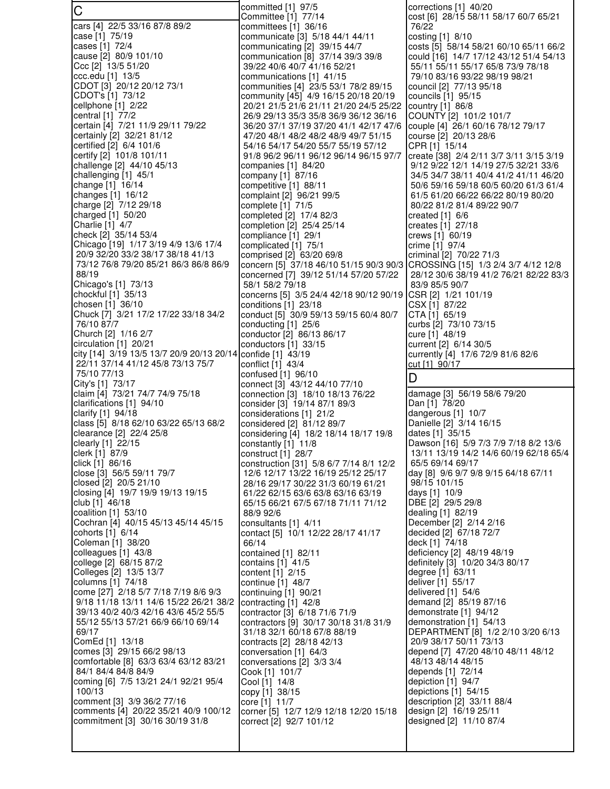C cars [4] 22/5 33/16 87/8 89/2 case [1] 75/19 cases [1] 72/4 cause [2] 80/9 101/10 Ccc [2] 13/5 51/20 ccc.edu [1] 13/5 CDOT [3] 20/12 20/12 73/1 CDOT's [1] 73/12 cellphone [1] 2/22 central [1] 77/2 certain [4] 7/21 11/9 29/11 79/22 certainly [2] 32/21 81/12 certified [2] 6/4 101/6 certify [2] 101/8 101/11 challenge [2] 44/10 45/13 challenging [1] 45/1 change [1] 16/14 changes [1] 16/12 charge [2] 7/12 29/18 charged [1] 50/20 Charlie [1] 4/7 check [2] 35/14 53/4 Chicago [19] 1/17 3/19 4/9 13/6 17/4 20/9 32/20 33/2 38/17 38/18 41/13 73/12 76/8 79/20 85/21 86/3 86/8 86/9 88/19 Chicago's [1] 73/13 chockful [1] 35/13 chosen [1] 36/10 Chuck [7] 3/21 17/2 17/22 33/18 34/2 76/10 87/7 Church [2] 1/16 2/7 circulation [1] 20/21 city [14] 3/19 13/5 13/7 20/9 20/13 20/14 22/11 37/14 41/12 45/8 73/13 75/7 75/10 77/13 City's [1] 73/17 claim [4] 73/21 74/7 74/9 75/18 clarifications [1] 94/10 clarify [1] 94/18 class [5] 8/18 62/10 63/22 65/13 68/2 clearance [2] 22/4 25/8 clearly [1] 22/15 clerk [1] 87/9 click [1] 86/16 close [3] 56/5 59/11 79/7 closed [2] 20/5 21/10 closing [4] 19/7 19/9 19/13 19/15 club [1] 46/18 coalition [1] 53/10 Cochran [4] 40/15 45/13 45/14 45/15 cohorts [1] 6/14 Coleman [1] 38/20 colleagues [1] 43/8 college [2] 68/15 87/2 Colleges [2] 13/5 13/7 columns [1] 74/18 come [27] 2/18 5/7 7/18 7/19 8/6 9/3 9/18 11/18 13/11 14/6 15/22 26/21 38/2 39/13 40/2 40/3 42/16 43/6 45/2 55/5 55/12 55/13 57/21 66/9 66/10 69/14 69/17 ComEd [1] 13/18 comes [3] 29/15 66/2 98/13 comfortable [8] 63/3 63/4 63/12 83/21 84/1 84/4 84/8 84/9 coming [6] 7/5 13/21 24/1 92/21 95/4 100/13 comment [3] 3/9 36/2 77/16 comments [4] 20/22 35/21 40/9 100/12 commitment [3] 30/16 30/19 31/8

committed [1] 97/5 Committee [1] 77/14 committees [1] 36/16 communicate [3] 5/18 44/1 44/11 communicating [2] 39/15 44/7 communication [8] 37/14 39/3 39/8 39/22 40/6 40/7 41/16 52/21 communications [1] 41/15 communities [4] 23/5 53/1 78/2 89/15 community [45] 4/9 16/15 20/18 20/19 20/21 21/5 21/6 21/11 21/20 24/5 25/22 26/9 29/13 35/3 35/8 36/9 36/12 36/16 36/20 37/1 37/19 37/20 41/1 42/17 47/6 47/20 48/1 48/2 48/2 48/9 49/7 51/15 54/16 54/17 54/20 55/7 55/19 57/12 91/8 96/2 96/11 96/12 96/14 96/15 97/7 companies [1] 84/20 company [1] 87/16 competitive [1] 88/11 complaint [2] 96/21 99/5 complete [1] 71/5 completed [2] 17/4 82/3 completion [2] 25/4 25/14 compliance [1] 29/1 complicated [1] 75/1 comprised [2] 63/20 69/8 concern [5] 37/18 46/10 51/15 90/3 90/3 CROSSING [15] 1/3 2/4 3/7 4/12 12/8 concerned [7] 39/12 51/14 57/20 57/22 58/1 58/2 79/18 concerns [5] 3/5 24/4 42/18 90/12 90/19 conditions [1] 23/18 conduct [5] 30/9 59/13 59/15 60/4 80/7 conducting [1] 25/6 conductor [2] 86/13 86/17 conductors [1] 33/15 confide [1] 43/19 conflict [1] 43/4 confused [1] 96/10 connect [3] 43/12 44/10 77/10 connection [3] 18/10 18/13 76/22 consider [3] 19/14 87/1 89/3 considerations [1] 21/2 considered [2] 81/12 89/7 considering [4] 18/2 18/14 18/17 19/8 constantly [1] 11/8 construct [1] 28/7 construction [31] 5/8 6/7 7/14 8/1 12/2 12/6 12/17 13/22 16/19 25/12 25/17 28/16 29/17 30/22 31/3 60/19 61/21 61/22 62/15 63/6 63/8 63/16 63/19 65/15 66/21 67/5 67/18 71/11 71/12 88/9 92/6 consultants [1] 4/11 contact [5] 10/1 12/22 28/17 41/17 66/14 contained [1] 82/11 contains [1] 41/5 content [1] 2/15 continue [1] 48/7 continuing [1] 90/21 contracting [1] 42/8 contractor [3] 6/18 71/6 71/9 contractors [9] 30/17 30/18 31/8 31/9 31/18 32/1 60/18 67/8 88/19 contracts [2] 28/18 42/13 conversation [1] 64/3 conversations [2] 3/3 3/4 Cook [1] 101/7 Cool [1] 14/8 copy [1] 38/15 core [1] 11/7 corner [5] 12/7 12/9 12/18 12/20 15/18 correct [2] 92/7 101/12

corrections [1] 40/20 cost [6] 28/15 58/11 58/17 60/7 65/21 76/22 costing [1] 8/10 costs [5] 58/14 58/21 60/10 65/11 66/2 could [16] 14/7 17/12 43/12 51/4 54/13 55/11 55/11 55/17 65/8 73/9 78/18 79/10 83/16 93/22 98/19 98/21 council [2] 77/13 95/18 councils [1] 95/15 country [1] 86/8 COUNTY [2] 101/2 101/7 couple [4] 26/1 60/16 78/12 79/17 course [2] 20/13 28/6 CPR [1] 15/14 create [38] 2/4 2/11 3/7 3/11 3/15 3/19 9/12 9/22 12/1 14/19 27/5 32/21 33/6 34/5 34/7 38/11 40/4 41/2 41/11 46/20 50/6 59/16 59/18 60/5 60/20 61/3 61/4 61/5 61/20 66/22 66/22 80/19 80/20 80/22 81/2 81/4 89/22 90/7 created [1] 6/6 creates [1] 27/18 crews [1] 60/19 crime [1] 97/4 criminal [2] 70/22 71/3 28/12 30/6 38/19 41/2 76/21 82/22 83/3 83/9 85/5 90/7 CSR [2] 1/21 101/19 CSX [1] 87/22 CTA [1] 65/19 curbs [2] 73/10 73/15 cure [1] 48/19 current [2] 6/14 30/5 currently [4] 17/6 72/9 81/6 82/6 cut [1] 90/17 D damage [3] 56/19 58/6 79/20 Dan [1] 78/20 dangerous [1] 10/7 Danielle [2] 3/14 16/15 dates [1] 35/15 Dawson [16] 5/9 7/3 7/9 7/18 8/2 13/6 13/11 13/19 14/2 14/6 60/19 62/18 65/4 65/5 69/14 69/17 day [8] 9/6 9/7 9/8 9/15 64/18 67/11 98/15 101/15 days [1] 10/9 DBE [2] 29/5 29/8 dealing [1] 82/19 December [2] 2/14 2/16 decided [2] 67/18 72/7 deck [1] 74/18 deficiency [2] 48/19 48/19 definitely [3] 10/20 34/3 80/17 degree [1] 63/11 deliver [1] 55/17 delivered [1] 54/6 demand [2] 85/19 87/16 demonstrate [1] 94/12 demonstration [1] 54/13 DEPARTMENT [8] 1/2 2/10 3/20 6/13 20/9 38/17 50/11 73/13 depend [7] 47/20 48/10 48/11 48/12 48/13 48/14 48/15 depends [1] 72/14 depiction [1] 94/7 depictions [1] 54/15 description [2] 33/11 88/4 design [2] 16/19 25/11 designed [2] 11/10 87/4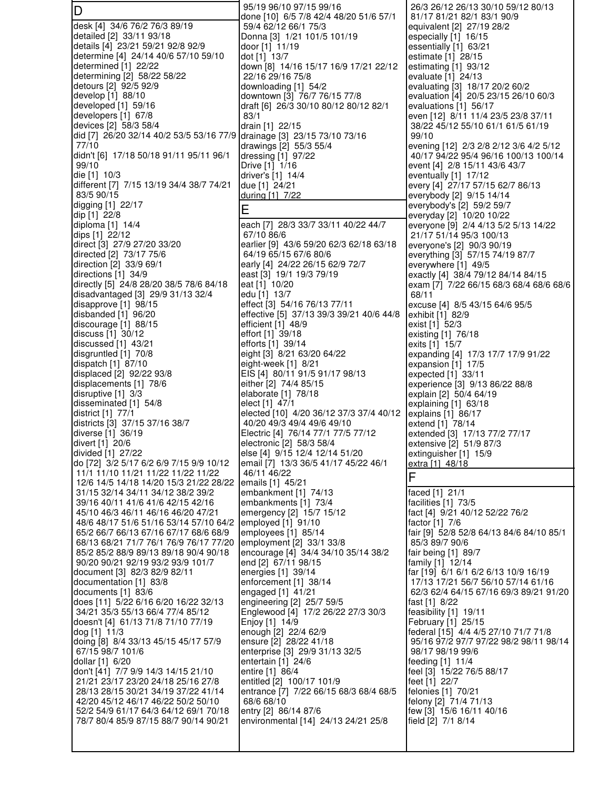D desk [4] 34/6 76/2 76/3 89/19 detailed [2] 33/11 93/18 details [4] 23/21 59/21 92/8 92/9 determine [4] 24/14 40/6 57/10 59/10 determined [1] 22/22 determining [2] 58/22 58/22 detours [2] 92/5 92/9 develop [1] 88/10 developed [1] 59/16 developers [1] 67/8 devices [2] 58/3 58/4 did [7] 26/20 32/14 40/2 53/5 53/16 77/9 77/10 didn't [6] 17/18 50/18 91/11 95/11 96/1 99/10 die [1] 10/3 different [7] 7/15 13/19 34/4 38/7 74/21 83/5 90/15 digging [1] 22/17 dip [1] 22/8 diploma [1] 14/4 dips [1] 22/12 direct [3] 27/9 27/20 33/20 directed [2] 73/17 75/6 direction [2] 33/9 69/1 directions [1] 34/9 directly [5] 24/8 28/20 38/5 78/6 84/18 disadvantaged [3] 29/9 31/13 32/4 disapprove [1] 98/15 disbanded [1] 96/20 discourage [1] 88/15 discuss [1] 30/12 discussed [1] 43/21 disgruntled [1] 70/8 dispatch [1] 87/10 displaced [2] 92/22 93/8 displacements [1] 78/6 disruptive [1] 3/3 disseminated [1] 54/8 district [1] 77/1 districts [3] 37/15 37/16 38/7 diverse [1] 36/19 divert [1] 20/6 divided [1] 27/22 do [72] 3/2 5/17 6/2 6/9 7/15 9/9 10/12 11/1 11/10 11/21 11/22 11/22 11/22 12/6 14/5 14/18 14/20 15/3 21/22 28/22 31/15 32/14 34/11 34/12 38/2 39/2 39/16 40/11 41/6 41/6 42/15 42/16 45/10 46/3 46/11 46/16 46/20 47/21 48/6 48/17 51/6 51/16 53/14 57/10 64/2 65/2 66/7 66/13 67/16 67/17 68/6 68/9 68/13 68/21 71/7 76/1 76/9 76/17 77/20 85/2 85/2 88/9 89/13 89/18 90/4 90/18 90/20 90/21 92/19 93/2 93/9 101/7 document [3] 82/3 82/9 82/11 documentation [1] 83/8 documents [1] 83/6 does [11] 5/22 6/16 6/20 16/22 32/13 34/21 35/3 55/13 66/4 77/4 85/12 doesn't [4] 61/13 71/8 71/10 77/19 dog [1] 11/3 doing [8] 8/4 33/13 45/15 45/17 57/9 67/15 98/7 101/6 dollar [1] 6/20 don't [41] 7/7 9/9 14/3 14/15 21/10 21/21 23/17 23/20 24/18 25/16 27/8 28/13 28/15 30/21 34/19 37/22 41/14 42/20 45/12 46/17 46/22 50/2 50/10 52/2 54/9 61/17 64/3 64/12 69/1 70/18 78/7 80/4 85/9 87/15 88/7 90/14 90/21 95/19 96/10 97/15 99/16 done [10] 6/5 7/8 42/4 48/20 51/6 57/1 59/4 62/12 66/1 75/3 Donna [3] 1/21 101/5 101/19 door [1] 11/19 dot [1] 13/7 down [8] 14/16 15/17 16/9 17/21 22/12 22/16 29/16 75/8 downloading [1] 54/2 downtown [3] 76/7 76/15 77/8 draft [6] 26/3 30/10 80/12 80/12 82/1 83/1 drain [1] 22/15 drainage [3] 23/15 73/10 73/16 drawings [2] 55/3 55/4 dressing [1] 97/22 Drive [1] 1/16 driver's [1] 14/4 due [1] 24/21 during [1] 7/22 E each [7] 28/3 33/7 33/11 40/22 44/7 67/10 86/6 earlier [9] 43/6 59/20 62/3 62/18 63/18 64/19 65/15 67/6 80/6 early [4] 24/22 26/15 62/9 72/7 east [3] 19/1 19/3 79/19 eat [1] 10/20 edu [1] 13/7 effect [3] 54/16 76/13 77/11 effective [5] 37/13 39/3 39/21 40/6 44/8 efficient [1] 48/9 effort [1] 39/18 efforts [1] 39/14 eight [3] 8/21 63/20 64/22 eight-week [1] 8/21 EIS [4] 80/11 91/5 91/17 98/13 either [2] 74/4 85/15 elaborate [1] 78/18 elect [1] 47/1 elected [10] 4/20 36/12 37/3 37/4 40/12 40/20 49/3 49/4 49/6 49/10 Electric [4] 76/14 77/1 77/5 77/12 electronic [2] 58/3 58/4 else [4] 9/15 12/4 12/14 51/20 email [7] 13/3 36/5 41/17 45/22 46/1 46/11 46/22 emails [1] 45/21 embankment [1] 74/13 embankments [1] 73/4 emergency [2] 15/7 15/12 employed [1] 91/10 employees [1] 85/14 employment [2] 33/1 33/8 encourage [4] 34/4 34/10 35/14 38/2 end [2] 67/11 98/15 energies [1] 39/14 enforcement [1] 38/14 engaged [1] 41/21 engineering [2] 25/7 59/5 Englewood [4] 17/2 26/22 27/3 30/3 Enjoy [1] 14/9 enough [2] 22/4 62/9 ensure [2] 28/22 41/18 enterprise [3] 29/9 31/13 32/5 entertain [1] 24/6 entire [1] 86/4 entitled [2] 100/17 101/9 entrance [7] 7/22 66/15 68/3 68/4 68/5 68/6 68/10 entry [2] 86/14 87/6 environmental [14] 24/13 24/21 25/8

 26/3 26/12 26/13 30/10 59/12 80/13 81/17 81/21 82/1 83/1 90/9 equivalent [2] 27/19 28/2 especially [1] 16/15 essentially [1] 63/21 estimate [1] 28/15 estimating [1] 93/12 evaluate [1] 24/13 evaluating [3] 18/17 20/2 60/2 evaluation [4] 20/5 23/15 26/10 60/3 evaluations [1] 56/17 even [12] 8/11 11/4 23/5 23/8 37/11 38/22 45/12 55/10 61/1 61/5 61/19 99/10 evening [12] 2/3 2/8 2/12 3/6 4/2 5/12 40/17 94/22 95/4 96/16 100/13 100/14 event [4] 2/8 15/11 43/6 43/7 eventually [1] 17/12 every [4] 27/17 57/15 62/7 86/13 everybody [2] 9/15 14/14 everybody's [2] 59/2 59/7 everyday [2] 10/20 10/22 everyone [9] 2/4 4/13 5/2 5/13 14/22 21/17 51/14 95/3 100/13 everyone's [2] 90/3 90/19 everything [3] 57/15 74/19 87/7 everywhere [1] 49/5 exactly [4] 38/4 79/12 84/14 84/15 exam [7] 7/22 66/15 68/3 68/4 68/6 68/6 68/11 excuse [4] 8/5 43/15 64/6 95/5 exhibit [1] 82/9 exist [1] 52/3 existing [1] 76/18 exits [1] 15/7 expanding [4] 17/3 17/7 17/9 91/22 expansion [1] 17/5 expected [1] 33/11 experience [3] 9/13 86/22 88/8 explain [2] 50/4 64/19 explaining [1] 63/18 explains [1] 86/17 extend [1] 78/14 extended [3] 17/13 77/2 77/17 extensive [2] 51/9 87/3 extinguisher [1] 15/9 extra [1] 48/18 F faced [1] 21/1 facilities [1] 73/5 fact [4] 9/21 40/12 52/22 76/2 factor [1] 7/6 fair [9] 52/8 52/8 64/13 84/6 84/10 85/1 85/3 89/7 90/6 fair being [1] 89/7 family [1] 12/14 far [19] 6/1 6/1 6/2 6/13 10/9 16/19 17/13 17/21 56/7 56/10 57/14 61/16 62/3 62/4 64/15 67/16 69/3 89/21 91/20 fast [1] 8/22 feasibility [1] 19/11 February [1] 25/15 federal [15] 4/4 4/5 27/10 71/7 71/8 95/16 97/2 97/7 97/22 98/2 98/11 98/14 98/17 98/19 99/6 feeding [1] 11/4 feel [3] 15/22 76/5 88/17 feet [1] 22/7 felonies [1] 70/21 felony [2] 71/4 71/13 few [3] 15/6 16/11 40/16 field [2] 7/1 8/14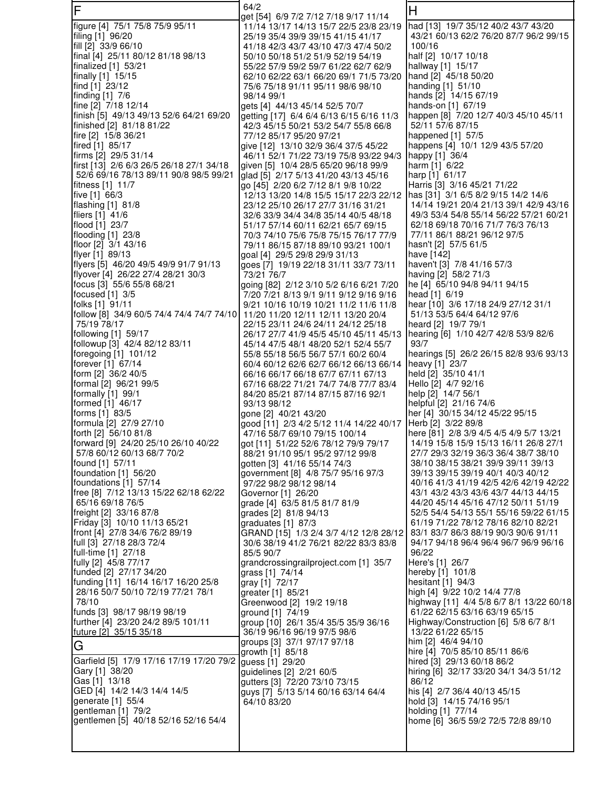| F                                                            | 64/2                                                                             | H                                                                             |
|--------------------------------------------------------------|----------------------------------------------------------------------------------|-------------------------------------------------------------------------------|
| figure [4] 75/1 75/8 75/9 95/11                              | get [54]  6/9 7/2 7/12 7/18 9/17 11/14<br>11/14 13/17 14/13 15/7 22/5 23/8 23/19 | had [13] 19/7 35/12 40/2 43/7 43/20                                           |
| filing [1] 96/20                                             | 25/19 35/4 39/9 39/15 41/15 41/17                                                | 43/21 60/13 62/2 76/20 87/7 96/2 99/15                                        |
| fill [2] 33/9 66/10                                          | 41/18 42/3 43/7 43/10 47/3 47/4 50/2                                             | 100/16                                                                        |
| final [4] 25/11 80/12 81/18 98/13                            | 50/10 50/18 51/2 51/9 52/19 54/19                                                | half [2] 10/17 10/18                                                          |
| finalized [1] 53/21<br>finally [1] 15/15                     | 55/22 57/9 59/2 59/7 61/22 62/7 62/9<br>62/10 62/22 63/1 66/20 69/1 71/5 73/20   | hallway [1] 15/17<br>hand [2] 45/18 50/20                                     |
| find [1] 23/12                                               | 75/6 75/18 91/11 95/11 98/6 98/10                                                | handing [1] 51/10                                                             |
| finding [1] 7/6                                              | 98/14 99/1                                                                       | hands [2] 14/15 67/19                                                         |
| fine [2] 7/18 12/14                                          | gets [4] 44/13 45/14 52/5 70/7                                                   | hands-on [1] 67/19                                                            |
| finish [5] 49/13 49/13 52/6 64/21 69/20                      | getting [17] 6/4 6/4 6/13 6/15 6/16 11/3                                         | happen [8] 7/20 12/7 40/3 45/10 45/11                                         |
| finished [2] 81/18 81/22<br>fire [2] 15/8 36/21              | 42/3 45/15 50/21 53/2 54/7 55/8 66/8<br>77/12 85/17 95/20 97/21                  | 52/11 57/6 87/15<br>happened [1] 57/5                                         |
| fired [1] 85/17                                              | give [12] 13/10 32/9 36/4 37/5 45/22                                             | happens [4] 10/1 12/9 43/5 57/20                                              |
| firms [2] 29/5 31/14                                         | 46/11 52/1 71/22 73/19 75/8 93/22 94/3                                           | happy [1] 36/4                                                                |
| first [13] 2/6 6/3 26/5 26/18 27/1 34/18                     | given [5] 10/4 28/5 65/20 96/18 99/9                                             | harm [1] 6/22                                                                 |
| 52/6 69/16 78/13 89/11 90/8 98/5 99/21<br>fitness [1] 11/7   | glad [5] 2/17 5/13 41/20 43/13 45/16<br>go [45] 2/20 6/2 7/12 8/1 9/8 10/22      | harp [1] 61/17<br>Harris [3] 3/16 45/21 71/22                                 |
| five [1] 66/3                                                | 12/13 13/20 14/8 15/5 15/17 22/3 22/12                                           | has [31] 3/1 6/5 8/2 9/15 14/2 14/6                                           |
| flashing [1] 81/8                                            | 23/12 25/10 26/17 27/7 31/16 31/21                                               | 14/14 19/21 20/4 21/13 39/1 42/9 43/16                                        |
| fliers [1] 41/6                                              | 32/6 33/9 34/4 34/8 35/14 40/5 48/18                                             | 49/3 53/4 54/8 55/14 56/22 57/21 60/21                                        |
| flood [1] 23/7                                               | 51/17 57/14 60/11 62/21 65/7 69/15                                               | 62/18 69/18 70/16 71/7 76/3 76/13                                             |
| flooding [1] 23/8<br>floor [2] 3/1 43/16                     | 70/3 74/10 75/6 75/8 75/15 76/17 77/9<br>79/11 86/15 87/18 89/10 93/21 100/1     | 77/11 86/1 88/21 96/12 97/5<br>hasn't [2] 57/5 61/5                           |
| flyer [1] 89/13                                              | goal [4] 29/5 29/8 29/9 31/13                                                    | have [142]                                                                    |
| flyers [5] 46/20 49/5 49/9 91/7 91/13                        | goes [7] 19/19 22/18 31/11 33/7 73/11                                            | haven't [3] 7/8 41/16 57/3                                                    |
| flyover [4] 26/22 27/4 28/21 30/3                            | 73/21 76/7                                                                       | having [2] 58/2 71/3                                                          |
| focus [3] 55/6 55/8 68/21                                    | going [82] 2/12 3/10 5/2 6/16 6/21 7/20                                          | he [4] 65/10 94/8 94/11 94/15                                                 |
| focused $[1]$ 3/5<br>folks [1] 91/11                         | 7/20 7/21 8/13 9/1 9/11 9/12 9/16 9/16<br>9/21 10/16 10/19 10/21 11/2 11/6 11/8  | head [1] 6/19<br>hear [10] 3/6 17/18 24/9 27/12 31/1                          |
| follow [8] 34/9 60/5 74/4 74/4 74/7 74/10                    | 11/20 11/20 12/11 12/11 13/20 20/4                                               | 51/13 53/5 64/4 64/12 97/6                                                    |
| 75/19 78/17                                                  | 22/15 23/11 24/6 24/11 24/12 25/18                                               | heard [2] 19/7 79/1                                                           |
| following [1] 59/17                                          | 26/17 27/7 41/9 45/5 45/10 45/11 45/13                                           | hearing [6] 1/10 42/7 42/8 53/9 82/6                                          |
| followup [3] 42/4 82/12 83/11                                | 45/14 47/5 48/1 48/20 52/1 52/4 55/7<br>55/8 55/18 56/5 56/7 57/1 60/2 60/4      | 93/7                                                                          |
| foregoing [1] 101/12<br>forever [1] 67/14                    | 60/4 60/12 62/6 62/7 66/12 66/13 66/14                                           | hearings [5] 26/2 26/15 82/8 93/6 93/13<br>heavy [1] 23/7                     |
| form [2] 36/2 40/5                                           | 66/16 66/17 66/18 67/7 67/11 67/13                                               | held [2] 35/10 41/1                                                           |
| formal [2] 96/21 99/5                                        | 67/16 68/22 71/21 74/7 74/8 77/7 83/4                                            | Hello [2] 4/7 92/16                                                           |
| formally $[1]$ 99/1                                          | 84/20 85/21 87/14 87/15 87/16 92/1                                               | help [2] 14/7 56/1                                                            |
| formed [1] 46/17<br>forms [1] 83/5                           | 93/13 98/12<br>gone [2] 40/21 43/20                                              | helpful [2] 21/16 74/6<br>her [4] 30/15 34/12 45/22 95/15                     |
| formula [2] 27/9 27/10                                       | good [11] 2/3 4/2 5/12 11/4 14/22 40/17                                          | Herb [2] 3/22 89/8                                                            |
| forth [2] 56/10 81/8                                         | 47/16 58/7 69/10 79/15 100/14                                                    | here [81] 2/8 3/9 4/5 4/5 4/9 5/7 13/21                                       |
| forward [9] 24/20 25/10 26/10 40/22                          | got [11] 51/22 52/6 78/12 79/9 79/17                                             | 14/19 15/8 15/9 15/13 16/11 26/8 27/1                                         |
| 57/8 60/12 60/13 68/7 70/2                                   | 88/21 91/10 95/1 95/2 97/12 99/8                                                 | 27/7 29/3 32/19 36/3 36/4 38/7 38/10                                          |
| found [1] 57/11<br>foundation [1] 56/20                      | gotten [3] 41/16 55/14 74/3<br>government [8] 4/8 75/7 95/16 97/3                | 38/10 38/15 38/21 39/9 39/11 39/13<br>39/13 39/15 39/19 40/1 40/3 40/12       |
| foundations [1] 57/14                                        | 97/22 98/2 98/12 98/14                                                           | 40/16 41/3 41/19 42/5 42/6 42/19 42/22                                        |
| free [8] 7/12 13/13 15/22 62/18 62/22                        | Governor [1] 26/20                                                               | 43/1 43/2 43/3 43/6 43/7 44/13 44/15                                          |
| 65/16 69/18 76/5                                             | grade [4] 63/5 81/5 81/7 81/9                                                    | 44/20 45/14 45/16 47/12 50/11 51/19                                           |
| freight [2] 33/16 87/8<br>Friday [3] 10/10 11/13 65/21       | grades [2] 81/8 94/13<br>graduates [1] 87/3                                      | 52/5 54/4 54/13 55/1 55/16 59/22 61/15<br>61/19 71/22 78/12 78/16 82/10 82/21 |
| front [4] 27/8 34/6 76/2 89/19                               | GRAND [15] 1/3 2/4 3/7 4/12 12/8 28/12                                           | 83/1 83/7 86/3 88/19 90/3 90/6 91/11                                          |
| full [3] 27/18 28/3 72/4                                     | 30/6 38/19 41/2 76/21 82/22 83/3 83/8                                            | 94/17 94/18 96/4 96/4 96/7 96/9 96/16                                         |
| full-time [1] 27/18                                          | 85/5 90/7                                                                        | 96/22                                                                         |
| fully [2] 45/8 77/17<br>funded [2] 27/17 34/20               | grandcrossingrailproject.com [1] 35/7                                            | Here's [1] 26/7                                                               |
| funding [11] 16/14 16/17 16/20 25/8                          | grass [1] 74/14<br>gray [1] 72/17                                                | hereby [1] 101/8<br>hesitant [1] 94/3                                         |
| 28/16 50/7 50/10 72/19 77/21 78/1                            | greater [1] 85/21                                                                | high [4] 9/22 10/2 14/4 77/8                                                  |
| 78/10                                                        | Greenwood [2] 19/2 19/18                                                         | highway [11] 4/4 5/8 6/7 8/1 13/22 60/18                                      |
| funds [3] 98/17 98/19 98/19                                  | ground [1] 74/19                                                                 | 61/22 62/15 63/16 63/19 65/15                                                 |
| further [4] 23/20 24/2 89/5 101/11<br>future [2] 35/15 35/18 | group [10] 26/1 35/4 35/5 35/9 36/16<br>36/19 96/16 96/19 97/5 98/6              | Highway/Construction [6] 5/8 6/7 8/1<br>13/22 61/22 65/15                     |
|                                                              | groups [3] 37/1 97/17 97/18                                                      | him [2] 46/4 94/10                                                            |
| G                                                            | growth [1] 85/18                                                                 | hire [4] 70/5 85/10 85/11 86/6                                                |
| Garfield [5] 17/9 17/16 17/19 17/20 79/2                     | guess [1] 29/20                                                                  | hired [3] 29/13 60/18 86/2                                                    |
| Gary [1] 38/20<br>Gas [1] 13/18                              | guidelines [2] 2/21 60/5                                                         | hiring [6] 32/17 33/20 34/1 34/3 51/12<br>86/12                               |
| GED [4] 14/2 14/3 14/4 14/5                                  | gutters [3] 72/20 73/10 73/15<br>guys [7] 5/13 5/14 60/16 63/14 64/4             | his [4] 2/7 36/4 40/13 45/15                                                  |
| generate [1] 55/4                                            | 64/10 83/20                                                                      | hold [3] 14/15 74/16 95/1                                                     |
| gentleman [1] 79/2                                           |                                                                                  | holding [1] 77/14                                                             |
| gentlemen [5] 40/18 52/16 52/16 54/4                         |                                                                                  | home [6] 36/5 59/2 72/5 72/8 89/10                                            |
|                                                              |                                                                                  |                                                                               |
|                                                              |                                                                                  |                                                                               |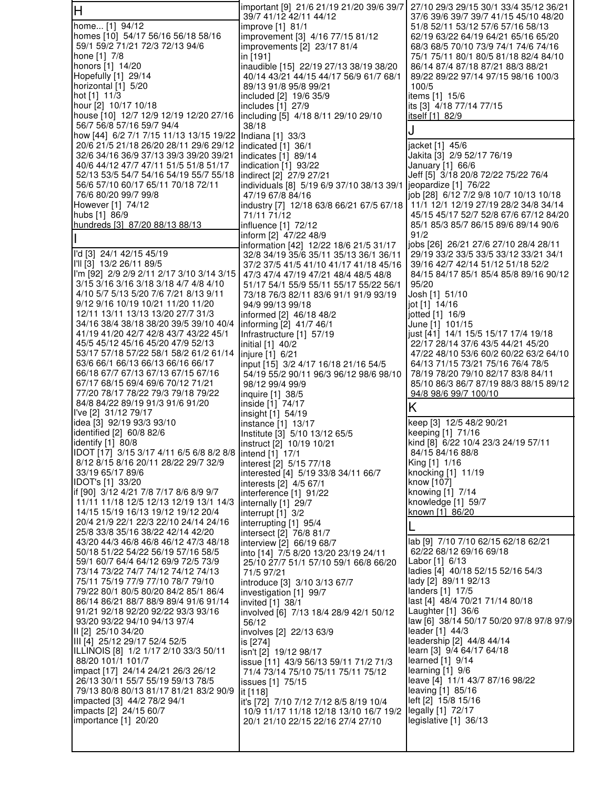| lН                                                                               | important [9] 21/6 21/19 21/20 39/6 39/7<br>39/7 41/12 42/11 44/12               | 27/10 29/3 29/15 30/1 33/4 35/12 36/21<br>37/6 39/6 39/7 39/7 41/15 45/10 48/20 |
|----------------------------------------------------------------------------------|----------------------------------------------------------------------------------|---------------------------------------------------------------------------------|
| home [1] 94/12                                                                   | improve [1] 81/1                                                                 | 51/8 52/11 53/12 57/6 57/16 58/13                                               |
| homes [10] 54/17 56/16 56/18 58/16                                               | improvement [3] 4/16 77/15 81/12                                                 | 62/19 63/22 64/19 64/21 65/16 65/20                                             |
| 59/1 59/2 71/21 72/3 72/13 94/6                                                  | improvements [2] 23/17 81/4                                                      | 68/3 68/5 70/10 73/9 74/1 74/6 74/16                                            |
| hone [1] 7/8<br>honors [1] 14/20                                                 | in [191]<br>inaudible [15] 22/19 27/13 38/19 38/20                               | 75/1 75/11 80/1 80/5 81/18 82/4 84/10<br>86/14 87/4 87/18 87/21 88/3 88/21      |
| Hopefully [1] 29/14                                                              | 40/14 43/21 44/15 44/17 56/9 61/7 68/1                                           | 89/22 89/22 97/14 97/15 98/16 100/3                                             |
| horizontal [1] 5/20                                                              | 89/13 91/8 95/8 99/21                                                            | 100/5                                                                           |
| hot [1] 11/3                                                                     | included [2] 19/6 35/9                                                           | items [1] 15/6                                                                  |
| hour [2] 10/17 10/18<br>house [10] 12/7 12/9 12/19 12/20 27/16                   | includes [1] 27/9<br>including [5] 4/18 8/11 29/10 29/10                         | its [3] 4/18 77/14 77/15<br>itself [1] 82/9                                     |
| 56/7 56/8 57/16 59/7 94/4                                                        | 38/18                                                                            |                                                                                 |
| how [44] 6/2 7/1 7/15 11/13 13/15 19/22                                          | Indiana [1] 33/3                                                                 |                                                                                 |
| 20/6 21/5 21/18 26/20 28/11 29/6 29/12<br>32/6 34/16 36/9 37/13 39/3 39/20 39/21 | indicated [1] 36/1                                                               | jacket [1] 45/6                                                                 |
| 40/6 44/12 47/7 47/11 51/5 51/8 51/17                                            | indicates [1] 89/14<br>indication $[1]$ 93/22                                    | Jakita [3] 2/9 52/17 76/19<br>January [1] 66/6                                  |
| 52/13 53/5 54/7 54/16 54/19 55/7 55/18                                           | indirect [2] 27/9 27/21                                                          | Jeff [5] 3/18 20/8 72/22 75/22 76/4                                             |
| 56/6 57/10 60/17 65/11 70/18 72/11                                               | individuals [8] 5/19 6/9 37/10 38/13 39/1                                        | jeopardize [1] 76/22                                                            |
| 76/6 80/20 99/7 99/8                                                             | 47/19 67/8 84/16                                                                 | job [28] 6/12 7/2 9/8 10/7 10/13 10/18                                          |
| However [1] 74/12<br>hubs [1] 86/9                                               | industry [7] 12/18 63/8 66/21 67/5 67/18<br>71/11 71/12                          | 11/1 12/1 12/19 27/19 28/2 34/8 34/14<br>45/15 45/17 52/7 52/8 67/6 67/12 84/20 |
| hundreds [3] 87/20 88/13 88/13                                                   | influence [1] 72/12                                                              | 85/1 85/3 85/7 86/15 89/6 89/14 90/6                                            |
|                                                                                  | inform [2] 47/22 48/9                                                            | 91/2                                                                            |
| l'd [3] 24/1 42/15 45/19                                                         | information [42] 12/22 18/6 21/5 31/17                                           | jobs [26] 26/21 27/6 27/10 28/4 28/11<br>29/19 33/2 33/5 33/5 33/12 33/21 34/1  |
| I'll [3] 13/2 26/11 89/5                                                         | 32/8 34/19 35/6 35/11 35/13 36/1 36/11<br>37/2 37/5 41/5 41/10 41/17 41/18 45/16 | 39/16 42/7 42/14 51/12 51/18 52/2                                               |
| I'm [92] 2/9 2/9 2/11 2/17 3/10 3/14 3/15                                        | 47/3 47/4 47/19 47/21 48/4 48/5 48/8                                             | 84/15 84/17 85/1 85/4 85/8 89/16 90/12                                          |
| 3/15 3/16 3/16 3/18 3/18 4/7 4/8 4/10<br>4/10 5/7 5/13 5/20 7/6 7/21 8/13 9/11   | 51/17 54/1 55/9 55/11 55/17 55/22 56/1                                           | 95/20                                                                           |
| 9/12 9/16 10/19 10/21 11/20 11/20                                                | 73/18 76/3 82/11 83/6 91/1 91/9 93/19<br>94/9 99/13 99/18                        | Josh [1] 51/10<br>jot [1] 14/16                                                 |
| 12/11 13/11 13/13 13/20 27/7 31/3                                                | informed [2] 46/18 48/2                                                          | jotted [1] 16/9                                                                 |
| 34/16 38/4 38/18 38/20 39/5 39/10 40/4                                           | informing [2] 41/7 46/1                                                          | June [1] 101/15                                                                 |
| 41/19 41/20 42/7 42/8 43/7 43/22 45/1<br>45/5 45/12 45/16 45/20 47/9 52/13       | Infrastructure [1] 57/19<br>initial [1] 40/2                                     | just [41] 14/1 15/5 15/17 17/4 19/18<br>22/17 28/14 37/6 43/5 44/21 45/20       |
| 53/17 57/18 57/22 58/1 58/2 61/2 61/14                                           | injure [1] 6/21                                                                  | 47/22 48/10 53/6 60/2 60/22 63/2 64/10                                          |
| 63/6 66/1 66/13 66/13 66/16 66/17                                                | input [15] 3/2 4/17 16/18 21/16 54/5                                             | 64/13 71/15 73/21 75/16 76/4 78/5                                               |
| 66/18 67/7 67/13 67/13 67/15 67/16<br>67/17 68/15 69/4 69/6 70/12 71/21          | 54/19 55/2 90/11 96/3 96/12 98/6 98/10                                           | 78/19 78/20 79/10 82/17 83/8 84/11                                              |
| 77/20 78/17 78/22 79/3 79/18 79/22                                               | 98/12 99/4 99/9<br>inquire [1] 38/5                                              | 85/10 86/3 86/7 87/19 88/3 88/15 89/12<br><u>94/8 98/6 99/7 100/10</u>          |
| 84/8 84/22 89/19 91/3 91/6 91/20                                                 | inside [1] 74/17                                                                 | K                                                                               |
| I've [2] 31/12 79/17<br>idea [3] 92/19 93/3 93/10                                | insight [1] 54/19                                                                | keep [3] 12/5 48/2 90/21                                                        |
| identified [2] 60/8 82/6                                                         | instance [1] 13/17<br>Institute [3] 5/10 13/12 65/5                              | keeping [1] 71/16                                                               |
| identify [1] 80/8                                                                | instruct [2] 10/19 10/21                                                         | kind [8] 6/22 10/4 23/3 24/19 57/11                                             |
| IDOT [17] 3/15 3/17 4/11 6/5 6/8 8/2 8/8   intend [1] 17/1                       |                                                                                  | 84/15 84/16 88/8                                                                |
| 8/12 8/15 8/16 20/11 28/22 29/7 32/9<br>33/19 65/17 89/6                         | interest [2] 5/15 77/18<br>interested [4] 5/19 33/8 34/11 66/7                   | King [1] 1/16<br>knocking [1] 11/19                                             |
| IDOT's [1] 33/20                                                                 | interests [2] 4/5 67/1                                                           | know [107]                                                                      |
| if [90] 3/12 4/21 7/8 7/17 8/6 8/9 9/7                                           | interference [1] 91/22                                                           | knowing [1] 7/14                                                                |
| 11/11 11/18 12/5 12/13 12/19 13/1 14/3<br>14/15 15/19 16/13 19/12 19/12 20/4     | internally [1] 29/7<br>interrupt $[1]$ 3/2                                       | knowledge [1] 59/7<br>known [1] 86/20                                           |
| 20/4 21/9 22/1 22/3 22/10 24/14 24/16                                            | interrupting [1] 95/4                                                            |                                                                                 |
| 25/8 33/8 35/16 38/22 42/14 42/20                                                | intersect [2] 76/8 81/7                                                          |                                                                                 |
| 43/20 44/3 46/8 46/8 46/12 47/3 48/18<br>50/18 51/22 54/22 56/19 57/16 58/5      | interview [2] 66/19 68/7<br>into [14] 7/5 8/20 13/20 23/19 24/11                 | lab [9] 7/10 7/10 62/15 62/18 62/21<br>62/22 68/12 69/16 69/18                  |
| 59/1 60/7 64/4 64/12 69/9 72/5 73/9                                              | 25/10 27/7 51/1 57/10 59/1 66/8 66/20                                            | Labor [1] 6/13                                                                  |
| 73/14 73/22 74/7 74/12 74/12 74/13                                               | 71/5 97/21                                                                       | ladies [4] 40/18 52/15 52/16 54/3                                               |
| 75/11 75/19 77/9 77/10 78/7 79/10<br>79/22 80/1 80/5 80/20 84/2 85/1 86/4        | introduce [3] 3/10 3/13 67/7<br>investigation [1] 99/7                           | lady [2] 89/11 92/13<br>landers [1] 17/5                                        |
| 86/14 86/21 88/7 88/9 89/4 91/6 91/14                                            | invited [1] 38/1                                                                 | last [4] 48/4 70/21 71/14 80/18                                                 |
| 91/21 92/18 92/20 92/22 93/3 93/16                                               | involved [6] 7/13 18/4 28/9 42/1 50/12                                           | Laughter $[1]$ 36/6                                                             |
| 93/20 93/22 94/10 94/13 97/4<br>II [2] 25/10 34/20                               | 56/12<br>involves [2] 22/13 63/9                                                 | law [6] 38/14 50/17 50/20 97/8 97/8 97/9<br>leader [1] 44/3                     |
| III [4] 25/12 29/17 52/4 52/5                                                    | is [274]                                                                         | leadership [2] 44/8 44/14                                                       |
| ILLINOIS [8] 1/2 1/17 2/10 33/3 50/11                                            | isn't [2] 19/12 98/17                                                            | learn [3] 9/4 64/17 64/18                                                       |
| 88/20 101/1 101/7                                                                | issue [11] 43/9 56/13 59/11 71/2 71/3                                            | learned [1] 9/14                                                                |
| impact [17] 24/14 24/21 26/3 26/12<br>26/13 30/11 55/7 55/19 59/13 78/5          | 71/4 73/14 75/10 75/11 75/11 75/12<br>issues [1] 75/15                           | learning $[1]$ 9/6<br>leave [4] 11/1 43/7 87/16 98/22                           |
| 79/13 80/8 80/13 81/17 81/21 83/2 90/9                                           | it [118]                                                                         | leaving [1] 85/16                                                               |
| impacted [3] 44/2 78/2 94/1                                                      | it's [72] 7/10 7/12 7/12 8/5 8/19 10/4                                           | left [2] 15/8 15/16                                                             |
| impacts [2] 24/15 60/7<br>importance [1] 20/20                                   | 10/9 11/17 11/18 12/18 13/10 16/7 19/2<br>20/1 21/10 22/15 22/16 27/4 27/10      | legally [1] 72/17<br>legislative [1] 36/13                                      |
|                                                                                  |                                                                                  |                                                                                 |
|                                                                                  |                                                                                  |                                                                                 |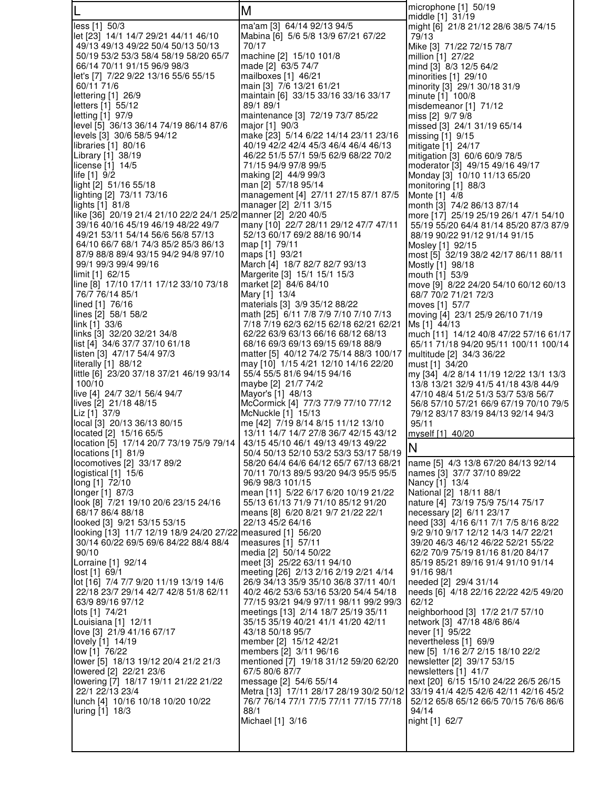|                                                                                                         | M                                                                                 | microphone $[1]$ 50/19<br>middle [1] 31/19                                      |
|---------------------------------------------------------------------------------------------------------|-----------------------------------------------------------------------------------|---------------------------------------------------------------------------------|
| less [1] 50/3                                                                                           | ma'am [3] 64/14 92/13 94/5                                                        | might [6] 21/8 21/12 28/6 38/5 74/15                                            |
| let [23] 14/1 14/7 29/21 44/11 46/10<br>49/13 49/13 49/22 50/4 50/13 50/13                              | Mabina [6] 5/6 5/8 13/9 67/21 67/22<br>70/17                                      | 79/13<br>Mike [3] 71/22 72/15 78/7                                              |
| 50/19 53/2 53/3 58/4 58/19 58/20 65/7                                                                   | machine [2] 15/10 101/8                                                           | million [1] 27/22                                                               |
| 66/14 70/11 91/15 96/9 98/3<br>let's [7] 7/22 9/22 13/16 55/6 55/15                                     | made [2] 63/5 74/7<br>mailboxes [1] 46/21                                         | mind [3] 8/3 12/5 64/2<br>minorities [1] 29/10                                  |
| 60/11 71/6                                                                                              | main [3] 7/6 13/21 61/21                                                          | minority [3] 29/1 30/18 31/9                                                    |
| lettering [1] 26/9                                                                                      | maintain [6] 33/15 33/16 33/16 33/17                                              | minute [1] 100/8                                                                |
| letters [1] 55/12<br>letting [1] 97/9                                                                   | 89/1 89/1<br>maintenance [3] 72/19 73/7 85/22                                     | misdemeanor $[1]$ 71/12<br>miss [2] 9/7 9/8                                     |
| level [5] 36/13 36/14 74/19 86/14 87/6                                                                  | major [1] 90/3                                                                    | missed [3] 24/1 31/19 65/14                                                     |
| levels [3] 30/6 58/5 94/12<br>libraries [1] 80/16                                                       | make [23] 5/14 6/22 14/14 23/11 23/16<br>40/19 42/2 42/4 45/3 46/4 46/4 46/13     | missing [1] 9/15<br>mitigate [1] 24/17                                          |
| Library [1] 38/19                                                                                       | 46/22 51/5 57/1 59/5 62/9 68/22 70/2                                              | mitigation [3] 60/6 60/9 78/5                                                   |
| license [1] 14/5<br>life $[1]$ 9/2                                                                      | 71/15 94/9 97/8 99/5<br>making [2] 44/9 99/3                                      | moderator [3] 49/15 49/16 49/17<br>Monday [3] 10/10 11/13 65/20                 |
| light [2] 51/16 55/18                                                                                   | man [2] 57/18 95/14                                                               | monitoring [1] 88/3                                                             |
| lighting [2] 73/11 73/16                                                                                | management [4] 27/11 27/15 87/1 87/5                                              | Monte [1] 4/8                                                                   |
| lights $[1]$ 81/8<br>like [36] 20/19 21/4 21/10 22/2 24/1 25/2 manner [2] 2/20 40/5                     | manager [2] 2/11 3/15                                                             | month [3] 74/2 86/13 87/14<br>more [17] 25/19 25/19 26/1 47/1 54/10             |
| 39/16 40/16 45/19 46/19 48/22 49/7                                                                      | many [10] 22/7 28/11 29/12 47/7 47/11                                             | 55/19 55/20 64/4 81/14 85/20 87/3 87/9                                          |
| 49/21 53/11 54/14 56/6 56/8 57/13<br>64/10 66/7 68/1 74/3 85/2 85/3 86/13                               | 52/13 60/17 69/2 88/16 90/14<br>map [1] 79/11                                     | 88/19 90/22 91/12 91/14 91/15<br>Mosley [1] 92/15                               |
| 87/9 88/8 89/4 93/15 94/2 94/8 97/10                                                                    | maps [1] 93/21                                                                    | most [5] 32/19 38/2 42/17 86/11 88/11                                           |
| 99/1 99/3 99/4 99/16<br>limit [1] 62/15                                                                 | March [4] 18/7 82/7 82/7 93/13<br>Margerite [3] 15/1 15/1 15/3                    | Mostly [1] 98/18<br>mouth [1] 53/9                                              |
| line [8] 17/10 17/11 17/12 33/10 73/18                                                                  | market [2] 84/6 84/10                                                             | move [9] 8/22 24/20 54/10 60/12 60/13                                           |
| 76/7 76/14 85/1                                                                                         | Mary [1] 13/4                                                                     | 68/7 70/2 71/21 72/3                                                            |
| lined [1] 76/16<br>lines [2] 58/1 58/2                                                                  | materials [3] 3/9 35/12 88/22<br>math [25] 6/11 7/8 7/9 7/10 7/10 7/13            | moves [1] 57/7<br>moving [4] 23/1 25/9 26/10 71/19                              |
| link [1] 33/6                                                                                           | 7/18 7/19 62/3 62/15 62/18 62/21 62/21                                            | Ms [1] 44/13                                                                    |
| links [3] 32/20 32/21 34/8<br>list [4] 34/6 37/7 37/10 61/18                                            | 62/22 63/9 63/13 66/16 68/12 68/13<br>68/16 69/3 69/13 69/15 69/18 88/9           | much [11] 14/12 40/8 47/22 57/16 61/17<br>65/11 71/18 94/20 95/11 100/11 100/14 |
| listen [3] 47/17 54/4 97/3                                                                              | matter [5] 40/12 74/2 75/14 88/3 100/17                                           | multitude [2] 34/3 36/22                                                        |
| literally [1] 88/12<br>little [6] 23/20 37/18 37/21 46/19 93/14                                         | may [10] 1/15 4/21 12/10 14/16 22/20<br>55/4 55/5 81/6 94/15 94/16                | must [1] 34/20<br>my [34] 4/2 8/14 11/19 12/22 13/1 13/3                        |
| 100/10                                                                                                  | maybe [2] 21/7 74/2                                                               | 13/8 13/21 32/9 41/5 41/18 43/8 44/9                                            |
| live [4] 24/7 32/1 56/4 94/7                                                                            | Mayor's [1] 48/13                                                                 | 47/10 48/4 51/2 51/3 53/7 53/8 56/7                                             |
| lives [2] 21/18 48/15<br>Liz [1] 37/9                                                                   | McCormick [4] 77/3 77/9 77/10 77/12<br>McNuckle [1] 15/13                         | 56/8 57/10 57/21 66/9 67/19 70/10 79/5<br>79/12 83/17 83/19 84/13 92/14 94/3    |
| local [3] 20/13 36/13 80/15                                                                             | me [42] 7/19 8/14 8/15 11/12 13/10                                                | 95/11                                                                           |
| located [2] 15/16 65/5<br>location [5] 17/14 20/7 73/19 75/9 79/14   43/15 45/10 46/1 49/13 49/13 49/22 | 13/11 14/7 14/7 27/8 36/7 42/15 43/12                                             | myself [1] 40/20                                                                |
| locations [1] 81/9                                                                                      | 50/4 50/13 52/10 53/2 53/3 53/17 58/19                                            | N                                                                               |
| locomotives [2] 33/17 89/2<br>logistical [1] 15/6                                                       | 58/20 64/4 64/6 64/12 65/7 67/13 68/21<br>70/11 70/13 89/5 93/20 94/3 95/5 95/5   | name [5] 4/3 13/8 67/20 84/13 92/14<br>names [3] 37/7 37/10 89/22               |
| long [1] 72/10                                                                                          | 96/9 98/3 101/15                                                                  | Nancy [1] 13/4                                                                  |
| longer [1] 87/3<br>look [8] 7/21 19/10 20/6 23/15 24/16                                                 | mean [11]  5/22 6/17 6/20 10/19 21/22<br>55/13 61/13 71/9 71/10 85/12 91/20       | National [2] 18/11 88/1<br>nature [4] 73/19 75/9 75/14 75/17                    |
| 68/17 86/4 88/18                                                                                        | means [8] 6/20 8/21 9/7 21/22 22/1                                                | necessary [2] 6/11 23/17                                                        |
| looked [3] 9/21 53/15 53/15                                                                             | 22/13 45/2 64/16                                                                  | need [33] 4/16 6/11 7/1 7/5 8/16 8/22                                           |
| looking [13] 11/7 12/19 18/9 24/20 27/22 measured [1] 56/20<br>30/14 60/22 69/5 69/6 84/22 88/4 88/4    | measures [1] 57/11                                                                | 9/2 9/10 9/17 12/12 14/3 14/7 22/21<br>39/20 46/3 46/12 46/22 52/21 55/22       |
| 90/10                                                                                                   | media [2] 50/14 50/22                                                             | 62/2 70/9 75/19 81/16 81/20 84/17                                               |
| Lorraine [1] 92/14<br>lost [1] 69/1                                                                     | meet [3] 25/22 63/11 94/10<br>meeting [26] 2/13 2/16 2/19 2/21 4/14               | 85/19 85/21 89/16 91/4 91/10 91/14<br>91/16 98/1                                |
| lot [16] 7/4 7/7 9/20 11/19 13/19 14/6                                                                  | 26/9 34/13 35/9 35/10 36/8 37/11 40/1                                             | needed [2] 29/4 31/14                                                           |
| 22/18 23/7 29/14 42/7 42/8 51/8 62/11<br>63/9 89/16 97/12                                               | 40/2 46/2 53/6 53/16 53/20 54/4 54/18<br>77/15 93/21 94/9 97/11 98/11 99/2 99/3   | needs [6] 4/18 22/16 22/22 42/5 49/20<br>62/12                                  |
| lots [1] 74/21                                                                                          | meetings [13] 2/14 18/7 25/19 35/11                                               | neighborhood [3] 17/2 21/7 57/10                                                |
| Louisiana [1] 12/11<br>love [3] 21/9 41/16 67/17                                                        | 35/15 35/19 40/21 41/1 41/20 42/11                                                | network [3] 47/18 48/6 86/4                                                     |
| lovely [1] 14/19                                                                                        | 43/18 50/18 95/7<br>member [2] 15/12 42/21                                        | never [1] 95/22<br>nevertheless [1] 69/9                                        |
| low [1] 76/22                                                                                           | members [2] 3/11 96/16                                                            | new [5] 1/16 2/7 2/15 18/10 22/2                                                |
| lower [5] 18/13 19/12 20/4 21/2 21/3<br>lowered [2] 22/21 23/6                                          | mentioned [7] 19/18 31/12 59/20 62/20<br>67/5 80/6 87/7                           | newsletter [2] 39/17 53/15<br>newsletters [1] 41/7                              |
| lowering [7] 18/17 19/11 21/22 21/22                                                                    | message [2] 54/6 55/14                                                            | next [20] 6/15 15/10 24/22 26/5 26/15                                           |
| 22/1 22/13 23/4<br>lunch [4] 10/16 10/18 10/20 10/22                                                    | Metra [13] 17/11 28/17 28/19 30/2 50/12<br>76/7 76/14 77/1 77/5 77/11 77/15 77/18 | 33/19 41/4 42/5 42/6 42/11 42/16 45/2<br>52/12 65/8 65/12 66/5 70/15 76/6 86/6  |
| luring [1] 18/3                                                                                         | 88/1                                                                              | 94/14                                                                           |
|                                                                                                         | Michael [1] 3/16                                                                  | night [1] 62/7                                                                  |
|                                                                                                         |                                                                                   |                                                                                 |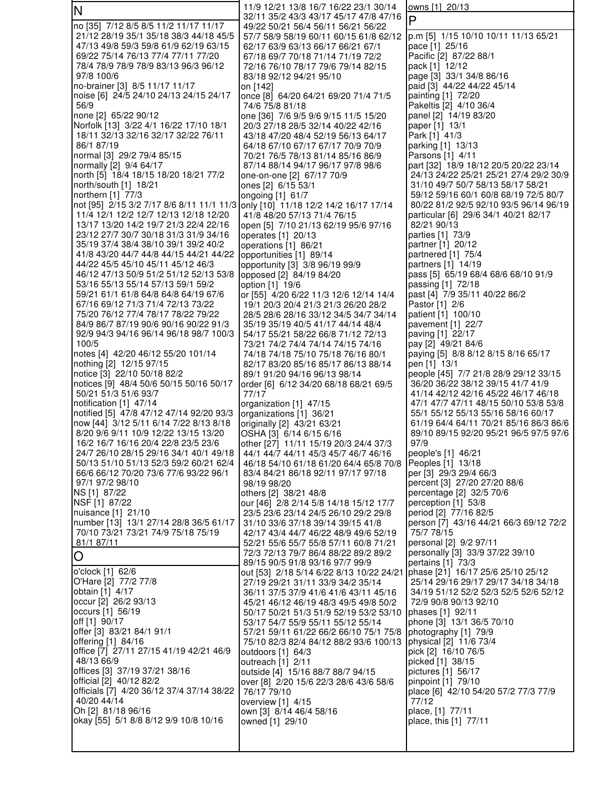| N                                                                               | 11/9 12/21 13/8 16/7 16/22 23/1 30/14                                                                           | owns [1] 20/13                                                                  |
|---------------------------------------------------------------------------------|-----------------------------------------------------------------------------------------------------------------|---------------------------------------------------------------------------------|
|                                                                                 | 32/11 35/2 43/3 43/17 45/17 47/8 47/16                                                                          | P                                                                               |
| no [35] 7/12 8/5 8/5 11/2 11/17 11/17<br>21/12 28/19 35/1 35/18 38/3 44/18 45/5 | 49/22 50/21 56/4 56/11 56/21 56/22<br>57/7 58/9 58/19 60/11 60/15 61/8 62/12                                    | p.m [5] 1/15 10/10 10/11 11/13 65/21                                            |
| 47/13 49/8 59/3 59/8 61/9 62/19 63/15                                           | 62/17 63/9 63/13 66/17 66/21 67/1                                                                               | pace [1] 25/16                                                                  |
| 69/22 75/14 76/13 77/4 77/11 77/20                                              | 67/18 69/7 70/18 71/14 71/19 72/2                                                                               | Pacific [2] 87/22 88/1                                                          |
| 78/4 78/9 78/9 78/9 83/13 96/3 96/12                                            | 72/16 76/10 78/17 79/6 79/14 82/15                                                                              | pack [1] 12/12                                                                  |
| 97/8 100/6                                                                      | 83/18 92/12 94/21 95/10                                                                                         | page [3] 33/1 34/8 86/16                                                        |
| no-brainer [3] 8/5 11/17 11/17                                                  | on [142]                                                                                                        | paid [3] 44/22 44/22 45/14                                                      |
| noise [6] 24/5 24/10 24/13 24/15 24/17                                          | once [8] 64/20 64/21 69/20 71/4 71/5                                                                            | painting [1] 72/20                                                              |
| 56/9<br>none [2] 65/22 90/12                                                    | 74/6 75/8 81/18<br>one [36] 7/6 9/5 9/6 9/15 11/5 15/20                                                         | Pakeltis [2] 4/10 36/4<br>panel [2] 14/19 83/20                                 |
| Norfolk [13] 3/22 4/1 16/22 17/10 18/1                                          | 20/3 27/18 28/5 32/14 40/22 42/16                                                                               | paper [1] 13/1                                                                  |
| 18/11 32/13 32/16 32/17 32/22 76/11                                             | 43/18 47/20 48/4 52/19 56/13 64/17                                                                              | Park [1] 41/3                                                                   |
| 86/1 87/19                                                                      | 64/18 67/10 67/17 67/17 70/9 70/9                                                                               | parking [1] 13/13                                                               |
| normal [3] 29/2 79/4 85/15                                                      | 70/21 76/5 78/13 81/14 85/16 86/9                                                                               | Parsons [1] 4/11                                                                |
| normally [2] 9/4 64/17                                                          | 87/14 88/14 94/17 96/17 97/8 98/6                                                                               | part [32] 18/9 18/12 20/5 20/22 23/14<br>24/13 24/22 25/21 25/21 27/4 29/2 30/9 |
| north [5] 18/4 18/15 18/20 18/21 77/2<br>north/south [1] 18/21                  | one-on-one [2] 67/17 70/9<br>ones [2] 6/15 53/1                                                                 | 31/10 49/7 50/7 58/13 58/17 58/21                                               |
| northern $[1]$ 77/3                                                             | ongoing $[1]$ 61/7                                                                                              | 59/12 59/16 60/1 60/8 68/19 72/5 80/7                                           |
| not [95] 2/15 3/2 7/17 8/6 8/11 11/1 11/3 only [10] 11/18 12/2 14/2 16/17 17/14 |                                                                                                                 | 80/22 81/2 92/5 92/10 93/5 96/14 96/19                                          |
| 11/4 12/1 12/2 12/7 12/13 12/18 12/20                                           | 41/8 48/20 57/13 71/4 76/15                                                                                     | particular [6] 29/6 34/1 40/21 82/17                                            |
| 13/17 13/20 14/2 19/7 21/3 22/4 22/16                                           | open [5] 7/10 21/13 62/19 95/6 97/16                                                                            | 82/21 90/13                                                                     |
| 23/12 27/7 30/7 30/18 31/3 31/9 34/16                                           | operates $[1]$ 20/13                                                                                            | parties [1] 73/9                                                                |
| 35/19 37/4 38/4 38/10 39/1 39/2 40/2<br>41/8 43/20 44/7 44/8 44/15 44/21 44/22  | operations [1] 86/21<br>opportunities [1] 89/14                                                                 | partner [1] 20/12<br>partnered [1] 75/4                                         |
| 44/22 45/5 45/10 45/11 45/12 46/3                                               | opportunity [3] 3/8 96/19 99/9                                                                                  | partners [1] 14/19                                                              |
| 46/12 47/13 50/9 51/2 51/12 52/13 53/8                                          | opposed [2] 84/19 84/20                                                                                         | pass [5] 65/19 68/4 68/6 68/10 91/9                                             |
| 53/16 55/13 55/14 57/13 59/1 59/2                                               | option [1] 19/6                                                                                                 | passing [1] 72/18                                                               |
| 59/21 61/1 61/8 64/8 64/8 64/19 67/6                                            | or [55] 4/20 6/22 11/3 12/6 12/14 14/4                                                                          | past [4] 7/9 35/11 40/22 86/2                                                   |
| 67/16 69/12 71/3 71/4 72/13 73/22                                               | 19/1 20/3 20/4 21/3 21/3 26/20 28/2                                                                             | Pastor [1] 2/6                                                                  |
| 75/20 76/12 77/4 78/17 78/22 79/22<br>84/9 86/7 87/19 90/6 90/16 90/22 91/3     | 28/5 28/6 28/16 33/12 34/5 34/7 34/14<br>35/19 35/19 40/5 41/17 44/14 48/4                                      | patient [1] 100/10<br>pavement [1] 22/7                                         |
| 92/9 94/3 94/16 96/14 96/18 98/7 100/3                                          | 54/17 55/21 58/22 66/8 71/12 72/13                                                                              | paving [1] 22/17                                                                |
| 100/5                                                                           | 73/21 74/2 74/4 74/14 74/15 74/16                                                                               | pay [2] 49/21 84/6                                                              |
| notes [4] 42/20 46/12 55/20 101/14                                              | 74/18 74/18 75/10 75/18 76/16 80/1                                                                              | paying [5] 8/8 8/12 8/15 8/16 65/17                                             |
| nothing [2] 12/15 97/15                                                         | 82/17 83/20 85/16 85/17 86/13 88/14                                                                             | pen [1] 13/1                                                                    |
| notice [3] 22/10 50/18 82/2<br>notices [9] 48/4 50/6 50/15 50/16 50/17          | 89/1 91/20 94/16 96/13 98/14                                                                                    | people [45] 7/7 21/8 28/9 29/12 33/15<br>36/20 36/22 38/12 39/15 41/7 41/9      |
| 50/21 51/3 51/6 93/7                                                            | order [6] 6/12 34/20 68/18 68/21 69/5<br>77/17                                                                  | 41/14 42/12 42/16 45/22 46/17 46/18                                             |
| notification [1] 47/14                                                          | organization [1] 47/15                                                                                          | 47/1 47/7 47/11 48/15 50/10 53/8 53/8                                           |
| notified [5] 47/8 47/12 47/14 92/20 93/3                                        | organizations [1] 36/21                                                                                         | 55/1 55/12 55/13 55/16 58/16 60/17                                              |
| now [44] 3/12 5/11 6/14 7/22 8/13 8/18                                          | originally [2] 43/21 63/21                                                                                      | 61/19 64/4 64/11 70/21 85/16 86/3 86/6                                          |
| 8/20 9/6 9/11 10/9 12/22 13/15 13/20                                            | OSHA [3] 6/14 6/15 6/16                                                                                         | 89/10 89/15 92/20 95/21 96/5 97/5 97/6                                          |
| 16/2 16/7 16/16 20/4 22/8 23/5 23/6<br>24/7 26/10 28/15 29/16 34/1 40/1 49/18   | other [27] 11/11 15/19 20/3 24/4 37/3                                                                           | 97/9                                                                            |
| 50/13 51/10 51/13 52/3 59/2 60/21 62/4                                          | 44/1 44/7 44/11 45/3 45/7 46/7 46/16<br>46/18 54/10 61/18 61/20 64/4 65/8 70/8                                  | people's [1] 46/21<br>Peoples [1] 13/18                                         |
| 66/6 66/12 70/20 73/6 77/6 93/22 96/1                                           | 83/4 84/21 86/18 92/11 97/17 97/18                                                                              | per [3] 29/3 29/4 66/3                                                          |
| 97/1 97/2 98/10                                                                 | 98/19 98/20                                                                                                     | percent [3] 27/20 27/20 88/6                                                    |
| NS [1] 87/22                                                                    | others [2] 38/21 48/8                                                                                           | percentage [2] 32/5 70/6                                                        |
| NSF [1] 87/22                                                                   | our [46] 2/8 2/14 5/8 14/18 15/12 17/7                                                                          | perception [1] 53/8                                                             |
| nuisance [1] 21/10<br>number [13] 13/1 27/14 28/8 36/5 61/17                    | 23/5 23/6 23/14 24/5 26/10 29/2 29/8<br>31/10 33/6 37/18 39/14 39/15 41/8                                       | period [2] 77/16 82/5<br>person [7] 43/16 44/21 66/3 69/12 72/2                 |
| 70/10 73/21 73/21 74/9 75/18 75/19                                              | 42/17 43/4 44/7 46/22 48/9 49/6 52/19                                                                           | 75/7 78/15                                                                      |
| 81/1 87/11                                                                      | 52/21 55/6 55/7 55/8 57/11 60/8 71/21                                                                           | personal [2] 9/2 97/11                                                          |
| $\overline{O}$                                                                  | 72/3 72/13 79/7 86/4 88/22 89/2 89/2                                                                            | personally [3] 33/9 37/22 39/10                                                 |
| o'clock [1] 62/6                                                                | 89/15 90/5 91/8 93/16 97/7 99/9                                                                                 | pertains [1] 73/3                                                               |
| O'Hare [2] 77/2 77/8                                                            | out [53] 2/18 5/14 6/22 8/13 10/22 24/21 phase [21] 16/17 25/6 25/10 25/12<br>27/19 29/21 31/11 33/9 34/2 35/14 | 25/14 29/16 29/17 29/17 34/18 34/18                                             |
| obtain [1] 4/17                                                                 | 36/11 37/5 37/9 41/6 41/6 43/11 45/16                                                                           | 34/19 51/12 52/2 52/3 52/5 52/6 52/12                                           |
| occur [2] 26/2 93/13                                                            | 45/21 46/12 46/19 48/3 49/5 49/8 50/2                                                                           | 72/9 90/8 90/13 92/10                                                           |
| occurs [1] 56/19                                                                | 50/17 50/21 51/3 51/9 52/19 53/2 53/10                                                                          | phases [1] 92/11                                                                |
| off [1] 90/17                                                                   | 53/17 54/7 55/9 55/11 55/12 55/14                                                                               | phone [3] 13/1 36/5 70/10                                                       |
| offer [3] 83/21 84/1 91/1                                                       | 57/21 59/11 61/22 66/2 66/10 75/1 75/8                                                                          | photography [1] 79/9                                                            |
| offering [1] 84/16<br>office [7] 27/11 27/15 41/19 42/21 46/9                   | 75/10 82/3 82/4 84/12 88/2 93/6 100/13<br>outdoors [1] 64/3                                                     | physical [2] 11/6 73/4<br>pick [2] 16/10 76/5                                   |
| 48/13 66/9                                                                      | outreach $[1]$ 2/11                                                                                             | picked [1] 38/15                                                                |
| offices [3] 37/19 37/21 38/16                                                   | outside [4] 15/16 88/7 88/7 94/15                                                                               | pictures [1] 56/17                                                              |
| official [2] 40/12 82/2                                                         | over [8] 2/20 15/6 22/3 28/6 43/6 58/6                                                                          | pinpoint [1] 79/10                                                              |
| officials [7] 4/20 36/12 37/4 37/14 38/22                                       | 76/17 79/10                                                                                                     | place [6] 42/10 54/20 57/2 77/3 77/9                                            |
| 40/20 44/14<br>Oh [2] 81/18 96/16                                               | overview [1] 4/15<br>own [3] 8/14 46/4 58/16                                                                    | 77/12<br>place, [1] 77/11                                                       |
| okay [55] 5/1 8/8 8/12 9/9 10/8 10/16                                           | owned [1] 29/10                                                                                                 | place, this [1] 77/11                                                           |
|                                                                                 |                                                                                                                 |                                                                                 |
|                                                                                 |                                                                                                                 |                                                                                 |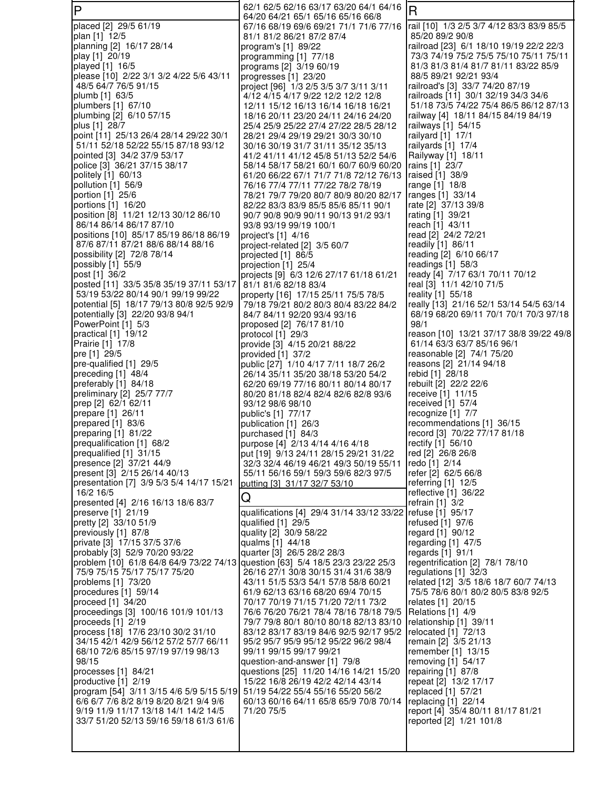| lΡ                                                                             | 62/1 62/5 62/16 63/17 63/20 64/1 64/16                                           | $\overline{R}$                                                              |
|--------------------------------------------------------------------------------|----------------------------------------------------------------------------------|-----------------------------------------------------------------------------|
| placed [2] 29/5 61/19                                                          | 64/20 64/21 65/1 65/16 65/16 66/8<br>67/16 68/19 69/6 69/21 71/1 71/6 77/16      | rail [10] 1/3 2/5 3/7 4/12 83/3 83/9 85/5                                   |
| plan [1] 12/5                                                                  | 81/1 81/2 86/21 87/2 87/4                                                        | 85/20 89/2 90/8                                                             |
| planning [2] 16/17 28/14                                                       | program's [1] 89/22                                                              | railroad [23] 6/1 18/10 19/19 22/2 22/3                                     |
| play [1] 20/19                                                                 | programming [1] 77/18                                                            | 73/3 74/19 75/2 75/5 75/10 75/11 75/11                                      |
| played [1] 16/5<br>please [10] 2/22 3/1 3/2 4/22 5/6 43/11                     | programs [2] 3/19 60/19<br>progresses [1] 23/20                                  | 81/3 81/3 81/4 81/7 81/11 83/22 85/9<br>88/5 89/21 92/21 93/4               |
| 48/5 64/7 76/5 91/15                                                           | project [96] 1/3 2/5 3/5 3/7 3/11 3/11                                           | railroad's [3] 33/7 74/20 87/19                                             |
| plumb [1] 63/5                                                                 | 4/12 4/15 4/17 9/22 12/2 12/2 12/8                                               | railroads [11] 30/1 32/19 34/3 34/6                                         |
| plumbers $[1]$ 67/10                                                           | 12/11 15/12 16/13 16/14 16/18 16/21                                              | 51/18 73/5 74/22 75/4 86/5 86/12 87/13                                      |
| plumbing [2] 6/10 57/15<br>plus [1] 28/7                                       | 18/16 20/11 23/20 24/11 24/16 24/20<br>25/4 25/9 25/22 27/4 27/22 28/5 28/12     | railway [4] 18/11 84/15 84/19 84/19<br>railways [1] 54/15                   |
| point [11] 25/13 26/4 28/14 29/22 30/1                                         | 28/21 29/4 29/19 29/21 30/3 30/10                                                | railyard [1] 17/1                                                           |
| 51/11 52/18 52/22 55/15 87/18 93/12                                            | 30/16 30/19 31/7 31/11 35/12 35/13                                               | railyards [1] 17/4                                                          |
| pointed [3] 34/2 37/9 53/17                                                    | 41/2 41/11 41/12 45/8 51/13 52/2 54/6                                            | Railyway [1] 18/11                                                          |
| police [3] 36/21 37/15 38/17<br>politely [1] 60/13                             | 58/14 58/17 58/21 60/1 60/7 60/9 60/20<br>61/20 66/22 67/1 71/7 71/8 72/12 76/13 | rains [1] 23/7<br>raised [1] 38/9                                           |
| pollution [1] 56/9                                                             | 76/16 77/4 77/11 77/22 78/2 78/19                                                | range [1] 18/8                                                              |
| portion [1] 25/6                                                               | 78/21 79/7 79/20 80/7 80/9 80/20 82/17                                           | ranges [1] 33/14                                                            |
| portions [1] 16/20                                                             | 82/22 83/3 83/9 85/5 85/6 85/11 90/1                                             | rate [2] 37/13 39/8                                                         |
| position [8] 11/21 12/13 30/12 86/10<br>86/14 86/14 86/17 87/10                | 90/7 90/8 90/9 90/11 90/13 91/2 93/1<br>93/8 93/19 99/19 100/1                   | rating [1] 39/21<br>reach [1] 43/11                                         |
| positions [10] 85/17 85/19 86/18 86/19                                         | project's [1] 4/16                                                               | read [2] 24/2 72/21                                                         |
| 87/6 87/11 87/21 88/6 88/14 88/16                                              | project-related [2] 3/5 60/7                                                     | readily [1] 86/11                                                           |
| possibility [2] 72/8 78/14                                                     | projected [1] 86/5                                                               | reading [2] 6/10 66/17                                                      |
| possibly [1] 55/9<br>post [1] 36/2                                             | projection [1] 25/4<br>projects [9] 6/3 12/6 27/17 61/18 61/21                   | readings $[1]$ 58/3<br>ready [4] 7/17 63/1 70/11 70/12                      |
| posted [11] 33/5 35/8 35/19 37/11 53/17                                        | 81/1 81/6 82/18 83/4                                                             | real [3] 11/1 42/10 71/5                                                    |
| 53/19 53/22 80/14 90/1 99/19 99/22                                             | property [16] 17/15 25/11 75/5 78/5                                              | reality [1] 55/18                                                           |
| potential [5] 18/17 79/13 80/8 92/5 92/9                                       | 79/18 79/21 80/2 80/3 80/4 83/22 84/2                                            | really [13] 21/16 52/1 53/14 54/5 63/14                                     |
| potentially [3] 22/20 93/8 94/1<br>PowerPoint [1] 5/3                          | 84/7 84/11 92/20 93/4 93/16<br>proposed [2] 76/17 81/10                          | 68/19 68/20 69/11 70/1 70/1 70/3 97/18<br>98/1                              |
| practical $[1]$ 19/12                                                          | protocol $[1]$ 29/3                                                              | reason [10] 13/21 37/17 38/8 39/22 49/8                                     |
| Prairie [1] 17/8                                                               | provide [3] 4/15 20/21 88/22                                                     | 61/14 63/3 63/7 85/16 96/1                                                  |
| pre [1] 29/5                                                                   | provided $[1]$ 37/2                                                              | reasonable [2] 74/1 75/20<br>reasons [2] 21/14 94/18                        |
| pre-qualified [1] 29/5<br>preceding [1] 48/4                                   | public [27] 1/10 4/17 7/11 18/7 26/2<br>26/14 35/11 35/20 38/18 53/20 54/2       | rebid [1] 28/18                                                             |
| preferably [1] 84/18                                                           | 62/20 69/19 77/16 80/11 80/14 80/17                                              | rebuilt [2] 22/2 22/6                                                       |
| preliminary [2] 25/7 77/7                                                      | 80/20 81/18 82/4 82/4 82/6 82/8 93/6                                             | receive [1] 11/15                                                           |
| prep [2] 62/1 62/11<br>prepare [1] 26/11                                       | 93/12 98/6 98/10<br>public's [1] 77/17                                           | received [1] 57/4<br>recognize [1] 7/7                                      |
| prepared [1] 83/6                                                              | publication [1] 26/3                                                             | recommendations [1] 36/15                                                   |
| preparing [1] 81/22                                                            | purchased [1] 84/3                                                               | record [3] 70/22 77/17 81/18                                                |
| prequalification [1] 68/2<br>prequalified [1] 31/15                            | purpose [4] 2/13 4/14 4/16 4/18<br>put [19] 9/13 24/11 28/15 29/21 31/22         | rectify [1] 56/10<br>red [2] 26/8 26/8                                      |
| presence [2] 37/21 44/9                                                        | 32/3 32/4 46/19 46/21 49/3 50/19 55/11                                           | redo [1] 2/14                                                               |
| present [3] 2/15 26/14 40/13                                                   | 55/11 56/16 59/1 59/3 59/6 82/3 97/5                                             | refer [2] 62/5 66/8                                                         |
| presentation [7] 3/9 5/3 5/4 14/17 15/21                                       | putting [3] 31/17 32/7 53/10                                                     | referring [1] 12/5                                                          |
| 16/2 16/5<br>presented [4] 2/16 16/13 18/6 83/7                                | Q                                                                                | reflective [1] 36/22<br>refrain $[1]$ 3/2                                   |
| preserve [1] 21/19                                                             | qualifications [4] 29/4 31/14 33/12 33/22 refuse [1] 95/17                       |                                                                             |
| pretty [2] 33/10 51/9                                                          | qualified [1] 29/5                                                               | refused [1] 97/6                                                            |
| previously [1] 87/8<br>private [3] 17/15 37/5 37/6                             | quality [2] 30/9 58/22<br>qualms [1] 44/18                                       | regard [1] 90/12<br>regarding [1] 47/5                                      |
| probably [3] 52/9 70/20 93/22                                                  | quarter [3] 26/5 28/2 28/3                                                       | regards [1] 91/1                                                            |
| problem [10] 61/8 64/8 64/9 73/22 74/13 question [63] 5/4 18/5 23/3 23/22 25/3 |                                                                                  | regentrification [2] 78/1 78/10                                             |
| 75/9 75/15 75/17 75/17 75/20                                                   | 26/16 27/1 30/8 30/15 31/4 31/6 38/9                                             | regulations [1] 32/3                                                        |
| problems [1] 73/20<br>procedures [1] 59/14                                     | 43/11 51/5 53/3 54/1 57/8 58/8 60/21<br>61/9 62/13 63/16 68/20 69/4 70/15        | related [12] 3/5 18/6 18/7 60/7 74/13<br>75/5 78/6 80/1 80/2 80/5 83/8 92/5 |
| proceed [1] 34/20                                                              | 70/17 70/19 71/15 71/20 72/11 73/2                                               | relates [1] 20/15                                                           |
| proceedings [3] 100/16 101/9 101/13                                            | 76/6 76/20 76/21 78/4 78/16 78/18 79/5                                           | Relations [1] 4/9                                                           |
| proceeds [1] 2/19<br>process [18] 17/6 23/10 30/2 31/10                        | 79/7 79/8 80/1 80/10 80/18 82/13 83/10<br>83/12 83/17 83/19 84/6 92/5 92/17 95/2 | relationship [1] 39/11<br>relocated [1] 72/13                               |
| 34/15 42/1 42/9 56/12 57/2 57/7 66/11                                          | 95/2 95/7 95/9 95/12 95/22 96/2 98/4                                             | remain [2] 3/5 21/13                                                        |
| 68/10 72/6 85/15 97/19 97/19 98/13                                             | 99/11 99/15 99/17 99/21                                                          | remember [1] 13/15                                                          |
| 98/15                                                                          | question-and-answer [1] 79/8                                                     | removing [1] 54/17                                                          |
| processes [1] 84/21<br>productive [1] 2/19                                     | questions [25] 11/20 14/16 14/21 15/20<br>15/22 16/8 26/19 42/2 42/14 43/14      | repairing [1] 87/8<br>repeat [2] 13/2 17/17                                 |
| program [54] 3/11 3/15 4/6 5/9 5/15 5/19                                       | 51/19 54/22 55/4 55/16 55/20 56/2                                                | replaced $[1]$ 57/21                                                        |
| 6/6 6/7 7/6 8/2 8/19 8/20 8/21 9/4 9/6                                         | 60/13 60/16 64/11 65/8 65/9 70/8 70/14                                           | replacing [1] 22/14                                                         |
| 9/19 11/9 11/17 13/18 14/1 14/2 14/5<br>33/7 51/20 52/13 59/16 59/18 61/3 61/6 | 71/20 75/5                                                                       | report [4] 35/4 80/11 81/17 81/21<br>reported [2] 1/21 101/8                |
|                                                                                |                                                                                  |                                                                             |
|                                                                                |                                                                                  |                                                                             |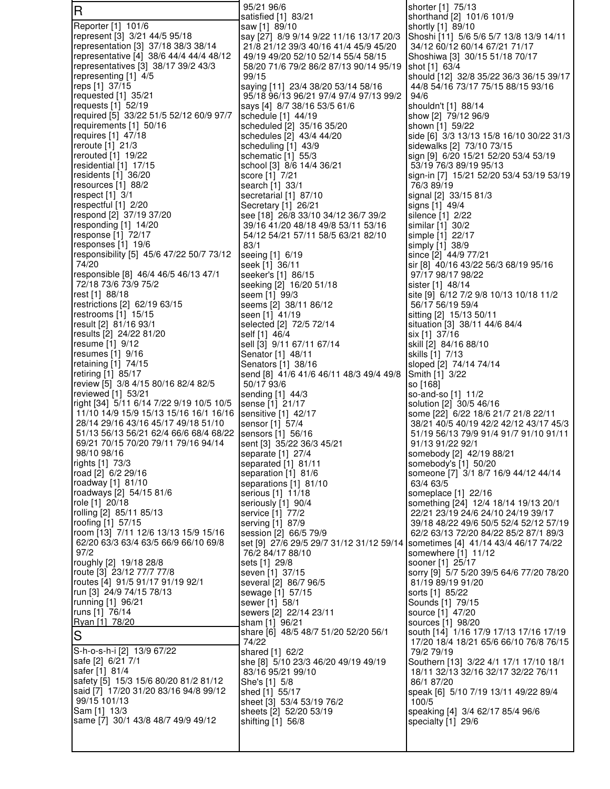| $\overline{\mathsf{R}}$                                                       | 95/21 96/6<br>satisfied [1] 83/21                                               | shorter [1] 75/13<br>shorthand [2] 101/6 101/9                                  |
|-------------------------------------------------------------------------------|---------------------------------------------------------------------------------|---------------------------------------------------------------------------------|
| Reporter [1] 101/6                                                            | saw [1] 89/10                                                                   | shortly [1] 89/10                                                               |
| represent [3] 3/21 44/5 95/18                                                 | say [27] 8/9 9/14 9/22 11/16 13/17 20/3                                         | Shoshi [11] 5/6 5/6 5/7 13/8 13/9 14/11                                         |
| representation [3] 37/18 38/3 38/14                                           | 21/8 21/12 39/3 40/16 41/4 45/9 45/20                                           | 34/12 60/12 60/14 67/21 71/17                                                   |
| representative [4] 38/6 44/4 44/4 48/12                                       | 49/19 49/20 52/10 52/14 55/4 58/15                                              | Shoshiwa [3] 30/15 51/18 70/17                                                  |
| representatives [3] 38/17 39/2 43/3<br>representing [1] 4/5                   | 58/20 71/6 79/2 86/2 87/13 90/14 95/19<br>99/15                                 | shot [1] 63/4<br>should [12] 32/8 35/22 36/3 36/15 39/17                        |
| reps [1] 37/15                                                                | saying [11] 23/4 38/20 53/14 58/16                                              | 44/8 54/16 73/17 75/15 88/15 93/16                                              |
| requested $[1]$ 35/21                                                         | 95/18 96/13 96/21 97/4 97/4 97/13 99/2                                          | 94/6                                                                            |
| requests [1] 52/19                                                            | says [4] 8/7 38/16 53/5 61/6                                                    | shouldn't [1] 88/14                                                             |
| required [5] 33/22 51/5 52/12 60/9 97/7                                       | schedule [1] 44/19                                                              | show [2] 79/12 96/9                                                             |
| requirements [1] 50/16<br>requires [1] 47/18                                  | scheduled [2] 35/16 35/20<br>schedules [2] 43/4 44/20                           | shown [1] 59/22<br>side [6] 3/3 13/13 15/8 16/10 30/22 31/3                     |
| reroute [1] 21/3                                                              | scheduling [1] 43/9                                                             | sidewalks [2] 73/10 73/15                                                       |
| rerouted $[1]$ 19/22                                                          | schematic [1] 55/3                                                              | sign [9] 6/20 15/21 52/20 53/4 53/19                                            |
| residential $[1]$ 17/15                                                       | school [3] 8/6 14/4 36/21                                                       | 53/19 76/3 89/19 95/13                                                          |
| residents [1] 36/20                                                           | score [1] 7/21                                                                  | sign-in [7] 15/21 52/20 53/4 53/19 53/19                                        |
| resources $[1]$ 88/2<br>respect $[1]$ 3/1                                     | search [1] 33/1<br>secretarial [1] 87/10                                        | 76/3 89/19<br>signal [2] 33/15 81/3                                             |
| respectful [1] 2/20                                                           | Secretary [1] 26/21                                                             | signs [1] 49/4                                                                  |
| respond [2] 37/19 37/20                                                       | see [18] 26/8 33/10 34/12 36/7 39/2                                             | silence [1] 2/22                                                                |
| responding [1] 14/20                                                          | 39/16 41/20 48/18 49/8 53/11 53/16                                              | similar [1] 30/2                                                                |
| response [1] 72/17<br>responses [1] 19/6                                      | 54/12 54/21 57/11 58/5 63/21 82/10<br>83/1                                      | simple [1] 22/17                                                                |
| responsibility [5] 45/6 47/22 50/7 73/12                                      | seeing [1] 6/19                                                                 | simply [1] 38/9<br>since [2] 44/9 77/21                                         |
| 74/20                                                                         | seek [1] 36/11                                                                  | sir [8] 40/16 43/22 56/3 68/19 95/16                                            |
| responsible [8] 46/4 46/5 46/13 47/1                                          | seeker's [1] 86/15                                                              | 97/17 98/17 98/22                                                               |
| 72/18 73/6 73/9 75/2                                                          | seeking [2] 16/20 51/18                                                         | sister [1] 48/14                                                                |
| rest [1] 88/18                                                                | seem [1] 99/3                                                                   | site [9] 6/12 7/2 9/8 10/13 10/18 11/2                                          |
| restrictions [2] 62/19 63/15<br>restrooms [1] 15/15                           | seems [2] 38/11 86/12<br>seen [1] 41/19                                         | 56/17 56/19 59/4<br>sitting [2] 15/13 50/11                                     |
| result [2] 81/16 93/1                                                         | selected [2] 72/5 72/14                                                         | situation [3] 38/11 44/6 84/4                                                   |
| results [2] 24/22 81/20                                                       | self [1] 46/4                                                                   | six [1] 37/16                                                                   |
| resume [1] 9/12                                                               | sell [3] 9/11 67/11 67/14                                                       | skill [2] 84/16 88/10                                                           |
| resumes $[1]$ 9/16                                                            | Senator [1] 48/11                                                               | skills [1] 7/13                                                                 |
| retaining [1] 74/15<br>retiring [1] 85/17                                     | Senators [1] 38/16<br>send [8] 41/6 41/6 46/11 48/3 49/4 49/8                   | sloped [2] 74/14 74/14<br>Smith [1] 3/22                                        |
| review [5] 3/8 4/15 80/16 82/4 82/5                                           | 50/17 93/6                                                                      | so [168]                                                                        |
| reviewed [1] 53/21                                                            | sending [1] 44/3                                                                | so-and-so [1] 11/2                                                              |
| right [34] 5/11 6/14 7/22 9/19 10/5 10/5                                      | sense [1] 21/17                                                                 | solution [2] 30/5 46/16                                                         |
| 11/10 14/9 15/9 15/13 15/16 16/1 16/16<br>28/14 29/16 43/16 45/17 49/18 51/10 | sensitive [1] 42/17<br>sensor [1] 57/4                                          | some [22] 6/22 18/6 21/7 21/8 22/11<br>38/21 40/5 40/19 42/2 42/12 43/17 45/3   |
| 51/13 56/13 56/21 62/4 66/6 68/4 68/22                                        | sensors [1] 56/16                                                               | 51/19 56/13 79/9 91/4 91/7 91/10 91/11                                          |
| 69/21 70/15 70/20 79/11 79/16 94/14                                           | sent [3] 35/22 36/3 45/21                                                       | 91/13 91/22 92/1                                                                |
| 98/10 98/16                                                                   | separate [1] 27/4                                                               | somebody [2] 42/19 88/21                                                        |
| rights [1] 73/3<br>road [2] 6/2 29/16                                         | separated [1] 81/11                                                             | somebody's [1] 50/20                                                            |
| roadway [1] 81/10                                                             | separation [1] 81/6<br>separations [1] 81/10                                    | someone [7] 3/1 8/7 16/9 44/12 44/14<br>63/4 63/5                               |
| roadways [2] 54/15 81/6                                                       | serious [1] 11/18                                                               | someplace [1] 22/16                                                             |
| role [1] 20/18                                                                | seriously [1] 90/4                                                              | something [24] 12/4 18/14 19/13 20/1                                            |
| rolling [2] 85/11 85/13                                                       | service [1] 77/2                                                                | 22/21 23/19 24/6 24/10 24/19 39/17                                              |
| roofing [1] 57/15<br>room [13] 7/11 12/6 13/13 15/9 15/16                     | serving [1] 87/9<br>session [2] 66/5 79/9                                       | 39/18 48/22 49/6 50/5 52/4 52/12 57/19<br>62/2 63/13 72/20 84/22 85/2 87/1 89/3 |
| 62/20 63/3 63/4 63/5 66/9 66/10 69/8                                          | set [9] 27/6 29/5 29/7 31/12 31/12 59/14   sometimes [4] 41/14 43/4 46/17 74/22 |                                                                                 |
| 97/2                                                                          | 76/2 84/17 88/10                                                                | somewhere [1] 11/12                                                             |
| roughly [2] 19/18 28/8                                                        | sets [1] 29/8                                                                   | sooner [1] 25/17                                                                |
| route [3] 23/12 77/7 77/8                                                     | seven [1] 37/15                                                                 | sorry [9] 5/7 5/20 39/5 64/6 77/20 78/20                                        |
| routes [4] 91/5 91/17 91/19 92/1<br>run [3] 24/9 74/15 78/13                  | several [2] 86/7 96/5<br>sewage [1] 57/15                                       | 81/19 89/19 91/20<br>sorts [1] 85/22                                            |
| running [1] 96/21                                                             | sewer [1] 58/1                                                                  | Sounds [1] 79/15                                                                |
| runs [1] 76/14                                                                | sewers [2] 22/14 23/11                                                          | source [1] 47/20                                                                |
| Ryan [1] 78/20                                                                | sham [1]  96/21                                                                 | sources [1] 98/20                                                               |
| $\overline{S}$                                                                | share [6] 48/5 48/7 51/20 52/20 56/1<br>74/22                                   | south [14] 1/16 17/9 17/13 17/16 17/19                                          |
| S-h-o-s-h-i [2] 13/9 67/22                                                    | shared [1] 62/2                                                                 | 17/20 18/4 18/21 65/6 66/10 76/8 76/15<br>79/2 79/19                            |
| safe [2] 6/21 7/1                                                             | she [8] 5/10 23/3 46/20 49/19 49/19                                             | Southern [13] 3/22 4/1 17/1 17/10 18/1                                          |
| safer [1] 81/4                                                                | 83/16 95/21 99/10                                                               | 18/11 32/13 32/16 32/17 32/22 76/11                                             |
| safety [5] 15/3 15/6 80/20 81/2 81/12                                         | She's [1] 5/8                                                                   | 86/1 87/20                                                                      |
| said [7] 17/20 31/20 83/16 94/8 99/12<br>99/15 101/13                         | shed [1] 55/17<br>sheet [3] 53/4 53/19 76/2                                     | speak [6] 5/10 7/19 13/11 49/22 89/4<br>100/5                                   |
| Sam [1] 13/3                                                                  | sheets [2] 52/20 53/19                                                          | speaking [4] 3/4 62/17 85/4 96/6                                                |
| same [7] 30/1 43/8 48/7 49/9 49/12                                            | shifting [1] 56/8                                                               | specialty [1] 29/6                                                              |
|                                                                               |                                                                                 |                                                                                 |
|                                                                               |                                                                                 |                                                                                 |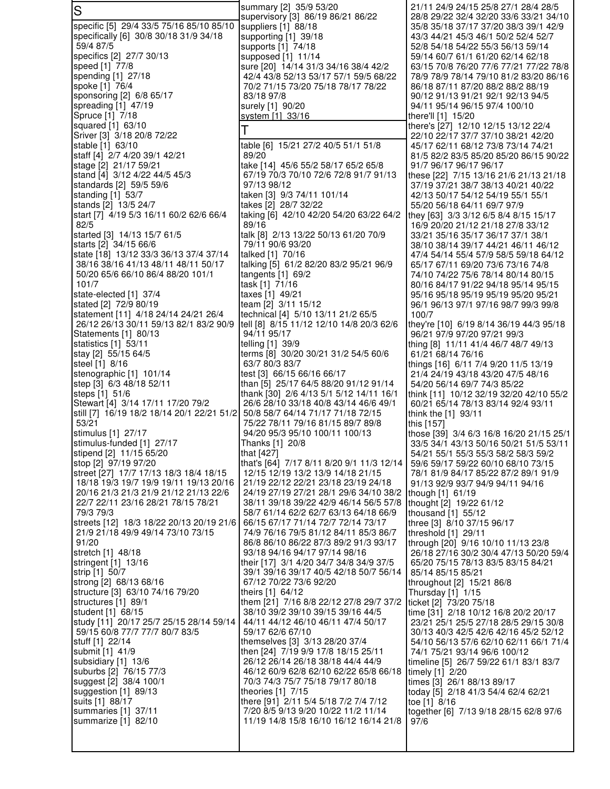| S                                                                           | summary [2] 35/9 53/20                                                            | 21/11 24/9 24/15 25/8 27/1 28/4 28/5<br>28/8 29/22 32/4 32/20 33/6 33/21 34/10     |
|-----------------------------------------------------------------------------|-----------------------------------------------------------------------------------|------------------------------------------------------------------------------------|
| specific [5] 29/4 33/5 75/16 85/10 85/10                                    | supervisory [3] 86/19 86/21 86/22<br>suppliers [1] 88/18                          | 35/8 35/18 37/17 37/20 38/3 39/1 42/9                                              |
| specifically [6] 30/8 30/18 31/9 34/18                                      | supporting [1] 39/18                                                              | 43/3 44/21 45/3 46/1 50/2 52/4 52/7                                                |
| 59/4 87/5                                                                   | supports [1] 74/18                                                                | 52/8 54/18 54/22 55/3 56/13 59/14                                                  |
| specifics [2] 27/7 30/13                                                    | supposed [1] 11/14                                                                | 59/14 60/7 61/1 61/20 62/14 62/18                                                  |
| speed [1] 77/8                                                              | sure [20] 14/14 31/3 34/16 38/4 42/2                                              | 63/15 70/8 76/20 77/6 77/21 77/22 78/8                                             |
| spending [1] 27/18<br>spoke [1] 76/4                                        | 42/4 43/8 52/13 53/17 57/1 59/5 68/22<br>70/2 71/15 73/20 75/18 78/17 78/22       | 78/9 78/9 78/14 79/10 81/2 83/20 86/16<br>86/18 87/11 87/20 88/2 88/2 88/19        |
| sponsoring [2] 6/8 65/17                                                    | 83/18 97/8                                                                        | 90/12 91/13 91/21 92/1 92/13 94/5                                                  |
| spreading [1] 47/19                                                         | surely [1] 90/20                                                                  | 94/11 95/14 96/15 97/4 100/10                                                      |
| Spruce [1] 7/18                                                             | system [1] 33/16                                                                  | there'll [1] 15/20                                                                 |
| squared [1] 63/10                                                           |                                                                                   | there's [27] 12/10 12/15 13/12 22/4                                                |
| Sriver [3] 3/18 20/8 72/22                                                  |                                                                                   | 22/10 22/17 37/7 37/10 38/21 42/20                                                 |
| stable [1] 63/10<br>staff [4] 2/7 4/20 39/1 42/21                           | table [6] 15/21 27/2 40/5 51/1 51/8<br>89/20                                      | 45/17 62/11 68/12 73/8 73/14 74/21                                                 |
| stage [2] 21/17 59/21                                                       | take [14] 45/6 55/2 58/17 65/2 65/8                                               | 81/5 82/2 83/5 85/20 85/20 86/15 90/22<br>91/7 96/17 96/17 96/17                   |
| stand [4] 3/12 4/22 44/5 45/3                                               | 67/19 70/3 70/10 72/6 72/8 91/7 91/13                                             | these [22] 7/15 13/16 21/6 21/13 21/18                                             |
| standards [2] 59/5 59/6                                                     | 97/13 98/12                                                                       | 37/19 37/21 38/7 38/13 40/21 40/22                                                 |
| standing $[1]$ 53/7                                                         | taken [3] 9/3 74/11 101/14                                                        | 42/13 50/17 54/12 54/19 55/1 55/1                                                  |
| stands [2] 13/5 24/7                                                        | takes [2] 28/7 32/22                                                              | 55/20 56/18 64/11 69/7 97/9                                                        |
| start [7] 4/19 5/3 16/11 60/2 62/6 66/4                                     | taking [6] 42/10 42/20 54/20 63/22 64/2<br>89/16                                  | they [63] 3/3 3/12 6/5 8/4 8/15 15/17                                              |
| 82/5<br>started [3] 14/13 15/7 61/5                                         | talk [8] 2/13 13/22 50/13 61/20 70/9                                              | 16/9 20/20 21/12 21/18 27/8 33/12<br>33/21 35/16 35/17 36/17 37/1 38/1             |
| starts [2] 34/15 66/6                                                       | 79/11 90/6 93/20                                                                  | 38/10 38/14 39/17 44/21 46/11 46/12                                                |
| state [18] 13/12 33/3 36/13 37/4 37/14                                      | talked [1] 70/16                                                                  | 47/4 54/14 55/4 57/9 58/5 59/18 64/12                                              |
| 38/16 38/16 41/13 48/11 48/11 50/17                                         | talking [5] 61/2 82/20 83/2 95/21 96/9                                            | 65/17 67/11 69/20 73/6 73/16 74/8                                                  |
| 50/20 65/6 66/10 86/4 88/20 101/1                                           | tangents $[1]$ 69/2                                                               | 74/10 74/22 75/6 78/14 80/14 80/15                                                 |
| 101/7                                                                       | task [1] 71/16                                                                    | 80/16 84/17 91/22 94/18 95/14 95/15                                                |
| state-elected [1] 37/4<br>stated [2] 72/9 80/19                             | taxes [1] 49/21<br>team [2] 3/11 15/12                                            | 95/16 95/18 95/19 95/19 95/20 95/21<br>96/1 96/13 97/1 97/16 98/7 99/3 99/8        |
| statement [11] 4/18 24/14 24/21 26/4                                        | technical [4] 5/10 13/11 21/2 65/5                                                | 100/7                                                                              |
| 26/12 26/13 30/11 59/13 82/1 83/2 90/9                                      | tell [8] 8/15 11/12 12/10 14/8 20/3 62/6                                          | they're [10] 6/19 8/14 36/19 44/3 95/18                                            |
| Statements [1] 80/13                                                        | 94/11 95/17                                                                       | 96/21 97/9 97/20 97/21 99/3                                                        |
| statistics [1] 53/11                                                        | telling [1] 39/9                                                                  | thing [8] 11/11 41/4 46/7 48/7 49/13                                               |
| stay [2] 55/15 64/5<br>steel [1] 8/16                                       | terms [8] 30/20 30/21 31/2 54/5 60/6<br>63/7 80/3 83/7                            | 61/21 68/14 76/16                                                                  |
| stenographic [1] 101/14                                                     | test [3] 66/15 66/16 66/17                                                        | things [16] 6/11 7/4 9/20 11/5 13/19<br>21/4 24/19 43/18 43/20 47/5 48/16          |
| step [3] 6/3 48/18 52/11                                                    | than [5] 25/17 64/5 88/20 91/12 91/14                                             | 54/20 56/14 69/7 74/3 85/22                                                        |
| steps [1] 51/6                                                              | thank [30] 2/6 4/13 5/1 5/12 14/11 16/1                                           | think [11] 10/12 32/19 32/20 42/10 55/2                                            |
| Stewart [4] 3/14 17/11 17/20 79/2                                           | 26/6 28/10 33/18 40/8 43/14 46/6 49/1                                             | 60/21 65/14 78/13 83/14 92/4 93/11                                                 |
| still [7] 16/19 18/2 18/14 20/1 22/21 51/2                                  | 50/8 58/7 64/14 71/17 71/18 72/15                                                 | think the $[1]$ 93/11                                                              |
| 53/21<br>stimulus [1] 27/17                                                 | 75/22 78/11 79/16 81/15 89/7 89/8<br>94/20 95/3 95/10 100/11 100/13               | this [157]                                                                         |
| stimulus-funded [1] 27/17                                                   | Thanks [1] 20/8                                                                   | those [39] 3/4 6/3 16/8 16/20 21/15 25/1<br>33/5 34/1 43/13 50/16 50/21 51/5 53/11 |
| stipend [2] 11/15 65/20                                                     | that [427]                                                                        | 54/21 55/1 55/3 55/3 58/2 58/3 59/2                                                |
| stop [2] 97/19 97/20                                                        | that's [64] 7/17 8/11 8/20 9/1 11/3 12/14                                         | 59/6 59/17 59/22 60/10 68/10 73/15                                                 |
| street [27] 17/7 17/13 18/3 18/4 18/15                                      | 12/15 12/19 13/2 13/9 14/18 21/15                                                 | 78/1 81/9 84/17 85/22 87/2 89/1 91/9                                               |
| 18/18 19/3 19/7 19/9 19/11 19/13 20/16                                      | 21/19 22/12 22/21 23/18 23/19 24/18                                               | 91/13 92/9 93/7 94/9 94/11 94/16                                                   |
| 20/16 21/3 21/3 21/9 21/12 21/13 22/6<br>22/7 22/11 23/16 28/21 78/15 78/21 | 24/19 27/19 27/21 28/1 29/6 34/10 38/2<br>38/11 39/18 39/22 42/9 46/14 56/5 57/8  | though [1] 61/19                                                                   |
| 79/3 79/3                                                                   | 58/7 61/14 62/2 62/7 63/13 64/18 66/9                                             | thought [2] 19/22 61/12<br>thousand [1] 55/12                                      |
| streets [12] 18/3 18/22 20/13 20/19 21/6                                    | 66/15 67/17 71/14 72/7 72/14 73/17                                                | three [3] 8/10 37/15 96/17                                                         |
| 21/9 21/18 49/9 49/14 73/10 73/15                                           | 74/9 76/16 79/5 81/12 84/11 85/3 86/7                                             | threshold [1] 29/11                                                                |
| 91/20                                                                       | 86/8 86/10 86/22 87/3 89/2 91/3 93/17                                             | through [20] 9/16 10/10 11/13 23/8                                                 |
| stretch [1] 48/18                                                           | 93/18 94/16 94/17 97/14 98/16                                                     | 26/18 27/16 30/2 30/4 47/13 50/20 59/4                                             |
| stringent [1] 13/16<br>strip [1] 50/7                                       | their [17] 3/1 4/20 34/7 34/8 34/9 37/5<br>39/1 39/16 39/17 40/5 42/18 50/7 56/14 | 65/20 75/15 78/13 83/5 83/15 84/21<br>85/14 85/15 85/21                            |
| strong [2] 68/13 68/16                                                      | 67/12 70/22 73/6 92/20                                                            | throughout [2] 15/21 86/8                                                          |
| structure [3] 63/10 74/16 79/20                                             | theirs [1] 64/12                                                                  | Thursday [1] 1/15                                                                  |
| structures [1] 89/1                                                         | them [21] 7/16 8/8 22/12 27/8 29/7 37/2                                           | ticket [2] 73/20 75/18                                                             |
| student [1] 68/15                                                           | 38/10 39/2 39/10 39/15 39/16 44/5                                                 | time [31] 2/18 10/12 16/8 20/2 20/17                                               |
| study [11] 20/17 25/7 25/15 28/14 59/14                                     | 44/11 44/12 46/10 46/11 47/4 50/17                                                | 23/21 25/1 25/5 27/18 28/5 29/15 30/8                                              |
| 59/15 60/8 77/7 77/7 80/7 83/5<br>stuff [1] 22/14                           | 59/17 62/6 67/10<br>themselves [3] 3/13 28/20 37/4                                | 30/13 40/3 42/5 42/6 42/16 45/2 52/12<br>54/10 56/13 57/6 62/10 62/11 66/1 71/4    |
| submit [1] 41/9                                                             | then [24] 7/19 9/9 17/8 18/15 25/11                                               | 74/1 75/21 93/14 96/6 100/12                                                       |
| subsidiary [1] 13/6                                                         | 26/12 26/14 26/18 38/18 44/4 44/9                                                 | timeline [5] 26/7 59/22 61/1 83/1 83/7                                             |
| suburbs [2] 76/15 77/3                                                      | 46/12 60/9 62/8 62/10 62/22 65/8 66/18                                            | timely [1] 2/20                                                                    |
| suggest [2] 38/4 100/1                                                      | 70/3 74/3 75/7 75/18 79/17 80/18                                                  | times [3] 26/1 88/13 89/17                                                         |
| suggestion [1] 89/13                                                        | theories $[1]$ 7/15<br>there [91] 2/11 5/4 5/18 7/2 7/4 7/12                      | today [5] 2/18 41/3 54/4 62/4 62/21                                                |
| suits [1] 88/17<br>summaries [1] 37/11                                      | 7/20 8/5 9/13 9/20 10/22 11/2 11/14                                               | toe [1] 8/16<br>together [6] 7/13 9/18 28/15 62/8 97/6                             |
| summarize [1] 82/10                                                         | 11/19 14/8 15/8 16/10 16/12 16/14 21/8                                            | 97/6                                                                               |
|                                                                             |                                                                                   |                                                                                    |
|                                                                             |                                                                                   |                                                                                    |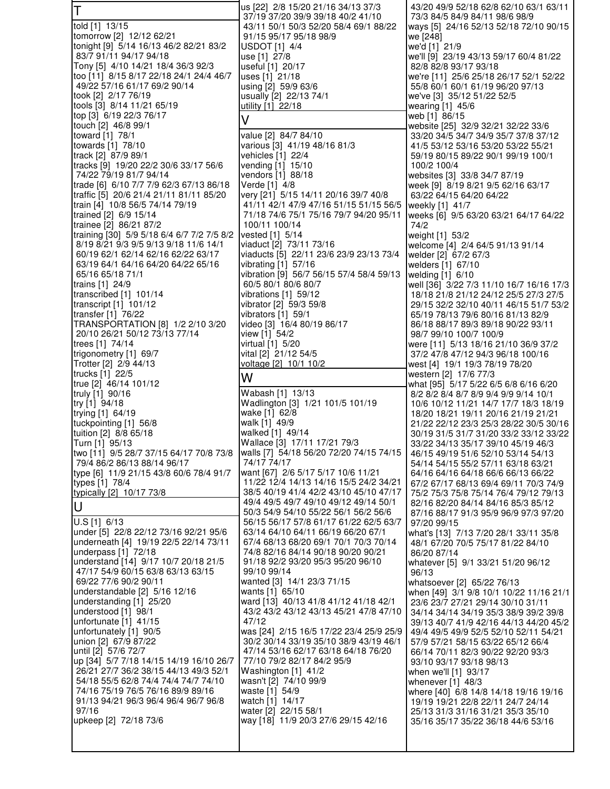| İΤ                                                                        | us [22] 2/8 15/20 21/16 34/13 37/3<br>37/19 37/20 39/9 39/18 40/2 41/10          | 43/20 49/9 52/18 62/8 62/10 63/1 63/11<br>73/3 84/5 84/9 84/11 98/6 98/9        |
|---------------------------------------------------------------------------|----------------------------------------------------------------------------------|---------------------------------------------------------------------------------|
| told [1] 13/15                                                            | 43/11 50/1 50/3 52/20 58/4 69/1 88/22                                            | ways [5] 24/16 52/13 52/18 72/10 90/15                                          |
| tomorrow [2] 12/12 62/21                                                  | 91/15 95/17 95/18 98/9                                                           | we [248]                                                                        |
| tonight [9] 5/14 16/13 46/2 82/21 83/2<br>83/7 91/11 94/17 94/18          | USDOT [1] 4/4<br>use [1] 27/8                                                    | we'd [1] 21/9<br>we'll [9] 23/19 43/13 59/17 60/4 81/22                         |
| Tony [5] 4/10 14/21 18/4 36/3 92/3                                        | useful [1] 20/17                                                                 | 82/8 82/8 93/17 93/18                                                           |
| too [11] 8/15 8/17 22/18 24/1 24/4 46/7                                   | uses [1] 21/18                                                                   | we're [11] 25/6 25/18 26/17 52/1 52/22                                          |
| 49/22 57/16 61/17 69/2 90/14                                              | using [2] 59/9 63/6                                                              | 55/8 60/1 60/1 61/19 96/20 97/13                                                |
| took [2] 2/17 76/19<br>tools [3] 8/14 11/21 65/19                         | usually [2] 22/13 74/1<br>utility [1] 22/18                                      | we've [3] 35/12 51/22 52/5<br>wearing [1] 45/6                                  |
| top [3] 6/19 22/3 76/17                                                   | V                                                                                | web [1] 86/15                                                                   |
| touch [2] 46/8 99/1                                                       |                                                                                  | website [25] 32/9 32/21 32/22 33/6                                              |
| toward [1] 78/1<br>towards [1] 78/10                                      | value [2] 84/7 84/10<br>various [3] 41/19 48/16 81/3                             | 33/20 34/5 34/7 34/9 35/7 37/8 37/12<br>41/5 53/12 53/16 53/20 53/22 55/21      |
| track [2] 87/9 89/1                                                       | vehicles [1] 22/4                                                                | 59/19 80/15 89/22 90/1 99/19 100/1                                              |
| tracks [9] 19/20 22/2 30/6 33/17 56/6                                     | vending [1] 15/10                                                                | 100/2 100/4                                                                     |
| 74/22 79/19 81/7 94/14<br>trade [6] 6/10 7/7 7/9 62/3 67/13 86/18         | vendors [1] 88/18<br>Verde [1] 4/8                                               | websites [3] 33/8 34/7 87/19<br>week [9] 8/19 8/21 9/5 62/16 63/17              |
| traffic [5] 20/6 21/4 21/11 81/11 85/20                                   | very [21] 5/15 14/11 20/16 39/7 40/8                                             | 63/22 64/15 64/20 64/22                                                         |
| train [4] 10/8 56/5 74/14 79/19                                           | 41/11 42/1 47/9 47/16 51/15 51/15 56/5                                           | weekly [1] 41/7                                                                 |
| trained [2] 6/9 15/14                                                     | 71/18 74/6 75/1 75/16 79/7 94/20 95/11                                           | weeks [6] 9/5 63/20 63/21 64/17 64/22                                           |
| trainee [2] 86/21 87/2<br>training [30] 5/9 5/18 6/4 6/7 7/2 7/5 8/2      | 100/11 100/14<br>vested [1] 5/14                                                 | 74/2<br>weight [1] 53/2                                                         |
| 8/19 8/21 9/3 9/5 9/13 9/18 11/6 14/1                                     | viaduct [2] 73/11 73/16                                                          | welcome [4] 2/4 64/5 91/13 91/14                                                |
| 60/19 62/1 62/14 62/16 62/22 63/17                                        | viaducts [5] 22/11 23/6 23/9 23/13 73/4                                          | welder [2] 67/2 67/3                                                            |
| 63/19 64/1 64/16 64/20 64/22 65/16<br>65/16 65/18 71/1                    | vibrating $[1]$ 57/16<br>vibration [9] 56/7 56/15 57/4 58/4 59/13                | welders [1] 67/10<br>welding [1] 6/10                                           |
| trains [1] 24/9                                                           | 60/5 80/1 80/6 80/7                                                              | well [36] 3/22 7/3 11/10 16/7 16/16 17/3                                        |
| transcribed $[1]$ 101/14                                                  | vibrations [1] 59/12                                                             | 18/18 21/8 21/12 24/12 25/5 27/3 27/5                                           |
| transcript $[1]$ 101/12<br>transfer $[1]$ 76/22                           | vibrator [2] 59/3 59/8<br>vibrators $[1]$ 59/1                                   | 29/15 32/2 32/10 40/11 46/15 51/7 53/2<br>65/19 78/13 79/6 80/16 81/13 82/9     |
| TRANSPORTATION [8] 1/2 2/10 3/20                                          | video [3] 16/4 80/19 86/17                                                       | 86/18 88/17 89/3 89/18 90/22 93/11                                              |
| 20/10 26/21 50/12 73/13 77/14                                             | view [1] 54/2                                                                    | 98/7 99/10 100/7 100/9                                                          |
| trees [1] 74/14                                                           | virtual [1] 5/20                                                                 | were [11] 5/13 18/16 21/10 36/9 37/2                                            |
| trigonometry [1] 69/7<br>Trotter [2] 2/9 44/13                            | vital [2] 21/12 54/5<br><u>voltage [2] 10/1 10/2</u>                             | 37/2 47/8 47/12 94/3 96/18 100/16<br>west [4] 19/1 19/3 78/19 78/20             |
|                                                                           |                                                                                  |                                                                                 |
| trucks [1] 22/5                                                           |                                                                                  | western [2] 17/6 77/3                                                           |
| true [2] 46/14 101/12                                                     | W                                                                                | what [95] 5/17 5/22 6/5 6/8 6/16 6/20                                           |
| truly [1] 90/16                                                           | Wabash [1] 13/13                                                                 | 8/2 8/2 8/4 8/7 8/9 9/4 9/9 9/14 10/1                                           |
| try [1] 94/18<br>trying [1] 64/19                                         | Wadlington [3] 1/21 101/5 101/19<br>wake [1] 62/8                                | 10/6 10/12 11/21 14/7 17/7 18/3 18/19<br>18/20 18/21 19/11 20/16 21/19 21/21    |
| tuckpointing [1] 56/8                                                     | walk [1] 49/9                                                                    | 21/22 22/12 23/3 25/3 28/22 30/5 30/16                                          |
| tuition [2] 8/8 65/18                                                     | walked [1] 49/14                                                                 | 30/19 31/5 31/7 31/20 33/2 33/12 33/22                                          |
| Turn [1] 95/13<br>two [11] 9/5 28/7 37/15 64/17 70/8 73/8                 | Wallace [3] 17/11 17/21 79/3<br>walls [7] 54/18 56/20 72/20 74/15 74/15          | 33/22 34/13 35/17 39/10 45/19 46/3<br>46/15 49/19 51/6 52/10 53/14 54/13        |
| 79/4 86/2 86/13 88/14 96/17                                               | 74/17 74/17                                                                      | 54/14 54/15 55/2 57/11 63/18 63/21                                              |
| type [6] 11/9 21/15 43/8 60/6 78/4 91/7                                   | want [67] 2/6 5/17 5/17 10/6 11/21                                               | 64/16 64/16 64/18 66/6 66/13 66/22                                              |
| types [1] 78/4<br>typically [2] 10/17 73/8                                | 11/22 12/4 14/13 14/16 15/5 24/2 34/21<br>38/5 40/19 41/4 42/2 43/10 45/10 47/17 | 67/2 67/17 68/13 69/4 69/11 70/3 74/9<br>75/2 75/3 75/8 75/14 76/4 79/12 79/13  |
|                                                                           | 49/4 49/5 49/7 49/10 49/12 49/14 50/1                                            | 82/16 82/20 84/14 84/16 85/3 85/12                                              |
| U                                                                         | 50/3 54/9 54/10 55/22 56/1 56/2 56/6                                             | 87/16 88/17 91/3 95/9 96/9 97/3 97/20                                           |
| under [5] 22/8 22/12 73/16 92/21 95/6                                     | 56/15 56/17 57/8 61/17 61/22 62/5 63/7<br>63/14 64/10 64/11 66/19 66/20 67/1     | 97/20 99/15<br>what's [13] 7/13 7/20 28/1 33/11 35/8                            |
| underneath [4] 19/19 22/5 22/14 73/11                                     | 67/4 68/13 68/20 69/1 70/1 70/3 70/14                                            | 48/1 67/20 70/5 75/17 81/22 84/10                                               |
| underpass [1] 72/18                                                       | 74/8 82/16 84/14 90/18 90/20 90/21                                               | 86/20 87/14                                                                     |
| understand [14] 9/17 10/7 20/18 21/5<br>47/17 54/9 60/15 63/8 63/13 63/15 | 91/18 92/2 93/20 95/3 95/20 96/10<br>99/10 99/14                                 | whatever [5] 9/1 33/21 51/20 96/12<br>96/13                                     |
| 69/22 77/6 90/2 90/11                                                     | wanted [3] 14/1 23/3 71/15                                                       | whatsoever [2] 65/22 76/13                                                      |
| understandable [2] 5/16 12/16                                             | wants [1] 65/10                                                                  | when [49] 3/1 9/8 10/1 10/22 11/16 21/1                                         |
| understanding [1] 25/20<br>understood [1] 98/1                            | ward [13] 40/13 41/8 41/12 41/18 42/1<br>43/2 43/2 43/12 43/13 45/21 47/8 47/10  | 23/6 23/7 27/21 29/14 30/10 31/11                                               |
| unfortunate [1] 41/15                                                     | 47/12                                                                            | 34/14 34/14 34/19 35/3 38/9 39/2 39/8<br>39/13 40/7 41/9 42/16 44/13 44/20 45/2 |
| unfortunately [1] 90/5                                                    | was [24] 2/15 16/5 17/22 23/4 25/9 25/9                                          | 49/4 49/5 49/9 52/5 52/10 52/11 54/21                                           |
| union [2] 67/9 87/22                                                      | 30/2 30/14 33/19 35/10 38/9 43/19 46/1<br>47/14 53/16 62/17 63/18 64/18 76/20    | 57/9 57/21 58/15 63/22 65/12 66/4                                               |
| until [2] 57/6 72/7<br>lup [34] 5/7 7/18 14/15 14/19 16/10 26/7           | 77/10 79/2 82/17 84/2 95/9                                                       | 66/14 70/11 82/3 90/22 92/20 93/3<br>93/10 93/17 93/18 98/13                    |
| U.S [1] 6/13<br>26/21 27/7 36/2 38/15 44/13 49/3 52/1                     | Washington [1] 41/2                                                              | when we'll [1] 93/17                                                            |
| 54/18 55/5 62/8 74/4 74/4 74/7 74/10<br>74/16 75/19 76/5 76/16 89/9 89/16 | wasn't [2] 74/10 99/9                                                            | whenever $[1]$ 48/3                                                             |
| 91/13 94/21 96/3 96/4 96/4 96/7 96/8                                      | waste [1] 54/9<br>watch [1] 14/17                                                | where [40] 6/8 14/8 14/18 19/16 19/16<br>19/19 19/21 22/8 22/11 24/7 24/14      |
| 97/16                                                                     | water [2] 22/15 58/1                                                             | 25/13 31/3 31/16 31/21 35/3 35/10                                               |
| upkeep [2] 72/18 73/6                                                     | way [18] 11/9 20/3 27/6 29/15 42/16                                              | 35/16 35/17 35/22 36/18 44/6 53/16                                              |